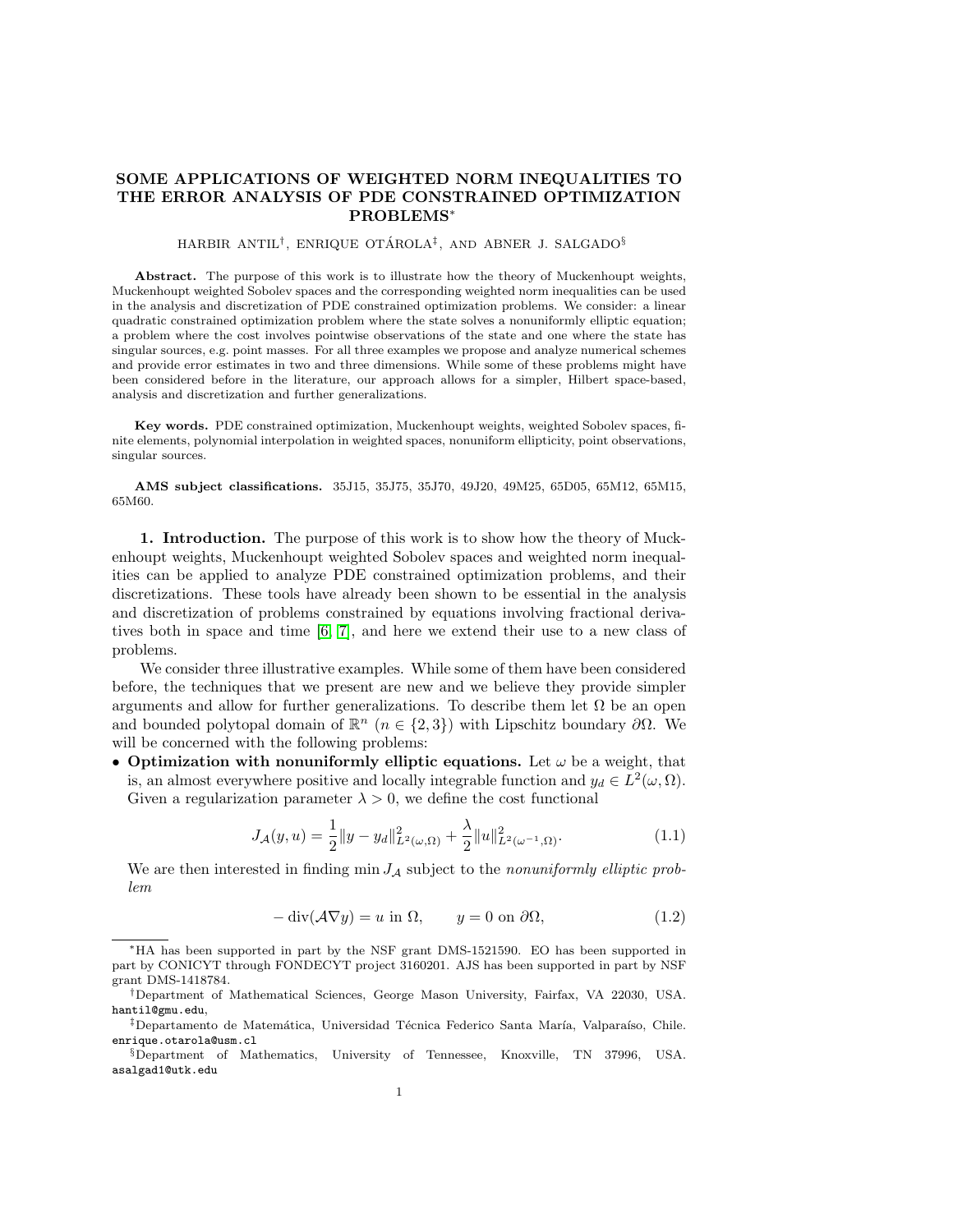## SOME APPLICATIONS OF WEIGHTED NORM INEQUALITIES TO THE ERROR ANALYSIS OF PDE CONSTRAINED OPTIMIZATION PROBLEMS<sup>∗</sup>

## $\rm HARBIR$   $\rm ANTIL^{\dagger},$   $\rm ENRIQUE$   $\rm OTÁROLA^{\ddagger},$   $\rm AND$   $\rm ABNER$  J.  $\rm SALGADO^{\S}$

Abstract. The purpose of this work is to illustrate how the theory of Muckenhoupt weights, Muckenhoupt weighted Sobolev spaces and the corresponding weighted norm inequalities can be used in the analysis and discretization of PDE constrained optimization problems. We consider: a linear quadratic constrained optimization problem where the state solves a nonuniformly elliptic equation; a problem where the cost involves pointwise observations of the state and one where the state has singular sources, e.g. point masses. For all three examples we propose and analyze numerical schemes and provide error estimates in two and three dimensions. While some of these problems might have been considered before in the literature, our approach allows for a simpler, Hilbert space-based, analysis and discretization and further generalizations.

Key words. PDE constrained optimization, Muckenhoupt weights, weighted Sobolev spaces, finite elements, polynomial interpolation in weighted spaces, nonuniform ellipticity, point observations, singular sources.

AMS subject classifications. 35J15, 35J75, 35J70, 49J20, 49M25, 65D05, 65M12, 65M15, 65M60.

<span id="page-0-2"></span>1. Introduction. The purpose of this work is to show how the theory of Muckenhoupt weights, Muckenhoupt weighted Sobolev spaces and weighted norm inequalities can be applied to analyze PDE constrained optimization problems, and their discretizations. These tools have already been shown to be essential in the analysis and discretization of problems constrained by equations involving fractional derivatives both in space and time [\[6,](#page-24-0) [7\]](#page-24-1), and here we extend their use to a new class of problems.

We consider three illustrative examples. While some of them have been considered before, the techniques that we present are new and we believe they provide simpler arguments and allow for further generalizations. To describe them let  $\Omega$  be an open and bounded polytopal domain of  $\mathbb{R}^n$   $(n \in \{2,3\})$  with Lipschitz boundary  $\partial\Omega$ . We will be concerned with the following problems:

• Optimization with nonuniformly elliptic equations. Let  $\omega$  be a weight, that is, an almost everywhere positive and locally integrable function and  $y_d \in L^2(\omega, \Omega)$ . Given a regularization parameter  $\lambda > 0$ , we define the cost functional

<span id="page-0-1"></span>
$$
J_{\mathcal{A}}(y, u) = \frac{1}{2} ||y - y_d||_{L^2(\omega, \Omega)}^2 + \frac{\lambda}{2} ||u||_{L^2(\omega^{-1}, \Omega)}^2.
$$
 (1.1)

We are then interested in finding min  $J_A$  subject to the *nonuniformly elliptic prob*lem

<span id="page-0-0"></span>
$$
-\operatorname{div}(\mathcal{A}\nabla y) = u \text{ in } \Omega, \qquad y = 0 \text{ on } \partial\Omega,
$$
 (1.2)

<sup>∗</sup>HA has been supported in part by the NSF grant DMS-1521590. EO has been supported in part by CONICYT through FONDECYT project 3160201. AJS has been supported in part by NSF grant DMS-1418784.

<sup>†</sup>Department of Mathematical Sciences, George Mason University, Fairfax, VA 22030, USA. hantil@gmu.edu,

<sup>&</sup>lt;sup>‡</sup>Departamento de Matemática, Universidad Técnica Federico Santa María, Valparaíso, Chile. enrique.otarola@usm.cl

<sup>§</sup>Department of Mathematics, University of Tennessee, Knoxville, TN 37996, USA. asalgad1@utk.edu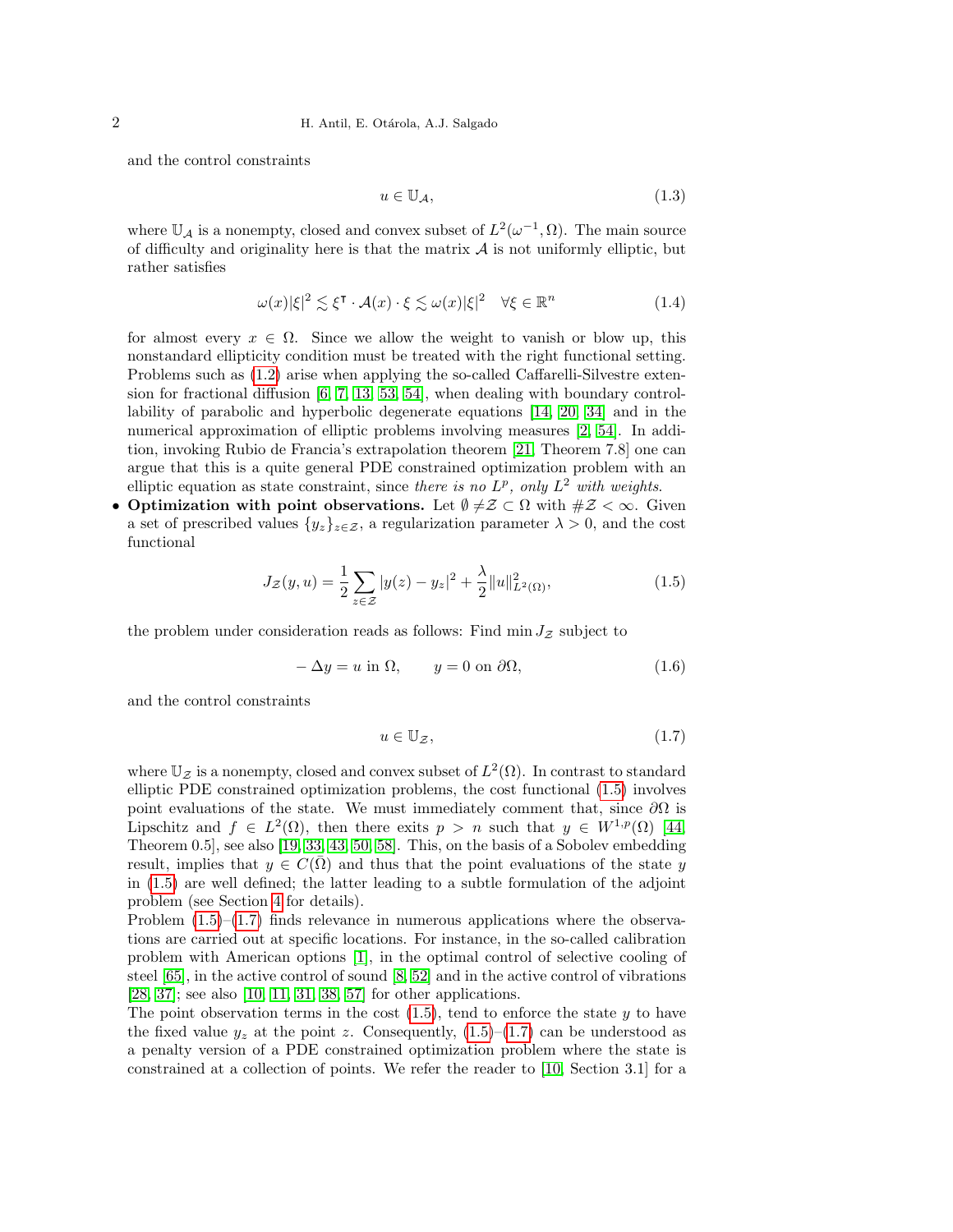and the control constraints

<span id="page-1-3"></span>
$$
u \in \mathbb{U}_{\mathcal{A}},\tag{1.3}
$$

where  $\mathbb{U}_{\mathcal{A}}$  is a nonempty, closed and convex subset of  $L^2(\omega^{-1}, \Omega)$ . The main source of difficulty and originality here is that the matrix  $A$  is not uniformly elliptic, but rather satisfies

<span id="page-1-4"></span>
$$
\omega(x)|\xi|^2 \lesssim \xi^{\mathsf{T}} \cdot \mathcal{A}(x) \cdot \xi \lesssim \omega(x)|\xi|^2 \quad \forall \xi \in \mathbb{R}^n \tag{1.4}
$$

for almost every  $x \in \Omega$ . Since we allow the weight to vanish or blow up, this nonstandard ellipticity condition must be treated with the right functional setting. Problems such as [\(1.2\)](#page-0-0) arise when applying the so-called Caffarelli-Silvestre extension for fractional diffusion [\[6,](#page-24-0) [7,](#page-24-1) [13,](#page-24-2) [53,](#page-26-0) [54\]](#page-26-1), when dealing with boundary controllability of parabolic and hyperbolic degenerate equations [\[14,](#page-24-3) [20,](#page-25-0) [34\]](#page-25-1) and in the numerical approximation of elliptic problems involving measures [\[2,](#page-24-4) [54\]](#page-26-1). In addition, invoking Rubio de Francia's extrapolation theorem [\[21,](#page-25-2) Theorem 7.8] one can argue that this is a quite general PDE constrained optimization problem with an elliptic equation as state constraint, since there is no  $L^p$ , only  $L^2$  with weights.

• Optimization with point observations. Let  $\emptyset \neq \emptyset \subset \Omega$  with  $\#Z < \infty$ . Given a set of prescribed values  $\{y_z\}_{z\in\mathcal{Z}}$ , a regularization parameter  $\lambda > 0$ , and the cost functional

<span id="page-1-0"></span>
$$
J_{\mathcal{Z}}(y, u) = \frac{1}{2} \sum_{z \in \mathcal{Z}} |y(z) - y_z|^2 + \frac{\lambda}{2} ||u||_{L^2(\Omega)}^2,
$$
\n(1.5)

the problem under consideration reads as follows: Find min  $J_z$  subject to

<span id="page-1-2"></span>
$$
-\Delta y = u \text{ in } \Omega, \qquad y = 0 \text{ on } \partial\Omega,
$$
\n(1.6)

and the control constraints

<span id="page-1-1"></span>
$$
u \in \mathbb{U}_{\mathcal{Z}},\tag{1.7}
$$

where  $\mathbb{U}_{\mathcal{Z}}$  is a nonempty, closed and convex subset of  $L^2(\Omega)$ . In contrast to standard elliptic PDE constrained optimization problems, the cost functional [\(1.5\)](#page-1-0) involves point evaluations of the state. We must immediately comment that, since  $\partial\Omega$  is Lipschitz and  $f \in L^2(\Omega)$ , then there exits  $p > n$  such that  $y \in W^{1,p}(\Omega)$  [\[44,](#page-25-3) Theorem 0.5], see also [\[19,](#page-24-5) [33,](#page-25-4) [43,](#page-25-5) [50,](#page-26-2) [58\]](#page-26-3). This, on the basis of a Sobolev embedding result, implies that  $y \in C(\overline{\Omega})$  and thus that the point evaluations of the state y in [\(1.5\)](#page-1-0) are well defined; the latter leading to a subtle formulation of the adjoint problem (see Section [4](#page-12-0) for details).

Problem  $(1.5)$ – $(1.7)$  finds relevance in numerous applications where the observations are carried out at specific locations. For instance, in the so-called calibration problem with American options [\[1\]](#page-24-6), in the optimal control of selective cooling of steel [\[65\]](#page-26-4), in the active control of sound [\[8,](#page-24-7) [52\]](#page-26-5) and in the active control of vibrations [\[28,](#page-25-6) [37\]](#page-25-7); see also [\[10,](#page-24-8) [11,](#page-24-9) [31,](#page-25-8) [38,](#page-25-9) [57\]](#page-26-6) for other applications.

The point observation terms in the cost  $(1.5)$ , tend to enforce the state y to have the fixed value  $y_z$  at the point z. Consequently,  $(1.5)$ – $(1.7)$  can be understood as a penalty version of a PDE constrained optimization problem where the state is constrained at a collection of points. We refer the reader to [\[10,](#page-24-8) Section 3.1] for a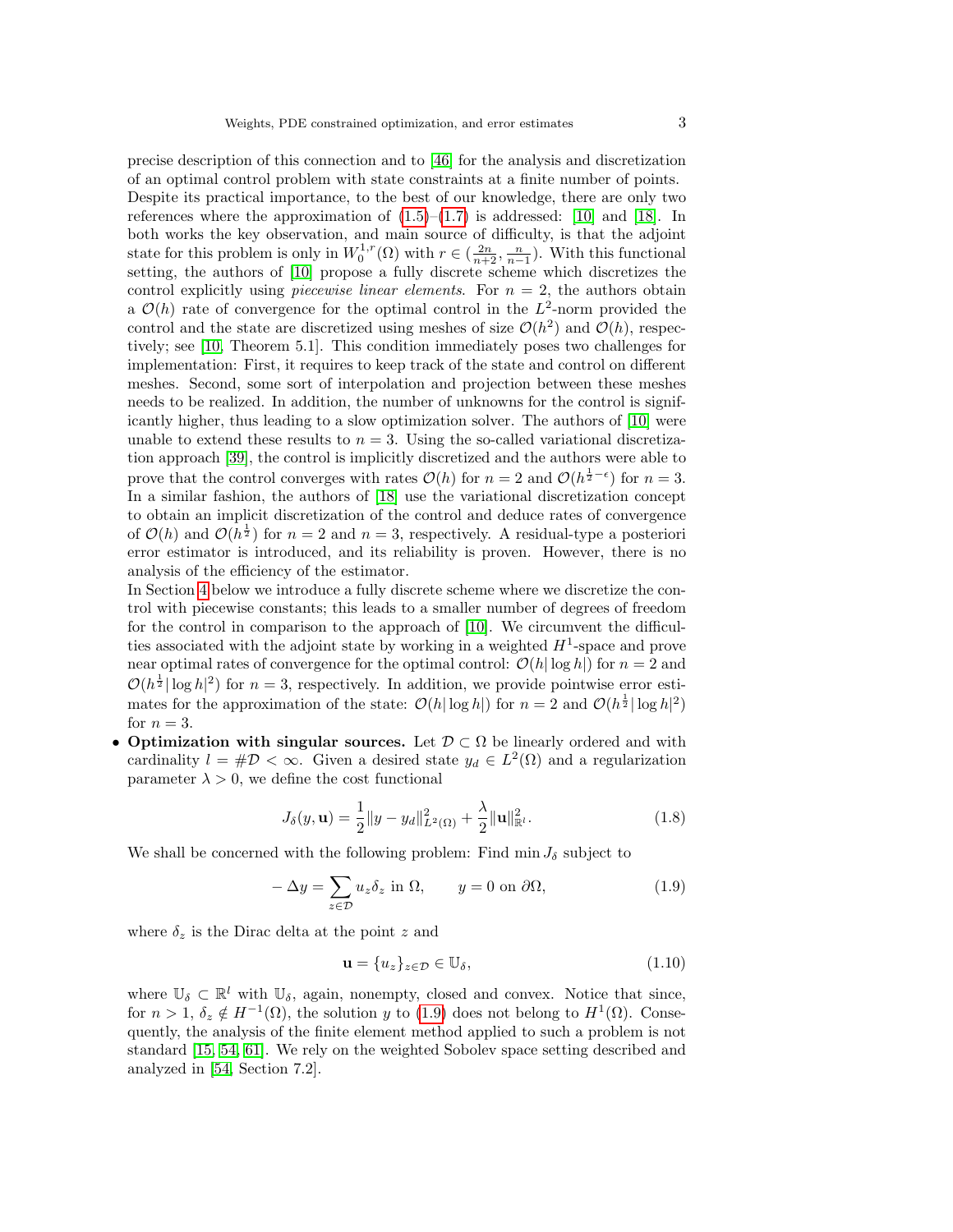precise description of this connection and to [\[46\]](#page-25-10) for the analysis and discretization of an optimal control problem with state constraints at a finite number of points. Despite its practical importance, to the best of our knowledge, there are only two references where the approximation of  $(1.5)$ – $(1.7)$  is addressed: [\[10\]](#page-24-8) and [\[18\]](#page-24-10). In both works the key observation, and main source of difficulty, is that the adjoint state for this problem is only in  $W_0^{1,r}(\Omega)$  with  $r \in (\frac{2n}{n+2}, \frac{n}{n-1})$ . With this functional setting, the authors of [\[10\]](#page-24-8) propose a fully discrete scheme which discretizes the control explicitly using *piecewise linear elements*. For  $n = 2$ , the authors obtain a  $\mathcal{O}(h)$  rate of convergence for the optimal control in the  $L^2$ -norm provided the control and the state are discretized using meshes of size  $\mathcal{O}(h^2)$  and  $\mathcal{O}(h)$ , respectively; see [\[10,](#page-24-8) Theorem 5.1]. This condition immediately poses two challenges for implementation: First, it requires to keep track of the state and control on different meshes. Second, some sort of interpolation and projection between these meshes needs to be realized. In addition, the number of unknowns for the control is significantly higher, thus leading to a slow optimization solver. The authors of [\[10\]](#page-24-8) were unable to extend these results to  $n = 3$ . Using the so-called variational discretization approach [\[39\]](#page-25-11), the control is implicitly discretized and the authors were able to prove that the control converges with rates  $\mathcal{O}(h)$  for  $n=2$  and  $\mathcal{O}(h^{\frac{1}{2}-\epsilon})$  for  $n=3$ . In a similar fashion, the authors of [\[18\]](#page-24-10) use the variational discretization concept to obtain an implicit discretization of the control and deduce rates of convergence of  $\mathcal{O}(h)$  and  $\mathcal{O}(h^{\frac{1}{2}})$  for  $n=2$  and  $n=3$ , respectively. A residual-type a posteriori error estimator is introduced, and its reliability is proven. However, there is no analysis of the efficiency of the estimator.

In Section [4](#page-12-0) below we introduce a fully discrete scheme where we discretize the control with piecewise constants; this leads to a smaller number of degrees of freedom for the control in comparison to the approach of [\[10\]](#page-24-8). We circumvent the difficulties associated with the adjoint state by working in a weighted  $H^1$ -space and prove near optimal rates of convergence for the optimal control:  $\mathcal{O}(h|\log h|)$  for  $n=2$  and  $\mathcal{O}(h^{\frac{1}{2}}|\log h|^2)$  for  $n=3$ , respectively. In addition, we provide pointwise error estimates for the approximation of the state:  $\mathcal{O}(h|\log h|)$  for  $n=2$  and  $\mathcal{O}(h^{\frac{1}{2}}|\log h|^2)$ for  $n=3$ .

• Optimization with singular sources. Let  $\mathcal{D} \subset \Omega$  be linearly ordered and with cardinality  $l = #D < \infty$ . Given a desired state  $y_d \in L^2(\Omega)$  and a regularization parameter  $\lambda > 0$ , we define the cost functional

<span id="page-2-1"></span>
$$
J_{\delta}(y, \mathbf{u}) = \frac{1}{2} ||y - y_d||_{L^2(\Omega)}^2 + \frac{\lambda}{2} ||\mathbf{u}||_{\mathbb{R}^l}^2.
$$
 (1.8)

We shall be concerned with the following problem: Find min  $J_{\delta}$  subject to

<span id="page-2-0"></span>
$$
-\Delta y = \sum_{z \in \mathcal{D}} u_z \delta_z \text{ in } \Omega, \qquad y = 0 \text{ on } \partial \Omega,
$$
 (1.9)

where  $\delta_z$  is the Dirac delta at the point z and

<span id="page-2-2"></span>
$$
\mathbf{u} = \{u_z\}_{z \in \mathcal{D}} \in \mathbb{U}_{\delta},\tag{1.10}
$$

where  $\mathbb{U}_{\delta} \subset \mathbb{R}^l$  with  $\mathbb{U}_{\delta}$ , again, nonempty, closed and convex. Notice that since, for  $n > 1$ ,  $\delta_z \notin H^{-1}(\Omega)$ , the solution y to [\(1.9\)](#page-2-0) does not belong to  $H^1(\Omega)$ . Consequently, the analysis of the finite element method applied to such a problem is not standard [\[15,](#page-24-11) [54,](#page-26-1) [61\]](#page-26-7). We rely on the weighted Sobolev space setting described and analyzed in [\[54,](#page-26-1) Section 7.2].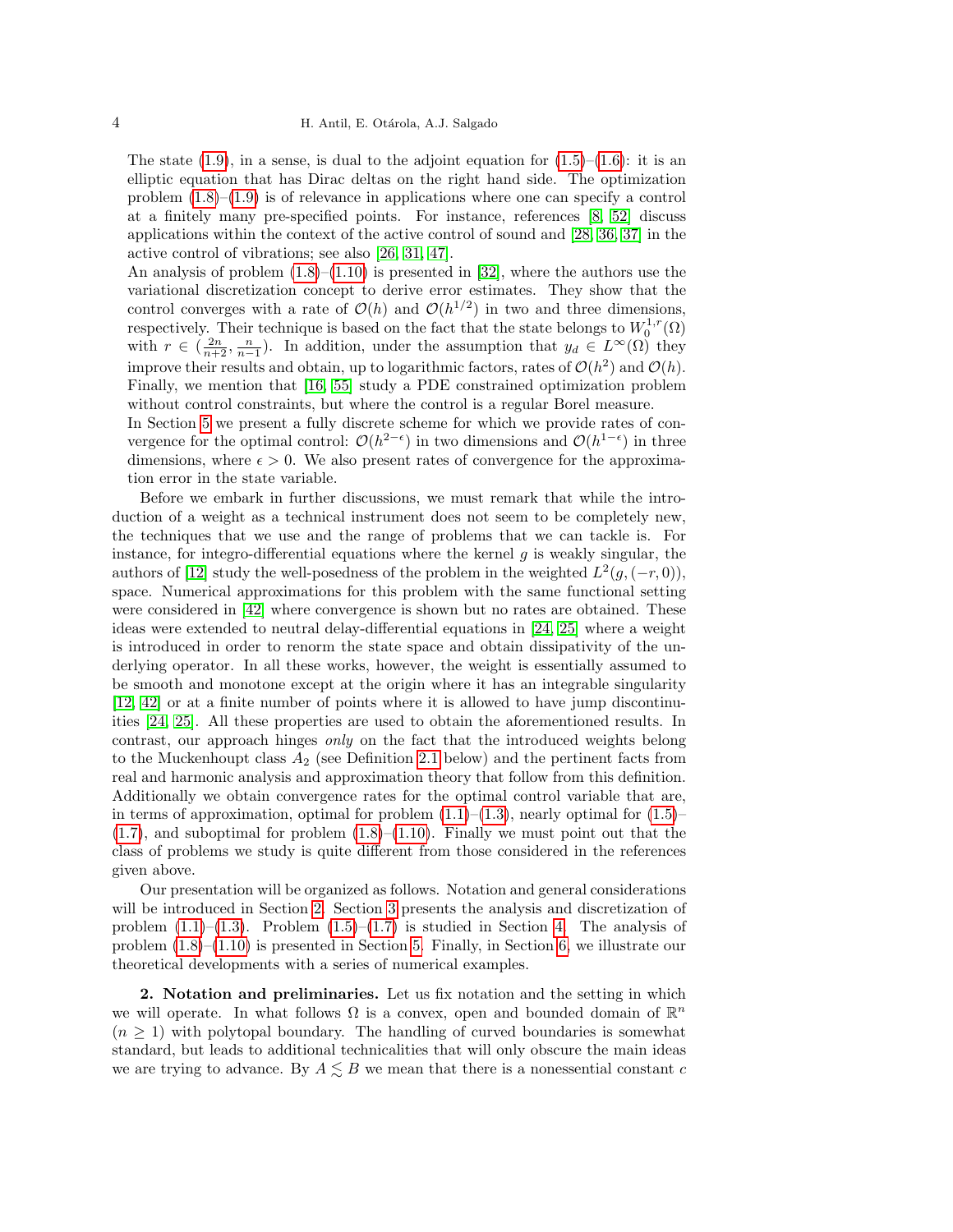The state  $(1.9)$ , in a sense, is dual to the adjoint equation for  $(1.5)$ – $(1.6)$ : it is an elliptic equation that has Dirac deltas on the right hand side. The optimization problem [\(1.8\)](#page-2-1)–[\(1.9\)](#page-2-0) is of relevance in applications where one can specify a control at a finitely many pre-specified points. For instance, references [\[8,](#page-24-7) [52\]](#page-26-5) discuss applications within the context of the active control of sound and [\[28,](#page-25-6) [36,](#page-25-12) [37\]](#page-25-7) in the active control of vibrations; see also [\[26,](#page-25-13) [31,](#page-25-8) [47\]](#page-26-8).

An analysis of problem  $(1.8)$ – $(1.10)$  is presented in [\[32\]](#page-25-14), where the authors use the variational discretization concept to derive error estimates. They show that the control converges with a rate of  $\mathcal{O}(h)$  and  $\mathcal{O}(h^{1/2})$  in two and three dimensions, respectively. Their technique is based on the fact that the state belongs to  $W_0^{1,r}(\Omega)$ with  $r \in (\frac{2n}{n+2}, \frac{n}{n-1})$ . In addition, under the assumption that  $y_d \in L^{\infty}(\Omega)$  they improve their results and obtain, up to logarithmic factors, rates of  $\mathcal{O}(h^2)$  and  $\mathcal{O}(h)$ . Finally, we mention that [\[16,](#page-24-12) [55\]](#page-26-9) study a PDE constrained optimization problem without control constraints, but where the control is a regular Borel measure.

In Section [5](#page-16-0) we present a fully discrete scheme for which we provide rates of convergence for the optimal control:  $\mathcal{O}(h^{2-\epsilon})$  in two dimensions and  $\mathcal{O}(h^{1-\epsilon})$  in three dimensions, where  $\epsilon > 0$ . We also present rates of convergence for the approximation error in the state variable.

Before we embark in further discussions, we must remark that while the introduction of a weight as a technical instrument does not seem to be completely new, the techniques that we use and the range of problems that we can tackle is. For instance, for integro-differential equations where the kernel  $g$  is weakly singular, the authors of [\[12\]](#page-24-13) study the well-posedness of the problem in the weighted  $L^2(g, (-r, 0)),$ space. Numerical approximations for this problem with the same functional setting were considered in [\[42\]](#page-25-15) where convergence is shown but no rates are obtained. These ideas were extended to neutral delay-differential equations in [\[24,](#page-25-16) [25\]](#page-25-17) where a weight is introduced in order to renorm the state space and obtain dissipativity of the underlying operator. In all these works, however, the weight is essentially assumed to be smooth and monotone except at the origin where it has an integrable singularity [\[12,](#page-24-13) [42\]](#page-25-15) or at a finite number of points where it is allowed to have jump discontinuities [\[24,](#page-25-16) [25\]](#page-25-17). All these properties are used to obtain the aforementioned results. In contrast, our approach hinges only on the fact that the introduced weights belong to the Muckenhoupt class  $A_2$  (see Definition [2.1](#page-4-0) below) and the pertinent facts from real and harmonic analysis and approximation theory that follow from this definition. Additionally we obtain convergence rates for the optimal control variable that are, in terms of approximation, optimal for problem  $(1.1)$ – $(1.3)$ , nearly optimal for  $(1.5)$ –  $(1.7)$ , and suboptimal for problem  $(1.8)$ – $(1.10)$ . Finally we must point out that the class of problems we study is quite different from those considered in the references given above.

Our presentation will be organized as follows. Notation and general considerations will be introduced in Section [2.](#page-3-0) Section [3](#page-10-0) presents the analysis and discretization of problem  $(1.1)$ – $(1.3)$ . Problem  $(1.5)$ – $(1.7)$  is studied in Section [4.](#page-12-0) The analysis of problem [\(1.8\)](#page-2-1)–[\(1.10\)](#page-2-2) is presented in Section [5.](#page-16-0) Finally, in Section [6,](#page-19-0) we illustrate our theoretical developments with a series of numerical examples.

<span id="page-3-0"></span>2. Notation and preliminaries. Let us fix notation and the setting in which we will operate. In what follows  $\Omega$  is a convex, open and bounded domain of  $\mathbb{R}^n$  $(n \geq 1)$  with polytopal boundary. The handling of curved boundaries is somewhat standard, but leads to additional technicalities that will only obscure the main ideas we are trying to advance. By  $A \leq B$  we mean that there is a nonessential constant c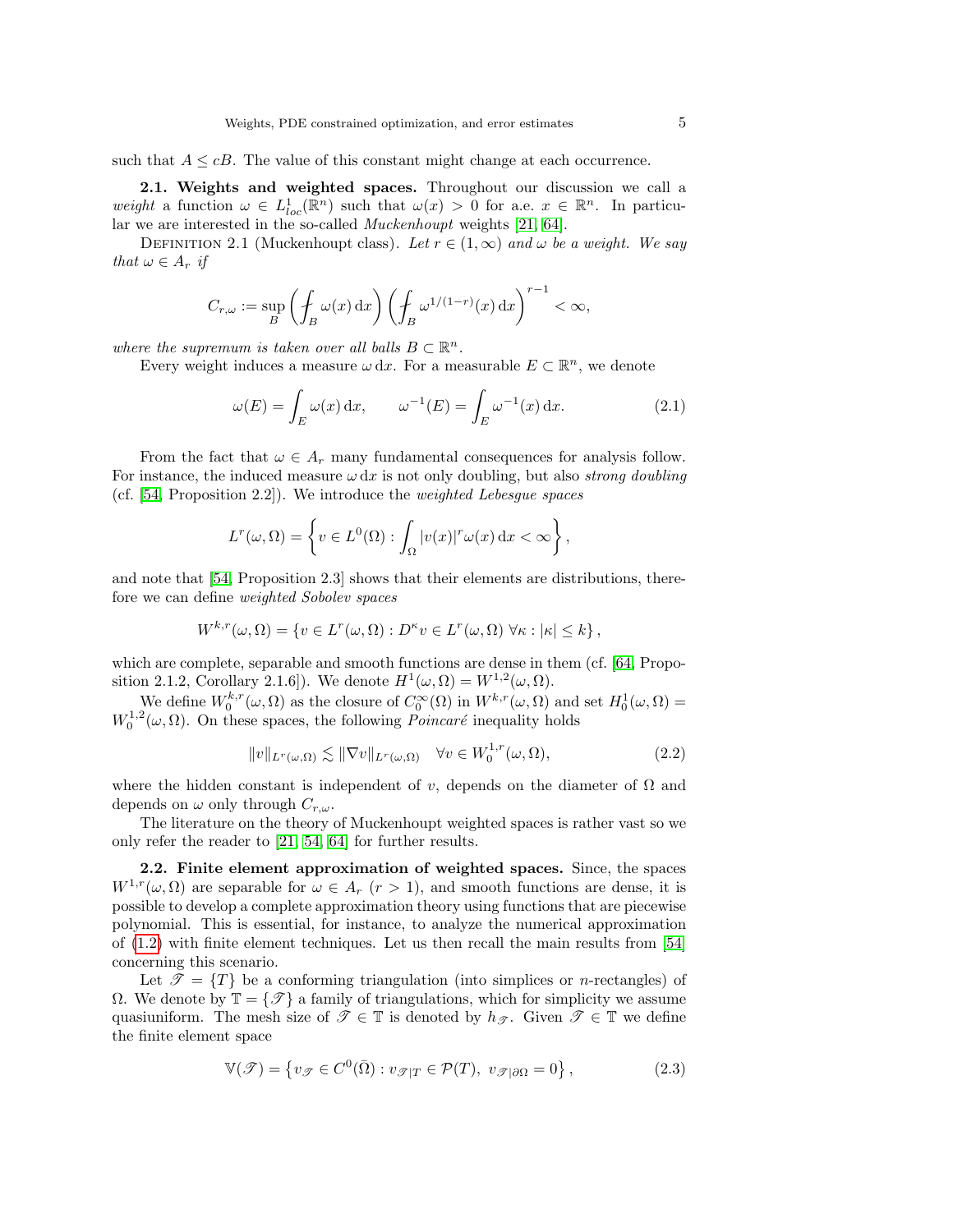such that  $A \leq cB$ . The value of this constant might change at each occurrence.

2.1. Weights and weighted spaces. Throughout our discussion we call a weight a function  $\omega \in L^1_{loc}(\mathbb{R}^n)$  such that  $\omega(x) > 0$  for a.e.  $x \in \mathbb{R}^n$ . In particular we are interested in the so-called Muckenhoupt weights [\[21,](#page-25-2) [64\]](#page-26-10).

<span id="page-4-0"></span>DEFINITION 2.1 (Muckenhoupt class). Let  $r \in (1,\infty)$  and  $\omega$  be a weight. We say that  $\omega \in A_r$  if

$$
C_{r,\omega} := \sup_{B} \left( \oint_B \omega(x) \, dx \right) \left( \oint_B \omega^{1/(1-r)}(x) \, dx \right)^{r-1} < \infty,
$$

where the supremum is taken over all balls  $B \subset \mathbb{R}^n$ .

Every weight induces a measure  $\omega dx$ . For a measurable  $E \subset \mathbb{R}^n$ , we denote

<span id="page-4-3"></span>
$$
\omega(E) = \int_E \omega(x) dx, \qquad \omega^{-1}(E) = \int_E \omega^{-1}(x) dx.
$$
 (2.1)

From the fact that  $\omega \in A_r$  many fundamental consequences for analysis follow. For instance, the induced measure  $\omega dx$  is not only doubling, but also *strong doubling* (cf. [\[54,](#page-26-1) Proposition 2.2]). We introduce the weighted Lebesgue spaces

$$
L^{r}(\omega,\Omega)=\left\{v\in L^{0}(\Omega): \int_{\Omega}|v(x)|^{r}\omega(x)\,\mathrm{d}x<\infty\right\},\,
$$

and note that [\[54,](#page-26-1) Proposition 2.3] shows that their elements are distributions, therefore we can define weighted Sobolev spaces

$$
W^{k,r}(\omega,\Omega) = \{ v \in L^r(\omega,\Omega) : D^{\kappa}v \in L^r(\omega,\Omega) \,\,\forall \kappa : |\kappa| \leq k \},
$$

which are complete, separable and smooth functions are dense in them (cf. [\[64,](#page-26-10) Proposition 2.1.2, Corollary 2.1.6]). We denote  $H^1(\omega, \Omega) = W^{1,2}(\omega, \Omega)$ .

We define  $W_0^{k,r}(\omega,\Omega)$  as the closure of  $C_0^{\infty}(\Omega)$  in  $W^{k,r}(\omega,\Omega)$  and set  $H_0^1(\omega,\Omega)$  =  $W_0^{1,2}(\omega,\Omega)$ . On these spaces, the following *Poincaré* inequality holds

<span id="page-4-2"></span>
$$
||v||_{L^{r}(\omega,\Omega)} \lesssim ||\nabla v||_{L^{r}(\omega,\Omega)} \quad \forall v \in W_0^{1,r}(\omega,\Omega),
$$
\n(2.2)

where the hidden constant is independent of v, depends on the diameter of  $\Omega$  and depends on  $\omega$  only through  $C_{r,\omega}$ .

The literature on the theory of Muckenhoupt weighted spaces is rather vast so we only refer the reader to [\[21,](#page-25-2) [54,](#page-26-1) [64\]](#page-26-10) for further results.

<span id="page-4-4"></span>2.2. Finite element approximation of weighted spaces. Since, the spaces  $W^{1,r}(\omega,\Omega)$  are separable for  $\omega \in A_r$   $(r > 1)$ , and smooth functions are dense, it is possible to develop a complete approximation theory using functions that are piecewise polynomial. This is essential, for instance, to analyze the numerical approximation of [\(1.2\)](#page-0-0) with finite element techniques. Let us then recall the main results from [\[54\]](#page-26-1) concerning this scenario.

Let  $\mathcal{T} = \{T\}$  be a conforming triangulation (into simplices or *n*-rectangles) of Ω. We denote by  $\mathbb{T} = \{ \mathcal{T} \}$  a family of triangulations, which for simplicity we assume quasiuniform. The mesh size of  $\mathscr{T} \in \mathbb{T}$  is denoted by  $h_{\mathscr{T}}$ . Given  $\mathscr{T} \in \mathbb{T}$  we define the finite element space

<span id="page-4-1"></span>
$$
\mathbb{V}(\mathcal{F}) = \{ v_{\mathcal{F}} \in C^0(\bar{\Omega}) : v_{\mathcal{F}|T} \in \mathcal{P}(T), \ v_{\mathcal{F}|\partial\Omega} = 0 \},\tag{2.3}
$$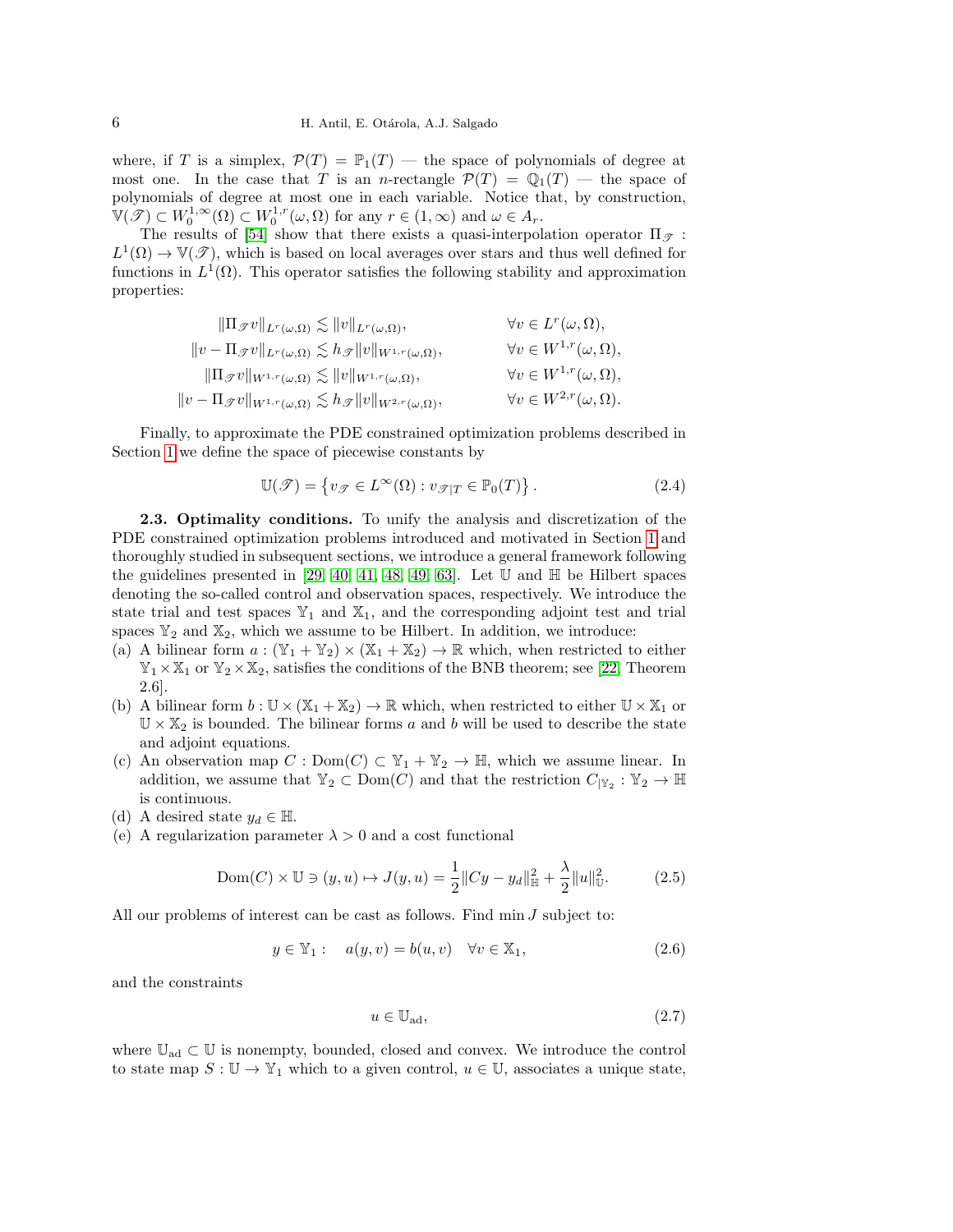where, if T is a simplex,  $\mathcal{P}(T) = \mathbb{P}_1(T)$  — the space of polynomials of degree at most one. In the case that T is an *n*-rectangle  $\mathcal{P}(T) = \mathbb{Q}_1(T)$  — the space of polynomials of degree at most one in each variable. Notice that, by construction,  $\mathbb{V}(\mathscr{T}) \subset W_0^{1,\infty}(\Omega) \subset W_0^{1,r}(\omega,\Omega)$  for any  $r \in (1,\infty)$  and  $\omega \in A_r$ .

The results of [\[54\]](#page-26-1) show that there exists a quasi-interpolation operator  $\Pi_{\mathscr{T}}$ :  $L^1(\Omega) \to \mathbb{V}(\mathscr{T})$ , which is based on local averages over stars and thus well defined for functions in  $L^1(\Omega)$ . This operator satisfies the following stability and approximation properties:

$$
\|\Pi_{\mathscr{T}}v\|_{L^r(\omega,\Omega)} \lesssim \|v\|_{L^r(\omega,\Omega)}, \qquad \forall v \in L^r(\omega,\Omega),
$$
  
\n
$$
\|v - \Pi_{\mathscr{T}}v\|_{L^r(\omega,\Omega)} \lesssim h_{\mathscr{T}}\|v\|_{W^{1,r}(\omega,\Omega)}, \qquad \forall v \in W^{1,r}(\omega,\Omega),
$$
  
\n
$$
\|\Pi_{\mathscr{T}}v\|_{W^{1,r}(\omega,\Omega)} \lesssim \|v\|_{W^{1,r}(\omega,\Omega)}, \qquad \forall v \in W^{1,r}(\omega,\Omega),
$$
  
\n
$$
\|v - \Pi_{\mathscr{T}}v\|_{W^{1,r}(\omega,\Omega)} \lesssim h_{\mathscr{T}}\|v\|_{W^{2,r}(\omega,\Omega)}, \qquad \forall v \in W^{2,r}(\omega,\Omega).
$$

Finally, to approximate the PDE constrained optimization problems described in Section [1](#page-0-2) we define the space of piecewise constants by

<span id="page-5-8"></span>
$$
\mathbb{U}(\mathcal{T}) = \{ v_{\mathcal{T}} \in L^{\infty}(\Omega) : v_{\mathcal{T}|T} \in \mathbb{P}_0(T) \}.
$$
 (2.4)

<span id="page-5-6"></span>2.3. Optimality conditions. To unify the analysis and discretization of the PDE constrained optimization problems introduced and motivated in Section [1](#page-0-2) and thoroughly studied in subsequent sections, we introduce a general framework following the guidelines presented in [\[29,](#page-25-18) [40,](#page-25-19) [41,](#page-25-20) [48,](#page-26-11) [49,](#page-26-12) [63\]](#page-26-13). Let  $\mathbb U$  and  $\mathbb H$  be Hilbert spaces denoting the so-called control and observation spaces, respectively. We introduce the state trial and test spaces  $\mathbb{Y}_1$  and  $\mathbb{X}_1$ , and the corresponding adjoint test and trial spaces  $\mathbb{Y}_2$  and  $\mathbb{X}_2$ , which we assume to be Hilbert. In addition, we introduce:

- <span id="page-5-1"></span>(a) A bilinear form  $a: (\mathbb{Y}_1 + \mathbb{Y}_2) \times (\mathbb{X}_1 + \mathbb{X}_2) \to \mathbb{R}$  which, when restricted to either  $\mathbb{Y}_1 \times \mathbb{X}_1$  or  $\mathbb{Y}_2 \times \mathbb{X}_2$ , satisfies the conditions of the BNB theorem; see [\[22,](#page-25-21) Theorem 2.6].
- <span id="page-5-2"></span>(b) A bilinear form  $b: \mathbb{U} \times (\mathbb{X}_1 + \mathbb{X}_2) \to \mathbb{R}$  which, when restricted to either  $\mathbb{U} \times \mathbb{X}_1$  or  $\mathbb{U} \times \mathbb{X}_2$  is bounded. The bilinear forms a and b will be used to describe the state and adjoint equations.
- <span id="page-5-5"></span>(c) An observation map  $C : Dom(C) \subset \mathbb{Y}_1 + \mathbb{Y}_2 \to \mathbb{H}$ , which we assume linear. In addition, we assume that  $\mathbb{Y}_2 \subset \text{Dom}(C)$  and that the restriction  $C_{|\mathbb{Y}_2} : \mathbb{Y}_2 \to \mathbb{H}$ is continuous.
- (d) A desired state  $y_d \in \mathbb{H}$ .
- <span id="page-5-4"></span>(e) A regularization parameter  $\lambda > 0$  and a cost functional

<span id="page-5-3"></span>
$$
Dom(C) \times \mathbb{U} \ni (y, u) \mapsto J(y, u) = \frac{1}{2} || Cy - y_d||_{\mathbb{H}}^2 + \frac{\lambda}{2} ||u||_{\mathbb{U}}^2.
$$
 (2.5)

All our problems of interest can be cast as follows. Find  $\min J$  subject to:

<span id="page-5-0"></span>
$$
y \in \mathbb{Y}_1: \quad a(y, v) = b(u, v) \quad \forall v \in \mathbb{X}_1,\tag{2.6}
$$

and the constraints

<span id="page-5-7"></span>
$$
u \in \mathbb{U}_{\text{ad}},\tag{2.7}
$$

where  $\mathbb{U}_{ad} \subset \mathbb{U}$  is nonempty, bounded, closed and convex. We introduce the control to state map  $S: \mathbb{U} \to \mathbb{Y}_1$  which to a given control,  $u \in \mathbb{U}$ , associates a unique state,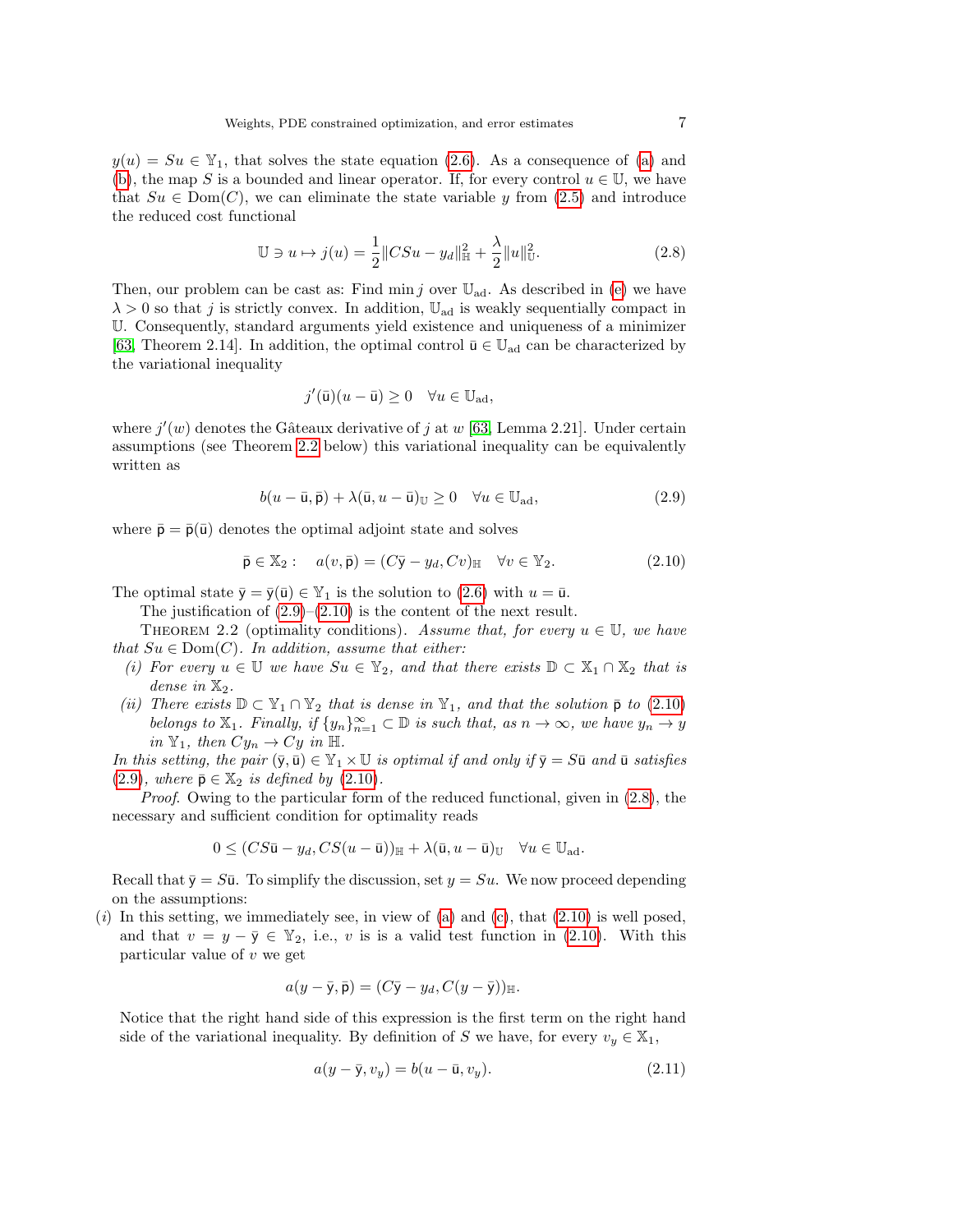$y(u) = Su \in \mathbb{Y}_1$ , that solves the state equation [\(2.6\)](#page-5-0). As a consequence of [\(a\)](#page-5-1) and [\(b\)](#page-5-2), the map S is a bounded and linear operator. If, for every control  $u \in \mathbb{U}$ , we have that  $Su \in \text{Dom}(C)$ , we can eliminate the state variable y from [\(2.5\)](#page-5-3) and introduce the reduced cost functional

<span id="page-6-3"></span>
$$
\mathbb{U} \ni u \mapsto j(u) = \frac{1}{2} \|CSu - y_d\|_{\mathbb{H}}^2 + \frac{\lambda}{2} \|u\|_{\mathbb{U}}^2.
$$
 (2.8)

Then, our problem can be cast as: Find min j over  $\mathbb{U}_{ad}$ . As described in [\(e\)](#page-5-4) we have  $\lambda > 0$  so that j is strictly convex. In addition,  $\mathbb{U}_{ad}$  is weakly sequentially compact in U. Consequently, standard arguments yield existence and uniqueness of a minimizer [\[63,](#page-26-13) Theorem 2.14]. In addition, the optimal control  $\bar{u} \in \mathbb{U}_{ad}$  can be characterized by the variational inequality

$$
j'(\bar{\mathbf{u}})(u - \bar{\mathbf{u}}) \ge 0 \quad \forall u \in \mathbb{U}_{ad},
$$

where  $j'(w)$  denotes the Gâteaux derivative of j at w [\[63,](#page-26-13) Lemma 2.21]. Under certain assumptions (see Theorem [2.2](#page-6-0) below) this variational inequality can be equivalently written as

<span id="page-6-1"></span>
$$
b(u - \bar{u}, \bar{p}) + \lambda(\bar{u}, u - \bar{u})_{\mathbb{U}} \ge 0 \quad \forall u \in \mathbb{U}_{ad}, \tag{2.9}
$$

where  $\bar{\mathbf{p}} = \bar{\mathbf{p}}(\bar{\mathbf{u}})$  denotes the optimal adjoint state and solves

<span id="page-6-2"></span>
$$
\bar{\mathbf{p}} \in \mathbb{X}_2: \quad a(v, \bar{\mathbf{p}}) = (C\bar{\mathbf{y}} - y_d, Cv)_{\mathbb{H}} \quad \forall v \in \mathbb{Y}_2. \tag{2.10}
$$

The optimal state  $\bar{y} = \bar{y}(\bar{u}) \in Y_1$  is the solution to [\(2.6\)](#page-5-0) with  $u = \bar{u}$ .

The justification of  $(2.9)$ – $(2.10)$  is the content of the next result.

<span id="page-6-0"></span>THEOREM 2.2 (optimality conditions). Assume that, for every  $u \in U$ , we have that  $Su \in Dom(C)$ . In addition, assume that either:

- (i) For every  $u \in \mathbb{U}$  we have  $Su \in \mathbb{Y}_2$ , and that there exists  $\mathbb{D} \subset \mathbb{X}_1 \cap \mathbb{X}_2$  that is dense in  $\mathbb{X}_2$ .
- (ii) There exists  $\mathbb{D} \subset \mathbb{Y}_1 \cap \mathbb{Y}_2$  that is dense in  $\mathbb{Y}_1$ , and that the solution  $\bar{\mathsf{p}}$  to [\(2.10\)](#page-6-2) belongs to  $\mathbb{X}_1$ . Finally, if  $\{y_n\}_{n=1}^{\infty} \subset \mathbb{D}$  is such that, as  $n \to \infty$ , we have  $y_n \to y$ in  $\mathbb{Y}_1$ , then  $Cy_n \to Cy$  in H.

In this setting, the pair  $(\bar{y}, \bar{u}) \in \mathbb{Y}_1 \times \mathbb{U}$  is optimal if and only if  $\bar{y} = S\bar{u}$  and  $\bar{u}$  satisfies [\(2.9\)](#page-6-1), where  $\bar{\mathsf{p}} \in \mathbb{X}_2$  is defined by [\(2.10\)](#page-6-2).

Proof. Owing to the particular form of the reduced functional, given in  $(2.8)$ , the necessary and sufficient condition for optimality reads

$$
0 \le (CS\bar{\mathbf{u}} - y_d, CS(u - \bar{\mathbf{u}}))_{\mathbb{H}} + \lambda(\bar{\mathbf{u}}, u - \bar{\mathbf{u}})_{\mathbb{U}} \quad \forall u \in \mathbb{U}_{ad}.
$$

Recall that  $\bar{y} = S\bar{u}$ . To simplify the discussion, set  $y = Su$ . We now proceed depending on the assumptions:

(i) In this setting, we immediately see, in view of [\(a\)](#page-5-1) and [\(c\)](#page-5-5), that  $(2.10)$  is well posed, and that  $v = y - \overline{y} \in \mathbb{Y}_2$ , i.e., v is is a valid test function in [\(2.10\)](#page-6-2). With this particular value of  $v$  we get

$$
a(y-\bar{y},\bar{p})=(C\bar{y}-y_d,C(y-\bar{y}))_{\mathbb{H}}.
$$

Notice that the right hand side of this expression is the first term on the right hand side of the variational inequality. By definition of S we have, for every  $v_y \in \mathbb{X}_1$ ,

<span id="page-6-4"></span>
$$
a(y - \bar{y}, v_y) = b(u - \bar{u}, v_y). \tag{2.11}
$$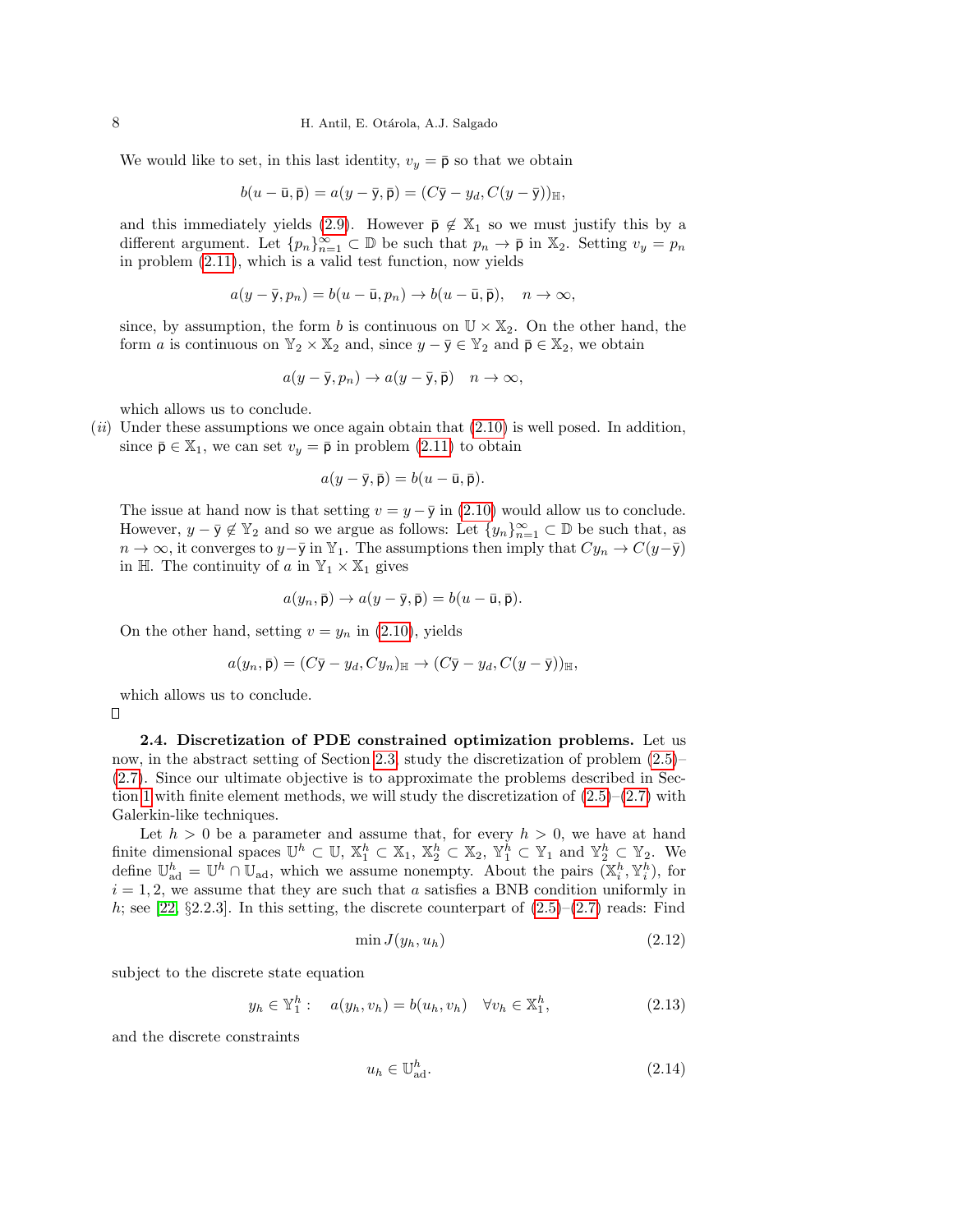We would like to set, in this last identity,  $v_y = \bar{p}$  so that we obtain

$$
b(u - \bar{u}, \bar{p}) = a(y - \bar{y}, \bar{p}) = (C\bar{y} - y_d, C(y - \bar{y}))_{\mathbb{H}},
$$

and this immediately yields [\(2.9\)](#page-6-1). However  $\bar{\mathsf{p}} \notin \mathbb{X}_1$  so we must justify this by a different argument. Let  $\{p_n\}_{n=1}^{\infty} \subset \mathbb{D}$  be such that  $p_n \to \bar{\mathsf{p}}$  in  $\mathbb{X}_2$ . Setting  $v_y = p_n$ in problem [\(2.11\)](#page-6-4), which is a valid test function, now yields

$$
a(y - \bar{y}, p_n) = b(u - \bar{u}, p_n) \to b(u - \bar{u}, \bar{p}), \quad n \to \infty,
$$

since, by assumption, the form b is continuous on  $\mathbb{U} \times \mathbb{X}_2$ . On the other hand, the form a is continuous on  $\mathbb{Y}_2 \times \mathbb{X}_2$  and, since  $y - \overline{y} \in \mathbb{Y}_2$  and  $\overline{p} \in \mathbb{X}_2$ , we obtain

$$
a(y-\overline{y},p_n) \to a(y-\overline{y},\overline{p}) \quad n \to \infty,
$$

which allows us to conclude.

 $(ii)$  Under these assumptions we once again obtain that  $(2.10)$  is well posed. In addition, since  $\bar{\mathsf{p}} \in \mathbb{X}_1$ , we can set  $v_y = \bar{\mathsf{p}}$  in problem [\(2.11\)](#page-6-4) to obtain

$$
a(y-\bar{y},\bar{p})=b(u-\bar{u},\bar{p}).
$$

The issue at hand now is that setting  $v = y - \overline{y}$  in [\(2.10\)](#page-6-2) would allow us to conclude. However,  $y - \bar{y} \notin \mathbb{Y}_2$  and so we argue as follows: Let  $\{y_n\}_{n=1}^{\infty} \subset \mathbb{D}$  be such that, as  $n \to \infty$ , it converges to  $y-\overline{y}$  in Y<sub>1</sub>. The assumptions then imply that  $Cy_n \to C(y-\overline{y})$ in H. The continuity of a in  $\mathbb{Y}_1 \times \mathbb{X}_1$  gives

$$
a(y_n, \bar{\mathsf{p}}) \to a(y - \bar{\mathsf{y}}, \bar{\mathsf{p}}) = b(u - \bar{\mathsf{u}}, \bar{\mathsf{p}}).
$$

On the other hand, setting  $v = y_n$  in [\(2.10\)](#page-6-2), yields

$$
a(y_n, \bar{\mathbf{p}}) = (C\bar{\mathbf{y}} - y_d, Cy_n)_{\mathbb{H}} \to (C\bar{\mathbf{y}} - y_d, C(y - \bar{\mathbf{y}}))_{\mathbb{H}},
$$

which allows us to conclude.

П

<span id="page-7-3"></span>**2.4. Discretization of PDE constrained optimization problems.** Let us now, in the abstract setting of Section 2.3, study the discretization of problem 
$$
(2.5)
$$
–(2.7). Since our ultimate objective is to approximate the problems described in Section 1 with finite element methods, we will study the discretization of  $(2.5)$ –(2.7) with Galerkin-like techniques.

Let  $h > 0$  be a parameter and assume that, for every  $h > 0$ , we have at hand finite dimensional spaces  $\mathbb{U}^h \subset \mathbb{U}$ ,  $\mathbb{X}_1^h \subset \mathbb{X}_1$ ,  $\mathbb{X}_2^h \subset \mathbb{X}_2$ ,  $\mathbb{Y}_1^h \subset \mathbb{Y}_1$  and  $\mathbb{Y}_2^h \subset \mathbb{Y}_2$ . We define  $\mathbb{U}_{ad}^h = \mathbb{U}^h \cap \mathbb{U}_{ad}$ , which we assume nonempty. About the pairs  $(\mathbb{X}_i^h, \mathbb{Y}_i^h)$ , for  $i = 1, 2$ , we assume that they are such that a satisfies a BNB condition uniformly in h; see [\[22,](#page-25-21)  $\S 2.2.3$ ]. In this setting, the discrete counterpart of  $(2.5)-(2.7)$  $(2.5)-(2.7)$  $(2.5)-(2.7)$  reads: Find

<span id="page-7-1"></span>
$$
\min J(y_h, u_h) \tag{2.12}
$$

subject to the discrete state equation

<span id="page-7-0"></span>
$$
y_h \in \mathbb{Y}_1^h: \quad a(y_h, v_h) = b(u_h, v_h) \quad \forall v_h \in \mathbb{X}_1^h,
$$
\n
$$
(2.13)
$$

and the discrete constraints

<span id="page-7-2"></span>
$$
u_h \in \mathbb{U}_{\text{ad}}^h. \tag{2.14}
$$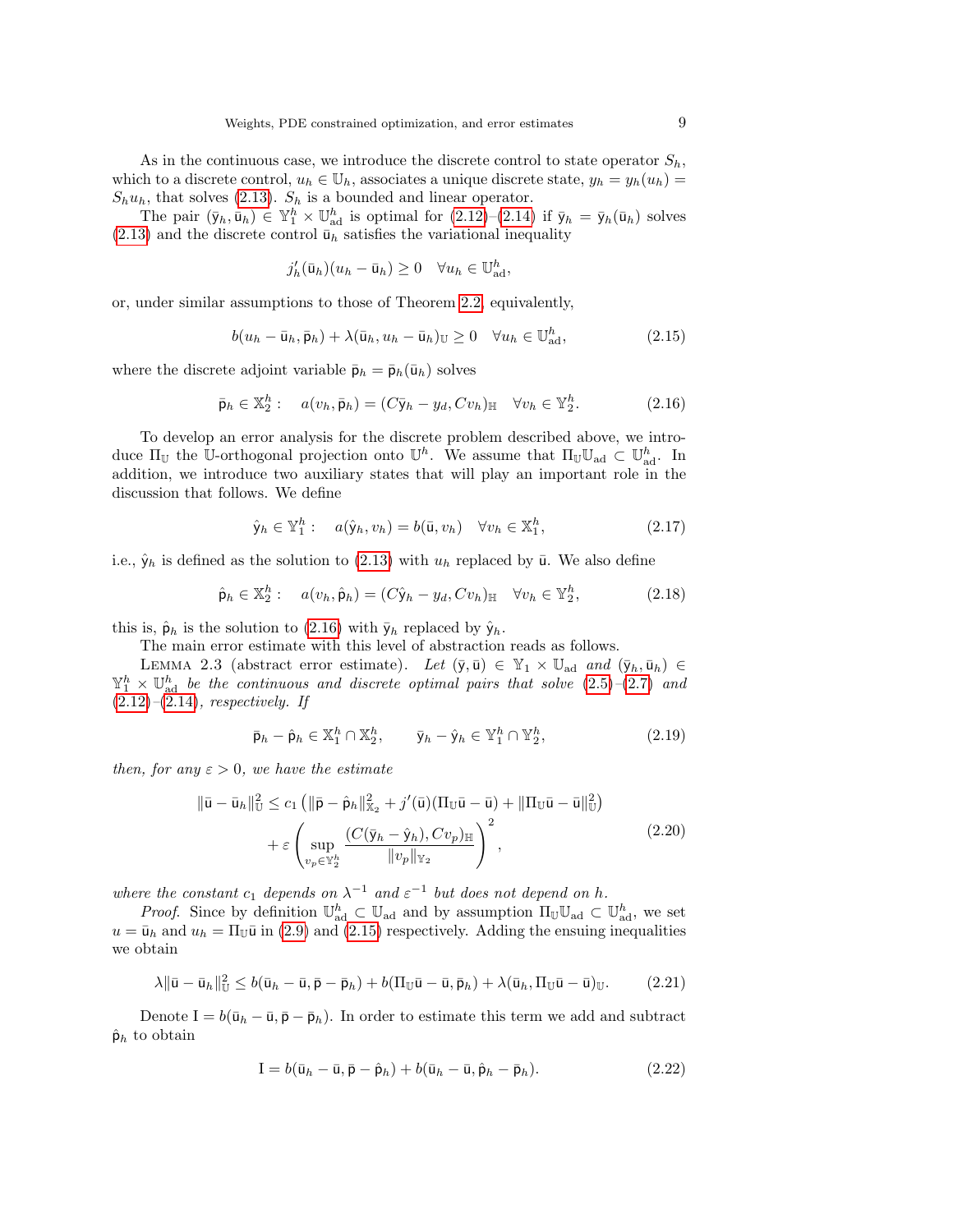As in the continuous case, we introduce the discrete control to state operator  $S_h$ , which to a discrete control,  $u_h \in \mathbb{U}_h$ , associates a unique discrete state,  $y_h = y_h(u_h) =$  $S_h u_h$ , that solves [\(2.13\)](#page-7-0).  $S_h$  is a bounded and linear operator.

The pair  $(\bar{y}_h, \bar{u}_h) \in \mathbb{Y}_1^h \times \mathbb{U}_{ad}^h$  is optimal for  $(2.12)-(2.14)$  $(2.12)-(2.14)$  $(2.12)-(2.14)$  if  $\bar{y}_h = \bar{y}_h(\bar{u}_h)$  solves  $(2.13)$  and the discrete control  $\bar{u}_h$  satisfies the variational inequality

$$
j'_h(\bar{\mathbf{u}}_h)(u_h - \bar{\mathbf{u}}_h) \ge 0 \quad \forall u_h \in \mathbb{U}_{\text{ad}}^h,
$$

or, under similar assumptions to those of Theorem [2.2,](#page-6-0) equivalently,

<span id="page-8-1"></span>
$$
b(u_h - \bar{u}_h, \bar{p}_h) + \lambda(\bar{u}_h, u_h - \bar{u}_h)_{\mathbb{U}} \ge 0 \quad \forall u_h \in \mathbb{U}_{ad}^h,
$$
\n(2.15)

where the discrete adjoint variable  $\bar{p}_h = \bar{p}_h(\bar{u}_h)$  solves

<span id="page-8-0"></span>
$$
\bar{\mathsf{p}}_h \in \mathbb{X}_2^h: \quad a(v_h, \bar{\mathsf{p}}_h) = (C\bar{\mathsf{y}}_h - y_d, Cv_h)_{\mathbb{H}} \quad \forall v_h \in \mathbb{Y}_2^h. \tag{2.16}
$$

To develop an error analysis for the discrete problem described above, we introduce  $\Pi_{\mathbb{U}}$  the U-orthogonal projection onto  $\mathbb{U}^h$ . We assume that  $\Pi_{\mathbb{U}}\mathbb{U}_{ad} \subset \mathbb{U}_{ad}^h$ . In addition, we introduce two auxiliary states that will play an important role in the discussion that follows. We define

<span id="page-8-3"></span>
$$
\hat{\mathbf{y}}_h \in \mathbb{Y}_1^h: \quad a(\hat{\mathbf{y}}_h, v_h) = b(\bar{\mathbf{u}}, v_h) \quad \forall v_h \in \mathbb{X}_1^h,
$$
\n(2.17)

i.e.,  $\hat{y}_h$  is defined as the solution to [\(2.13\)](#page-7-0) with  $u_h$  replaced by  $\bar{u}$ . We also define

<span id="page-8-2"></span>
$$
\hat{\mathsf{p}}_h \in \mathbb{X}_2^h: \quad a(v_h, \hat{\mathsf{p}}_h) = (C\hat{\mathsf{y}}_h - y_d, Cv_h)_{\mathbb{H}} \quad \forall v_h \in \mathbb{Y}_2^h, \tag{2.18}
$$

this is,  $\hat{\mathsf{p}}_h$  is the solution to [\(2.16\)](#page-8-0) with  $\bar{\mathsf{y}}_h$  replaced by  $\hat{\mathsf{y}}_h$ .

The main error estimate with this level of abstraction reads as follows.

<span id="page-8-8"></span>LEMMA 2.3 (abstract error estimate). Let  $(\bar{y}, \bar{u}) \in \mathbb{Y}_1 \times \mathbb{U}_{ad}$  and  $(\bar{y}_h, \bar{u}_h) \in$  $\mathbb{Y}_1^h \times \mathbb{U}_{ad}^h$  be the continuous and discrete optimal pairs that solve  $(2.5)-(2.7)$  $(2.5)-(2.7)$  $(2.5)-(2.7)$  and  $(2.12)$ – $(2.14)$ , respectively. If

<span id="page-8-4"></span>
$$
\bar{\mathsf{p}}_h - \hat{\mathsf{p}}_h \in \mathbb{X}_1^h \cap \mathbb{X}_2^h, \qquad \bar{\mathsf{y}}_h - \hat{\mathsf{y}}_h \in \mathbb{Y}_1^h \cap \mathbb{Y}_2^h, \tag{2.19}
$$

then, for any  $\varepsilon > 0$ , we have the estimate

<span id="page-8-7"></span>
$$
\|\bar{\mathbf{u}} - \bar{\mathbf{u}}_h\|_{\mathbb{U}}^2 \le c_1 \left( \|\bar{\mathbf{p}} - \hat{\mathbf{p}}_h\|_{\mathbb{X}_2}^2 + j'(\bar{\mathbf{u}})(\Pi_{\mathbb{U}}\bar{\mathbf{u}} - \bar{\mathbf{u}}) + \|\Pi_{\mathbb{U}}\bar{\mathbf{u}} - \bar{\mathbf{u}}\|_{\mathbb{U}}^2 \right) + \varepsilon \left( \sup_{v_p \in \mathbb{Y}_2^h} \frac{(C(\bar{y}_h - \hat{y}_h), Cv_p)_{\mathbb{H}}}{\|v_p\|_{\mathbb{Y}_2}} \right)^2,
$$
(2.20)

where the constant  $c_1$  depends on  $\lambda^{-1}$  and  $\varepsilon^{-1}$  but does not depend on h.

*Proof.* Since by definition  $\mathbb{U}_{ad}^h \subset \mathbb{U}_{ad}$  and by assumption  $\Pi_{\mathbb{U}}\mathbb{U}_{ad} \subset \mathbb{U}_{ad}^h$ , we set  $u = \bar{u}_h$  and  $u_h = \Pi_{\mathbb{U}}\bar{u}$  in [\(2.9\)](#page-6-1) and [\(2.15\)](#page-8-1) respectively. Adding the ensuing inequalities we obtain

<span id="page-8-6"></span>
$$
\lambda \|\bar{\mathbf{u}} - \bar{\mathbf{u}}_h\|_{\mathbb{U}}^2 \le b(\bar{\mathbf{u}}_h - \bar{\mathbf{u}}, \bar{\mathbf{p}} - \bar{\mathbf{p}}_h) + b(\Pi_{\mathbb{U}}\bar{\mathbf{u}} - \bar{\mathbf{u}}, \bar{\mathbf{p}}_h) + \lambda(\bar{\mathbf{u}}_h, \Pi_{\mathbb{U}}\bar{\mathbf{u}} - \bar{\mathbf{u}})_{\mathbb{U}}.\tag{2.21}
$$

Denote I =  $b(\bar{u}_h - \bar{u}, \bar{p} - \bar{p}_h)$ . In order to estimate this term we add and subtract  $\hat{\mathsf{p}}_h$  to obtain

<span id="page-8-5"></span>
$$
\mathbf{I} = b(\bar{\mathbf{u}}_h - \bar{\mathbf{u}}, \bar{\mathbf{p}} - \hat{\mathbf{p}}_h) + b(\bar{\mathbf{u}}_h - \bar{\mathbf{u}}, \hat{\mathbf{p}}_h - \bar{\mathbf{p}}_h). \tag{2.22}
$$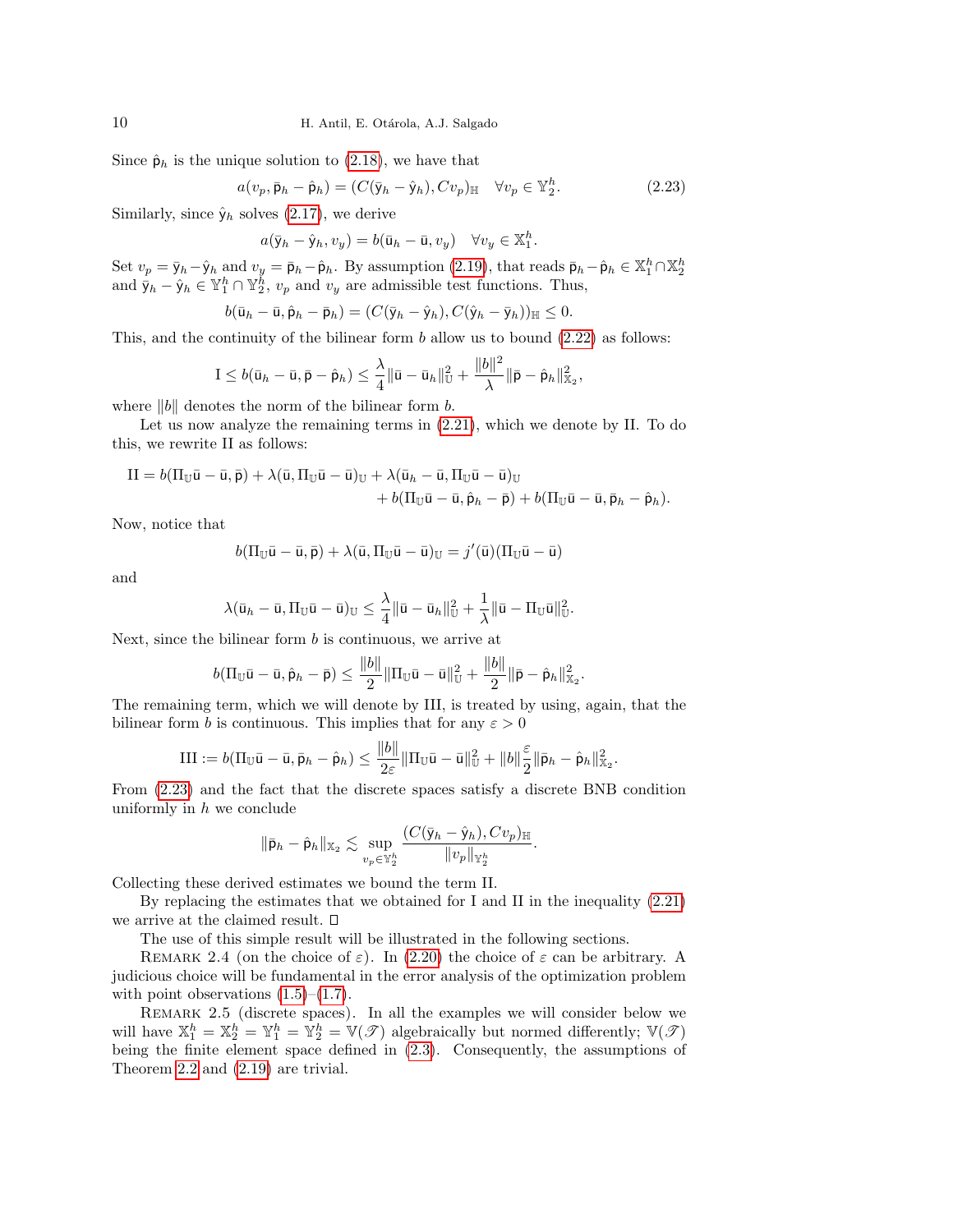Since  $\hat{\mathsf{p}}_h$  is the unique solution to [\(2.18\)](#page-8-2), we have that

<span id="page-9-0"></span>
$$
a(v_p, \bar{\mathbf{p}}_h - \hat{\mathbf{p}}_h) = (C(\bar{y}_h - \hat{y}_h), Cv_p)_{\mathbb{H}} \quad \forall v_p \in \mathbb{Y}_2^h.
$$
 (2.23)

Similarly, since  $\hat{\mathsf{y}}_h$  solves [\(2.17\)](#page-8-3), we derive

$$
a(\bar{y}_h - \hat{y}_h, v_y) = b(\bar{u}_h - \bar{u}, v_y) \quad \forall v_y \in \mathbb{X}_1^h.
$$

Set  $v_p = \bar{y}_h - \hat{y}_h$  and  $v_y = \bar{p}_h - \hat{p}_h$ . By assumption [\(2.19\)](#page-8-4), that reads  $\bar{p}_h - \hat{p}_h \in \mathbb{X}_1^h \cap \mathbb{X}_2^h$ <br>and  $\bar{y}_h - \hat{y}_h \in \mathbb{Y}_1^h \cap \mathbb{Y}_2^h$ ,  $v_p$  and  $v_y$  are admissible test functions. Thus,

$$
b(\bar{\mathsf{u}}_h - \bar{\mathsf{u}}, \hat{\mathsf{p}}_h - \bar{\mathsf{p}}_h) = (C(\bar{\mathsf{y}}_h - \hat{\mathsf{y}}_h), C(\hat{\mathsf{y}}_h - \bar{\mathsf{y}}_h))_{\mathbb{H}} \leq 0.
$$

This, and the continuity of the bilinear form  $b$  allow us to bound  $(2.22)$  as follows:

$$
I \leq b(\bar{u}_h - \bar{u}, \bar{p} - \hat{p}_h) \leq \frac{\lambda}{4} \|\bar{u} - \bar{u}_h\|_{\mathbb{U}}^2 + \frac{\|b\|^2}{\lambda} \|\bar{p} - \hat{p}_h\|_{\mathbb{X}_2}^2,
$$

where  $||b||$  denotes the norm of the bilinear form b.

Let us now analyze the remaining terms in [\(2.21\)](#page-8-6), which we denote by II. To do this, we rewrite II as follows:

$$
II = b(\Pi_{\mathbb{U}}\bar{u} - \bar{u}, \bar{p}) + \lambda(\bar{u}, \Pi_{\mathbb{U}}\bar{u} - \bar{u})_{\mathbb{U}} + \lambda(\bar{u}_h - \bar{u}, \Pi_{\mathbb{U}}\bar{u} - \bar{u})_{\mathbb{U}} + b(\Pi_{\mathbb{U}}\bar{u} - \bar{u}, \hat{p}_h - \bar{p}) + b(\Pi_{\mathbb{U}}\bar{u} - \bar{u}, \bar{p}_h - \hat{p}_h).
$$

Now, notice that

$$
b(\Pi_{\mathbb{U}}\bar{\mathsf{u}}-\bar{\mathsf{u}},\bar{\mathsf{p}})+\lambda(\bar{\mathsf{u}},\Pi_{\mathbb{U}}\bar{\mathsf{u}}-\bar{\mathsf{u}})_{\mathbb{U}}=j'(\bar{\mathsf{u}})(\Pi_{\mathbb{U}}\bar{\mathsf{u}}-\bar{\mathsf{u}})
$$

and

$$
\lambda(\bar{u}_h - \bar{u}, \Pi_{\mathbb{U}}\bar{u} - \bar{u})_{\mathbb{U}} \leq \frac{\lambda}{4} \|\bar{u} - \bar{u}_h\|_{\mathbb{U}}^2 + \frac{1}{\lambda} \|\bar{u} - \Pi_{\mathbb{U}}\bar{u}\|_{\mathbb{U}}^2.
$$

Next, since the bilinear form  $b$  is continuous, we arrive at

$$
b(\Pi_{\mathbb{U}}\bar{\mathsf{u}}-\bar{\mathsf{u}},\hat{\mathsf{p}}_h-\bar{\mathsf{p}})\leq \frac{\|b\|}{2}\|\Pi_{\mathbb{U}}\bar{\mathsf{u}}-\bar{\mathsf{u}}\|_{\mathbb{U}}^2+\frac{\|b\|}{2}\|\bar{\mathsf{p}}-\hat{\mathsf{p}}_h\|_{\mathbb{X}_2}^2.
$$

The remaining term, which we will denote by III, is treated by using, again, that the bilinear form b is continuous. This implies that for any  $\varepsilon > 0$ 

$$
\text{III} := b(\Pi_{\mathbb{U}}\bar{\mathsf{u}} - \bar{\mathsf{u}}, \bar{\mathsf{p}}_h - \hat{\mathsf{p}}_h) \le \frac{\|b\|}{2\varepsilon} \|\Pi_{\mathbb{U}}\bar{\mathsf{u}} - \bar{\mathsf{u}}\|_{\mathbb{U}}^2 + \|b\|_2^{\varepsilon} \|\bar{\mathsf{p}}_h - \hat{\mathsf{p}}_h\|_{\mathbb{X}_2}^2.
$$

From [\(2.23\)](#page-9-0) and the fact that the discrete spaces satisfy a discrete BNB condition uniformly in  $h$  we conclude

$$
\|\bar{\mathsf{p}}_h-\hat{\mathsf{p}}_h\|_{\mathbb{X}_2}\lesssim \sup_{v_p\in \mathbb{Y}_2^h}\frac{(C(\bar{\mathsf{y}}_h-\hat{\mathsf{y}}_h),Cv_p)_{\mathbb{H}}}{\|v_p\|_{\mathbb{Y}_2^h}}.
$$

Collecting these derived estimates we bound the term II.

By replacing the estimates that we obtained for I and II in the inequality [\(2.21\)](#page-8-6) we arrive at the claimed result.

The use of this simple result will be illustrated in the following sections.

REMARK 2.4 (on the choice of  $\varepsilon$ ). In [\(2.20\)](#page-8-7) the choice of  $\varepsilon$  can be arbitrary. A judicious choice will be fundamental in the error analysis of the optimization problem with point observations  $(1.5)$ – $(1.7)$ .

<span id="page-9-1"></span>REMARK 2.5 (discrete spaces). In all the examples we will consider below we will have  $\mathbb{X}_1^h = \mathbb{X}_2^h = \mathbb{Y}_1^h = \mathbb{Y}_2^h = \mathbb{V}(\mathcal{F})$  algebraically but normed differently;  $\mathbb{V}(\mathcal{F})$ being the finite element space defined in [\(2.3\)](#page-4-1). Consequently, the assumptions of Theorem [2.2](#page-6-0) and [\(2.19\)](#page-8-4) are trivial.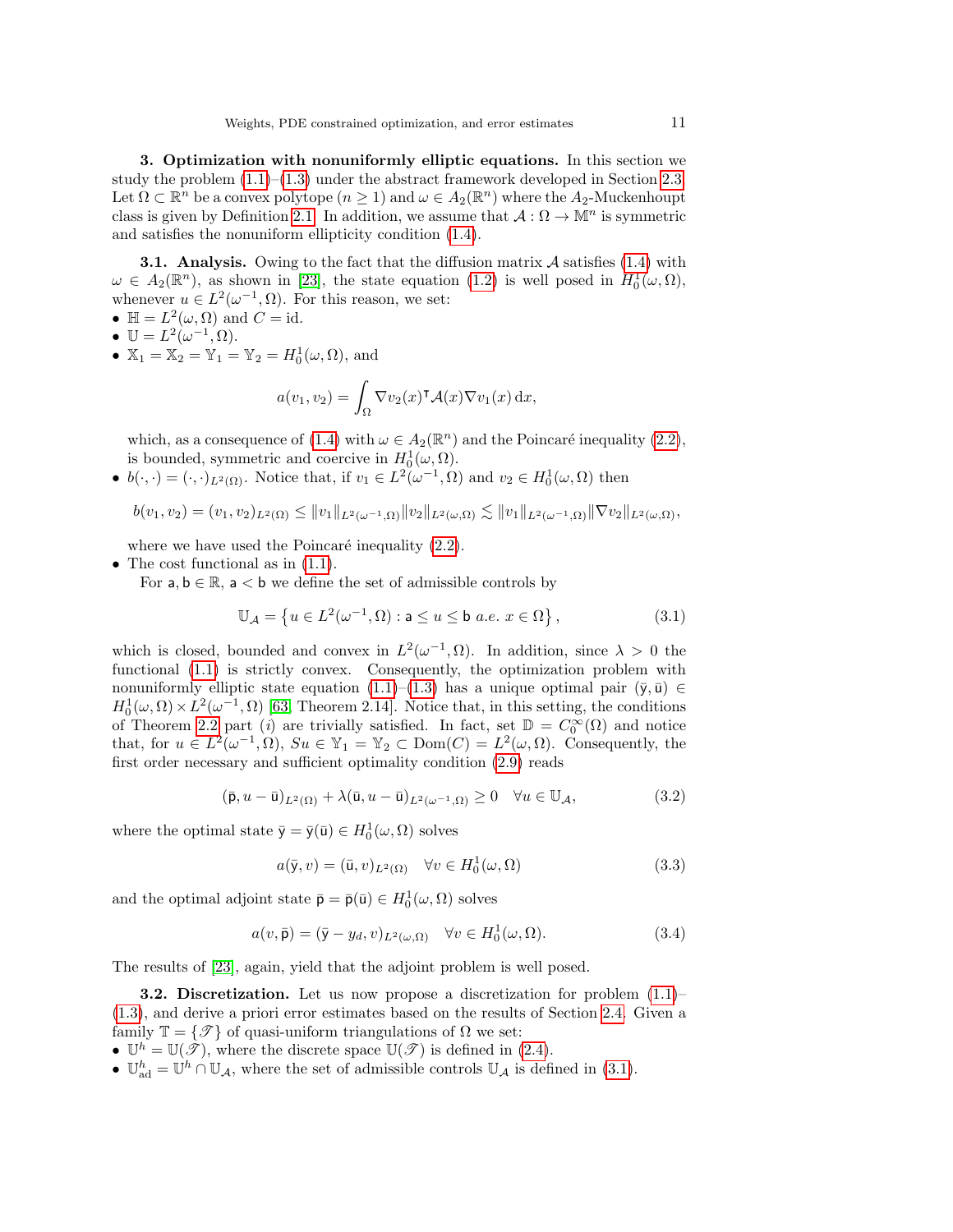<span id="page-10-0"></span>3. Optimization with nonuniformly elliptic equations. In this section we study the problem  $(1.1)$ – $(1.3)$  under the abstract framework developed in Section [2.3.](#page-5-6) Let  $\Omega \subset \mathbb{R}^n$  be a convex polytope  $(n \geq 1)$  and  $\omega \in A_2(\mathbb{R}^n)$  where the  $A_2$ -Muckenhoupt class is given by Definition [2.1.](#page-4-0) In addition, we assume that  $\mathcal{A}: \Omega \to \mathbb{M}^n$  is symmetric and satisfies the nonuniform ellipticity condition [\(1.4\)](#page-1-4).

**3.1.** Analysis. Owing to the fact that the diffusion matrix  $\mathcal A$  satisfies [\(1.4\)](#page-1-4) with  $\omega \in A_2(\mathbb{R}^n)$ , as shown in [\[23\]](#page-25-22), the state equation [\(1.2\)](#page-0-0) is well posed in  $H_0^1(\omega,\Omega)$ , whenever  $u \in L^2(\omega^{-1}, \Omega)$ . For this reason, we set:

- $\mathbb{H} = L^2(\omega, \Omega)$  and  $C = id$ .
- $\mathbb{U} = L^2(\omega^{-1}, \Omega).$
- $\mathbb{X}_1 = \mathbb{X}_2 = \mathbb{Y}_1 = \mathbb{Y}_2 = H_0^1(\omega, \Omega)$ , and

$$
a(v_1, v_2) = \int_{\Omega} \nabla v_2(x)^{\mathsf{T}} \mathcal{A}(x) \nabla v_1(x) \, \mathrm{d}x,
$$

which, as a consequence of [\(1.4\)](#page-1-4) with  $\omega \in A_2(\mathbb{R}^n)$  and the Poincaré inequality [\(2.2\)](#page-4-2), is bounded, symmetric and coercive in  $H_0^1(\omega,\Omega)$ .

•  $b(\cdot, \cdot) = (\cdot, \cdot)_{L^2(\Omega)}$ . Notice that, if  $v_1 \in L^2(\omega^{-1}, \Omega)$  and  $v_2 \in H_0^1(\omega, \Omega)$  then

$$
b(v_1, v_2) = (v_1, v_2)_{L^2(\Omega)} \leq ||v_1||_{L^2(\omega^{-1}, \Omega)} ||v_2||_{L^2(\omega, \Omega)} \lesssim ||v_1||_{L^2(\omega^{-1}, \Omega)} ||\nabla v_2||_{L^2(\omega, \Omega)},
$$

where we have used the Poincaré inequality  $(2.2)$ .

- The cost functional as in  $(1.1)$ .
	- For  $a, b \in \mathbb{R}$ ,  $a < b$  we define the set of admissible controls by

<span id="page-10-1"></span>
$$
\mathbb{U}_{\mathcal{A}} = \left\{ u \in L^2(\omega^{-1}, \Omega) : \mathbf{a} \le u \le \mathbf{b} \ a.e. \ x \in \Omega \right\},\tag{3.1}
$$

which is closed, bounded and convex in  $L^2(\omega^{-1}, \Omega)$ . In addition, since  $\lambda > 0$  the functional [\(1.1\)](#page-0-1) is strictly convex. Consequently, the optimization problem with nonuniformly elliptic state equation [\(1.1\)](#page-0-1)–[\(1.3\)](#page-1-3) has a unique optimal pair ( $\bar{y}, \bar{u}$ ) ∈  $H_0^1(\omega,\Omega) \times L^2(\omega^{-1},\Omega)$  [\[63,](#page-26-13) Theorem 2.14]. Notice that, in this setting, the conditions of Theorem [2.2](#page-6-0) part (*i*) are trivially satisfied. In fact, set  $\mathbb{D} = C_0^{\infty}(\Omega)$  and notice that, for  $u \in L^2(\omega^{-1}, \Omega)$ ,  $Su \in \mathbb{Y}_1 = \mathbb{Y}_2 \subset \text{Dom}(C) = L^2(\omega, \Omega)$ . Consequently, the first order necessary and sufficient optimality condition [\(2.9\)](#page-6-1) reads

<span id="page-10-3"></span>
$$
(\bar{\mathsf{p}}, u - \bar{\mathsf{u}})_{L^2(\Omega)} + \lambda (\bar{\mathsf{u}}, u - \bar{\mathsf{u}})_{L^2(\omega^{-1}, \Omega)} \ge 0 \quad \forall u \in \mathbb{U}_{\mathcal{A}},\tag{3.2}
$$

where the optimal state  $\bar{y} = \bar{y}(\bar{u}) \in H_0^1(\omega, \Omega)$  solves

$$
a(\bar{y}, v) = (\bar{u}, v)_{L^2(\Omega)} \quad \forall v \in H_0^1(\omega, \Omega)
$$
\n(3.3)

and the optimal adjoint state  $\bar{\mathsf{p}} = \bar{\mathsf{p}}(\bar{\mathsf{u}}) \in H_0^1(\omega, \Omega)$  solves

<span id="page-10-2"></span>
$$
a(v, \bar{\mathbf{p}}) = (\bar{\mathbf{y}} - y_d, v)_{L^2(\omega, \Omega)} \quad \forall v \in H_0^1(\omega, \Omega). \tag{3.4}
$$

The results of [\[23\]](#page-25-22), again, yield that the adjoint problem is well posed.

**3.2. Discretization.** Let us now propose a discretization for problem  $(1.1)$ [\(1.3\)](#page-1-3), and derive a priori error estimates based on the results of Section [2.4.](#page-7-3) Given a family  $\mathbb{T} = \{ \mathscr{T} \}$  of quasi-uniform triangulations of  $\Omega$  we set:

- $\mathbb{U}^h = \mathbb{U}(\mathscr{T})$ , where the discrete space  $\mathbb{U}(\mathscr{T})$  is defined in [\(2.4\)](#page-5-8).
- $\mathbb{U}_{ad}^h = \mathbb{U}^h \cap \mathbb{U}_{\mathcal{A}}$ , where the set of admissible controls  $\mathbb{U}_{\mathcal{A}}$  is defined in [\(3.1\)](#page-10-1).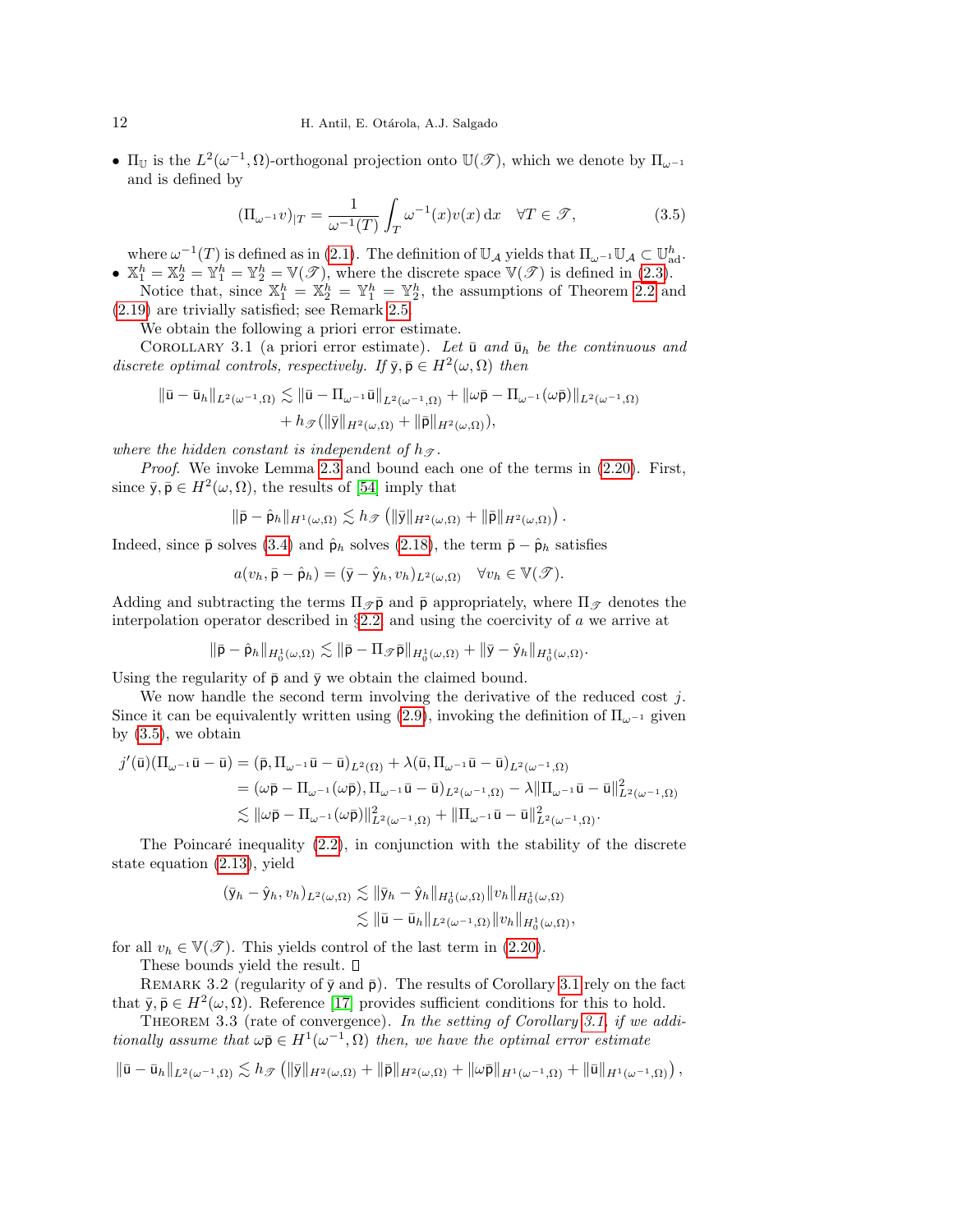•  $\Pi_{\mathbb{U}}$  is the  $L^2(\omega^{-1}, \Omega)$ -orthogonal projection onto  $\mathbb{U}(\mathscr{T})$ , which we denote by  $\Pi_{\omega^{-1}}$ and is defined by

<span id="page-11-0"></span>
$$
(\Pi_{\omega^{-1}}v)_{|T} = \frac{1}{\omega^{-1}(T)} \int_T \omega^{-1}(x)v(x) dx \quad \forall T \in \mathcal{F},
$$
\n(3.5)

where  $\omega^{-1}(T)$  is defined as in [\(2.1\)](#page-4-3). The definition of  $\mathbb{U}_{\mathcal{A}}$  yields that  $\Pi_{\omega^{-1}}\mathbb{U}_{\mathcal{A}} \subset \mathbb{U}_{ad}^h$ . •  $X_1^h = X_2^h = Y_1^h = Y_2^h = V(\mathcal{F})$ , where the discrete space  $V(\mathcal{F})$  is defined in [\(2.3\)](#page-4-1).

Notice that, since  $\mathbb{X}_1^h = \mathbb{X}_2^h = \mathbb{Y}_1^h = \mathbb{Y}_2^h$ , the assumptions of Theorem [2.2](#page-6-0) and [\(2.19\)](#page-8-4) are trivially satisfied; see Remark [2.5.](#page-9-1)

We obtain the following a priori error estimate.

<span id="page-11-1"></span>COROLLARY 3.1 (a priori error estimate). Let  $\bar{u}$  and  $\bar{u}_h$  be the continuous and discrete optimal controls, respectively. If  $\bar{y}, \bar{p} \in H^2(\omega, \Omega)$  then

$$
\begin{aligned} \|\bar{\mathbf{u}}-\bar{\mathbf{u}}_h\|_{L^2(\omega^{-1},\Omega)} &\lesssim \|\bar{\mathbf{u}}-\Pi_{\omega^{-1}}\bar{\mathbf{u}}\|_{L^2(\omega^{-1},\Omega)}+\|\omega\bar{\mathbf{p}}-\Pi_{\omega^{-1}}(\omega\bar{\mathbf{p}})\|_{L^2(\omega^{-1},\Omega)}\\&+h_{\mathscr{T}}(\|\bar{\mathbf{y}}\|_{H^2(\omega,\Omega)}+\|\bar{\mathbf{p}}\|_{H^2(\omega,\Omega)}), \end{aligned}
$$

where the hidden constant is independent of  $h_{\mathcal{F}}$ .

Proof. We invoke Lemma [2.3](#page-8-8) and bound each one of the terms in  $(2.20)$ . First, since  $\bar{y}, \bar{p} \in H^2(\omega, \Omega)$ , the results of [\[54\]](#page-26-1) imply that

$$
\|\bar{\mathsf{p}}-\hat{\mathsf{p}}_h\|_{H^1(\omega,\Omega)} \lesssim h_{\mathscr{T}}\left(\|\bar{\mathsf{y}}\|_{H^2(\omega,\Omega)}+\|\bar{\mathsf{p}}\|_{H^2(\omega,\Omega)}\right).
$$

Indeed, since  $\bar{p}$  solves [\(3.4\)](#page-10-2) and  $\hat{p}_h$  solves [\(2.18\)](#page-8-2), the term  $\bar{p} - \hat{p}_h$  satisfies

$$
a(v_h, \bar{\mathsf{p}} - \hat{\mathsf{p}}_h) = (\bar{\mathsf{y}} - \hat{\mathsf{y}}_h, v_h)_{L^2(\omega, \Omega)} \quad \forall v_h \in \mathbb{V}(\mathcal{T}).
$$

Adding and subtracting the terms  $\Pi_{\mathcal{P}}\bar{\mathbf{p}}$  and  $\bar{\mathbf{p}}$  appropriately, where  $\Pi_{\mathcal{P}}$  denotes the interpolation operator described in  $\S 2.2$ , and using the coercivity of a we arrive at

$$
\|\bar{\mathsf{p}}-\hat{\mathsf{p}}_h\|_{H^1_0(\omega,\Omega)} \lesssim \|\bar{\mathsf{p}}-\Pi_{\mathscr{T}}\bar{\mathsf{p}}\|_{H^1_0(\omega,\Omega)} + \|\bar{\mathsf{y}}-\hat{\mathsf{y}}_h\|_{H^1_0(\omega,\Omega)}.
$$

Using the regularity of  $\bar{p}$  and  $\bar{y}$  we obtain the claimed bound.

We now handle the second term involving the derivative of the reduced cost  $j$ . Since it can be equivalently written using [\(2.9\)](#page-6-1), invoking the definition of  $\Pi_{\omega^{-1}}$  given by  $(3.5)$ , we obtain

$$
\begin{aligned}j'(\bar{\mathbf{u}})(\Pi_{\omega^{-1}}\bar{\mathbf{u}}-\bar{\mathbf{u}})&=(\bar{\mathbf{p}},\Pi_{\omega^{-1}}\bar{\mathbf{u}}-\bar{\mathbf{u}})_{L^2(\Omega)}+\lambda(\bar{\mathbf{u}},\Pi_{\omega^{-1}}\bar{\mathbf{u}}-\bar{\mathbf{u}})_{L^2(\omega^{-1},\Omega)}\\&=(\omega\bar{\mathbf{p}}-\Pi_{\omega^{-1}}(\omega\bar{\mathbf{p}}),\Pi_{\omega^{-1}}\bar{\mathbf{u}}-\bar{\mathbf{u}})_{L^2(\omega^{-1},\Omega)}-\lambda\|\Pi_{\omega^{-1}}\bar{\mathbf{u}}-\bar{\mathbf{u}}\|_{L^2(\omega^{-1},\Omega)}^2\\&\lesssim \|\omega\bar{\mathbf{p}}-\Pi_{\omega^{-1}}(\omega\bar{\mathbf{p}})\|_{L^2(\omega^{-1},\Omega)}^2+\|\Pi_{\omega^{-1}}\bar{\mathbf{u}}-\bar{\mathbf{u}}\|_{L^2(\omega^{-1},\Omega)}^2.\end{aligned}
$$

The Poincaré inequality  $(2.2)$ , in conjunction with the stability of the discrete state equation [\(2.13\)](#page-7-0), yield

$$
\begin{aligned} (\bar{\mathsf{y}}_h - \hat{\mathsf{y}}_h, v_h)_{L^2(\omega,\Omega)} &\lesssim \|\bar{\mathsf{y}}_h - \hat{\mathsf{y}}_h\|_{H^1_0(\omega,\Omega)} \|v_h\|_{H^1_0(\omega,\Omega)} \\ &\lesssim \|\bar{\mathsf{u}} - \bar{\mathsf{u}}_h\|_{L^2(\omega^{-1},\Omega)} \|v_h\|_{H^1_0(\omega,\Omega)}, \end{aligned}
$$

for all  $v_h \in V(\mathcal{T})$ . This yields control of the last term in [\(2.20\)](#page-8-7).

These bounds yield the result.  $\square$ 

REMARK 3.2 (regularity of  $\bar{y}$  and  $\bar{p}$ ). The results of Corollary [3.1](#page-11-1) rely on the fact that  $\bar{y}, \bar{p} \in H^2(\omega, \Omega)$ . Reference [\[17\]](#page-24-14) provides sufficient conditions for this to hold.

THEOREM 3.3 (rate of convergence). In the setting of Corollary [3.1,](#page-11-1) if we additionally assume that  $\omega \bar{\mathsf{p}} \in H^1(\omega^{-1}, \Omega)$  then, we have the optimal error estimate

$$
\|\bar{\mathbf{u}}-\bar{\mathbf{u}}_h\|_{L^2(\omega^{-1},\Omega)} \lesssim h_{\mathscr{T}}\left(\|\bar{\mathbf{y}}\|_{H^2(\omega,\Omega)}+\|\bar{\mathbf{p}}\|_{H^2(\omega,\Omega)}+\|\omega\bar{\mathbf{p}}\|_{H^1(\omega^{-1},\Omega)}+\|\bar{\mathbf{u}}\|_{H^1(\omega^{-1},\Omega)}\right),
$$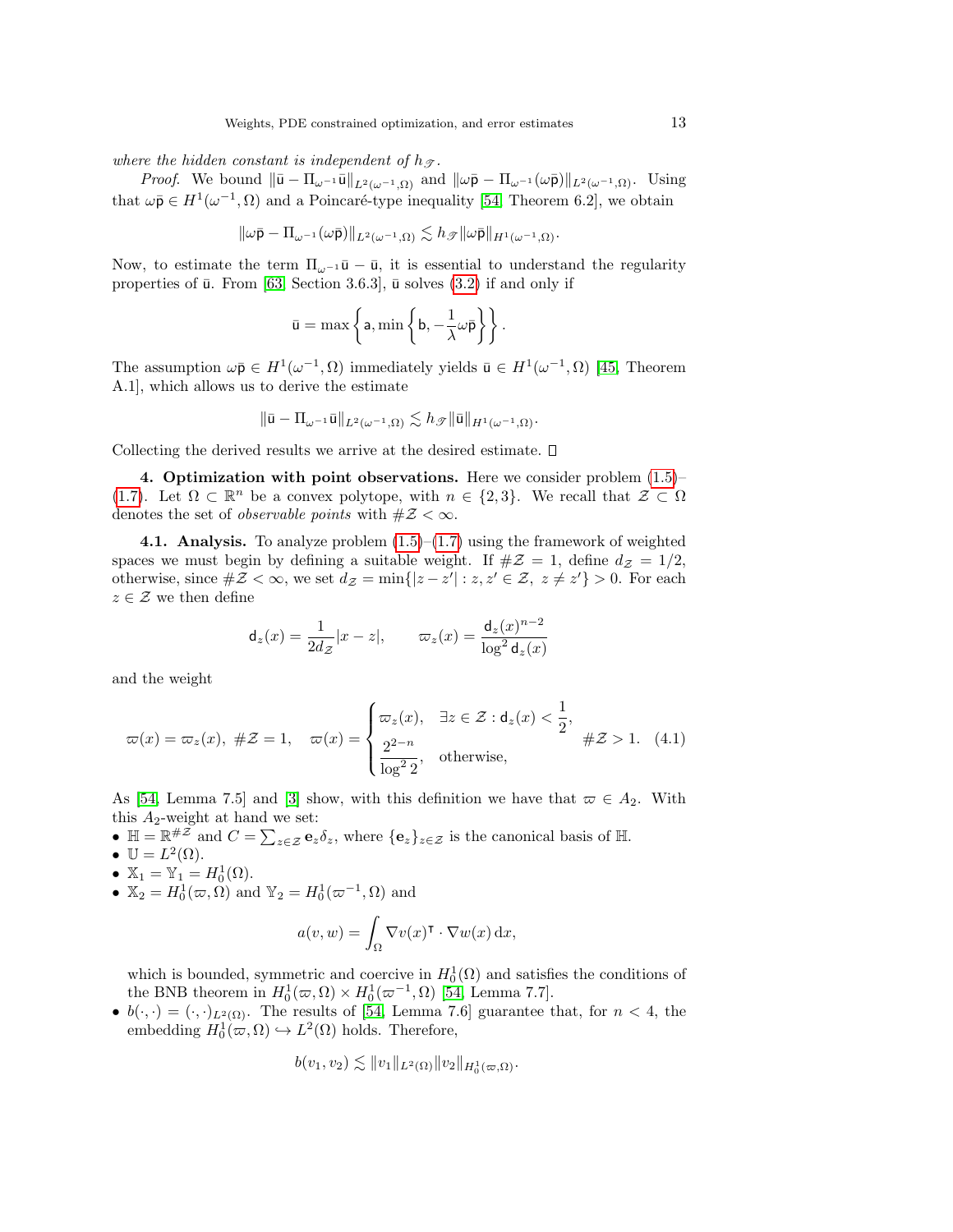where the hidden constant is independent of  $h_{\mathcal{T}}$ .

*Proof.* We bound  $\|\bar{\mathbf{u}} - \Pi_{\omega^{-1}}\bar{\mathbf{u}}\|_{L^2(\omega^{-1},\Omega)}$  and  $\|\omega\bar{\mathbf{p}} - \Pi_{\omega^{-1}}(\omega\bar{\mathbf{p}})\|_{L^2(\omega^{-1},\Omega)}$ . Using that  $\omega \bar{\mathbf{p}} \in H^1(\omega^{-1}, \Omega)$  and a Poincaré-type inequality [\[54,](#page-26-1) Theorem 6.2], we obtain

$$
\|\omega\bar{\mathsf{p}}-\Pi_{\omega^{-1}}(\omega\bar{\mathsf{p}})\|_{L^2(\omega^{-1},\Omega)}\lesssim h_{\mathscr{T}}\|\omega\bar{\mathsf{p}}\|_{H^1(\omega^{-1},\Omega)}.
$$

Now, to estimate the term  $\Pi_{\omega^{-1}}\bar{\mathbf{u}} - \bar{\mathbf{u}}$ , it is essential to understand the regularity properties of  $\bar{u}$ . From [\[63,](#page-26-13) Section 3.6.3],  $\bar{u}$  solves [\(3.2\)](#page-10-3) if and only if

$$
\bar{u} = \max \left\{ a, \min \left\{ b, -\frac{1}{\lambda} \omega \bar{p} \right\} \right\}.
$$

The assumption  $\omega \bar{\mathbf{p}} \in H^1(\omega^{-1}, \Omega)$  immediately yields  $\bar{\mathbf{u}} \in H^1(\omega^{-1}, \Omega)$  [\[45,](#page-25-23) Theorem A.1], which allows us to derive the estimate

$$
\|\bar{\mathbf{u}}-\Pi_{\omega^{-1}}\bar{\mathbf{u}}\|_{L^2(\omega^{-1},\Omega)}\lesssim h_{\mathscr{T}}\|\bar{\mathbf{u}}\|_{H^1(\omega^{-1},\Omega)}.
$$

Collecting the derived results we arrive at the desired estimate.  $\square$ 

<span id="page-12-0"></span>4. Optimization with point observations. Here we consider problem  $(1.5)$ -[\(1.7\)](#page-1-1). Let  $\Omega \subset \mathbb{R}^n$  be a convex polytope, with  $n \in \{2,3\}$ . We recall that  $\mathcal{Z} \subset \Omega$ denotes the set of *observable points* with  $\#\mathcal{Z}<\infty$ .

<span id="page-12-1"></span>**4.1. Analysis.** To analyze problem  $(1.5)$ – $(1.7)$  using the framework of weighted spaces we must begin by defining a suitable weight. If  $\#\mathcal{Z}=1$ , define  $d_{\mathcal{Z}}=1/2$ , otherwise, since  $\#\mathcal{Z} < \infty$ , we set  $d_{\mathcal{Z}} = \min\{|z - z'| : z, z' \in \mathcal{Z}, z \neq z'\} > 0$ . For each  $z \in \mathcal{Z}$  we then define

$$
\mathsf{d}_z(x) = \frac{1}{2d_z}|x - z|, \qquad \varpi_z(x) = \frac{\mathsf{d}_z(x)^{n-2}}{\log^2 \mathsf{d}_z(x)}
$$

and the weight

<span id="page-12-2"></span>
$$
\varpi(x) = \varpi_z(x), \quad \#Z = 1, \quad \varpi(x) = \begin{cases} \varpi_z(x), & \exists z \in \mathcal{Z} : \mathsf{d}_z(x) < \frac{1}{2}, \\ \frac{2^{2-n}}{\log^2 2}, & \text{otherwise,} \end{cases} \quad \#Z > 1. \tag{4.1}
$$

As [\[54,](#page-26-1) Lemma 7.5] and [\[3\]](#page-24-15) show, with this definition we have that  $\varpi \in A_2$ . With this  $A_2$ -weight at hand we set:

- $\mathbb{H} = \mathbb{R}^{\# \mathcal{Z}}$  and  $C = \sum_{z \in \mathcal{Z}} \mathbf{e}_z \delta_z$ , where  $\{\mathbf{e}_z\}_{z \in \mathcal{Z}}$  is the canonical basis of  $\mathbb{H}$ .
- $\mathbb{U} = L^2(\Omega)$ .
- $\mathbb{X}_1 = \mathbb{Y}_1 = H_0^1(\Omega)$ .
- $\mathbb{X}_2 = H_0^1(\varpi, \Omega)$  and  $\mathbb{Y}_2 = H_0^1(\varpi^{-1}, \Omega)$  and

$$
a(v, w) = \int_{\Omega} \nabla v(x)^{\mathsf{T}} \cdot \nabla w(x) \,dx,
$$

which is bounded, symmetric and coercive in  $H_0^1(\Omega)$  and satisfies the conditions of the BNB theorem in  $H_0^1(\varpi, \Omega) \times H_0^1(\varpi^{-1}, \Omega)$  [\[54,](#page-26-1) Lemma 7.7].

•  $b(\cdot, \cdot) = (\cdot, \cdot)_{L^2(\Omega)}$ . The results of [\[54,](#page-26-1) Lemma 7.6] guarantee that, for  $n < 4$ , the embedding  $H_0^1(\omega, \Omega) \hookrightarrow L^2(\Omega)$  holds. Therefore,

$$
b(v_1, v_2) \lesssim \|v_1\|_{L^2(\Omega)} \|v_2\|_{H_0^1(\varpi, \Omega)}.
$$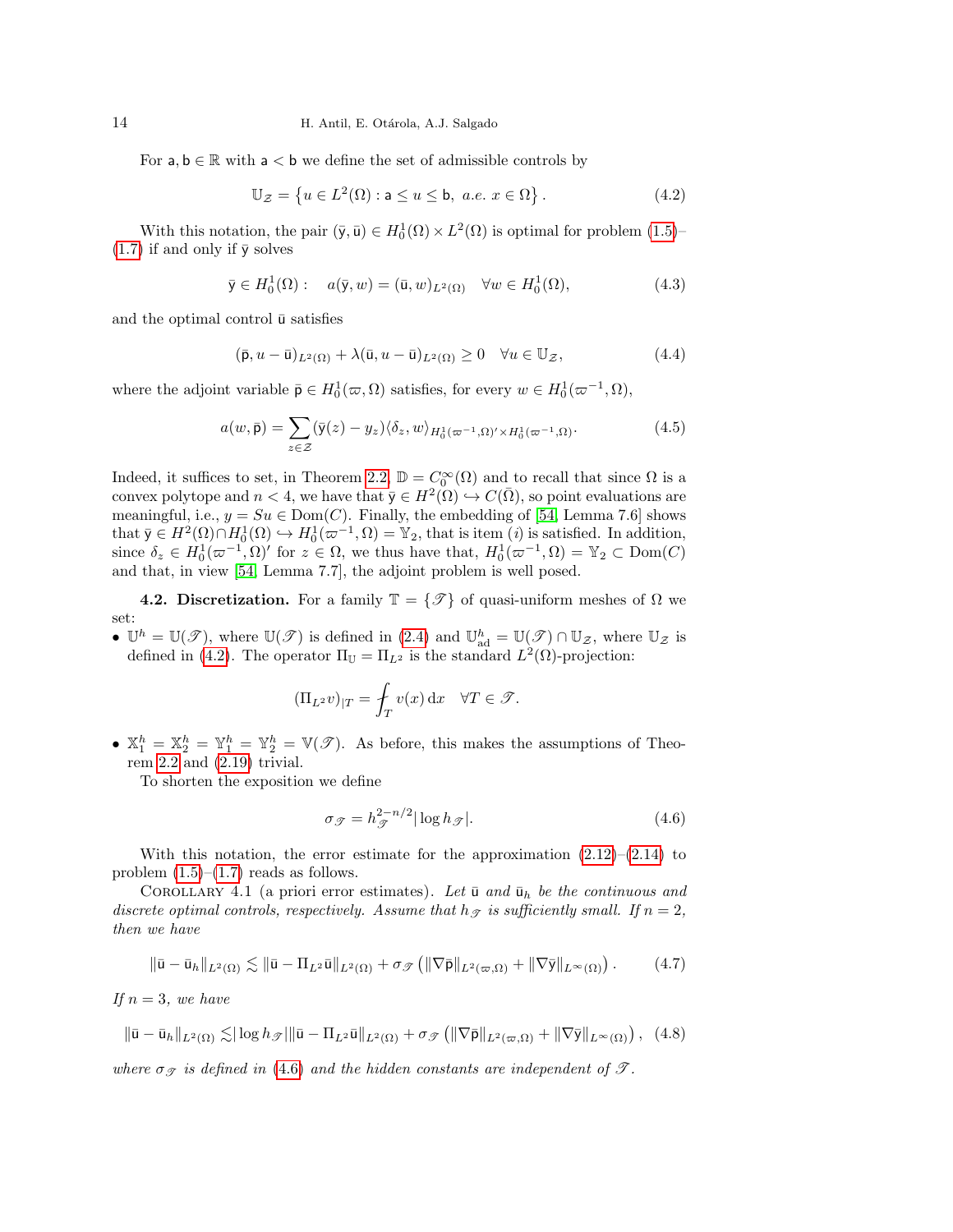For  $a, b \in \mathbb{R}$  with  $a < b$  we define the set of admissible controls by

<span id="page-13-0"></span>
$$
\mathbb{U}_{\mathcal{Z}} = \left\{ u \in L^2(\Omega) : \mathbf{a} \le u \le \mathbf{b}, \ a.e. \ x \in \Omega \right\}.
$$
 (4.2)

With this notation, the pair  $(\bar{y}, \bar{u}) \in H_0^1(\Omega) \times L^2(\Omega)$  is optimal for problem  $(1.5)$ - $(1.7)$  if and only if  $\bar{y}$  solves

<span id="page-13-6"></span>
$$
\bar{\mathbf{y}} \in H_0^1(\Omega): \quad a(\bar{\mathbf{y}}, w) = (\bar{\mathbf{u}}, w)_{L^2(\Omega)} \quad \forall w \in H_0^1(\Omega), \tag{4.3}
$$

and the optimal control  $\bar{u}$  satisfies

<span id="page-13-4"></span>
$$
(\bar{\mathbf{p}}, u - \bar{\mathbf{u}})_{L^2(\Omega)} + \lambda(\bar{\mathbf{u}}, u - \bar{\mathbf{u}})_{L^2(\Omega)} \ge 0 \quad \forall u \in \mathbb{U}_{\mathcal{Z}},\tag{4.4}
$$

where the adjoint variable  $\bar{\mathsf{p}} \in H_0^1(\varpi, \Omega)$  satisfies, for every  $w \in H_0^1(\varpi^{-1}, \Omega)$ ,

<span id="page-13-7"></span>
$$
a(w,\bar{\mathbf{p}}) = \sum_{z \in \mathcal{Z}} (\bar{\mathbf{y}}(z) - y_z) \langle \delta_z, w \rangle_{H_0^1(\varpi^{-1},\Omega)' \times H_0^1(\varpi^{-1},\Omega)}.
$$
(4.5)

Indeed, it suffices to set, in Theorem [2.2,](#page-6-0)  $\mathbb{D} = C_0^{\infty}(\Omega)$  and to recall that since  $\Omega$  is a convex polytope and  $n < 4$ , we have that  $\bar{y} \in H^2(\Omega) \hookrightarrow C(\bar{\Omega})$ , so point evaluations are meaningful, i.e.,  $y = Su \in Dom(C)$ . Finally, the embedding of [\[54,](#page-26-1) Lemma 7.6] shows that  $\bar{y} \in H^2(\Omega) \cap H_0^1(\Omega) \hookrightarrow H_0^1(\bar{\omega}^{-1}, \Omega) = \mathbb{Y}_2$ , that is item (*i*) is satisfied. In addition, since  $\delta_z \in H_0^1(\varpi^{-1}, \Omega)'$  for  $z \in \Omega$ , we thus have that,  $H_0^1(\varpi^{-1}, \Omega) = \mathbb{Y}_2 \subset \text{Dom}(C)$ and that, in view [\[54,](#page-26-1) Lemma 7.7], the adjoint problem is well posed.

<span id="page-13-8"></span>**4.2. Discretization.** For a family  $\mathbb{T} = \{\mathscr{T}\}\$  of quasi-uniform meshes of  $\Omega$  we set:

•  $\mathbb{U}^h = \mathbb{U}(\mathscr{T})$ , where  $\mathbb{U}(\mathscr{T})$  is defined in  $(2.4)$  and  $\mathbb{U}_{ad}^h = \mathbb{U}(\mathscr{T}) \cap \mathbb{U}_{\mathcal{Z}}$ , where  $\mathbb{U}_{\mathcal{Z}}$  is defined in [\(4.2\)](#page-13-0). The operator  $\Pi_{\mathbb{U}} = \Pi_{L^2}$  is the standard  $L^2(\Omega)$ -projection:

$$
(\Pi_{L^2} v)_{|T} = \oint_T v(x) \, dx \quad \forall T \in \mathcal{T}.
$$

•  $\mathbb{X}_1^h = \mathbb{X}_2^h = \mathbb{Y}_1^h = \mathbb{Y}_2^h = \mathbb{V}(\mathscr{T})$ . As before, this makes the assumptions of Theorem [2.2](#page-6-0) and [\(2.19\)](#page-8-4) trivial.

To shorten the exposition we define

<span id="page-13-3"></span><span id="page-13-1"></span>
$$
\sigma_{\mathcal{F}} = h_{\mathcal{F}}^{2-n/2} |\log h_{\mathcal{F}}|.
$$
\n(4.6)

With this notation, the error estimate for the approximation  $(2.12)$ – $(2.14)$  to problem  $(1.5)$ – $(1.7)$  reads as follows.

<span id="page-13-5"></span>COROLLARY 4.1 (a priori error estimates). Let  $\bar{u}$  and  $\bar{u}_h$  be the continuous and discrete optimal controls, respectively. Assume that  $h_{\mathcal{F}}$  is sufficiently small. If  $n = 2$ , then we have

<span id="page-13-2"></span>
$$
\|\bar{\mathbf{u}} - \bar{\mathbf{u}}_h\|_{L^2(\Omega)} \lesssim \|\bar{\mathbf{u}} - \Pi_{L^2}\bar{\mathbf{u}}\|_{L^2(\Omega)} + \sigma_{\mathscr{T}}\left(\|\nabla \bar{\mathbf{p}}\|_{L^2(\varpi,\Omega)} + \|\nabla \bar{\mathbf{y}}\|_{L^\infty(\Omega)}\right). \tag{4.7}
$$

If  $n = 3$ , we have

$$
\|\bar{\mathbf{u}} - \bar{\mathbf{u}}_h\|_{L^2(\Omega)} \lesssim |\log h_{\mathscr{T}}| \|\bar{\mathbf{u}} - \Pi_{L^2} \bar{\mathbf{u}}\|_{L^2(\Omega)} + \sigma_{\mathscr{T}} \left( \|\nabla \bar{\mathbf{p}}\|_{L^2(\varpi, \Omega)} + \|\nabla \bar{\mathbf{y}}\|_{L^\infty(\Omega)} \right), \tag{4.8}
$$

where  $\sigma_{\mathcal{F}}$  is defined in [\(4.6\)](#page-13-1) and the hidden constants are independent of  $\mathcal{T}$ .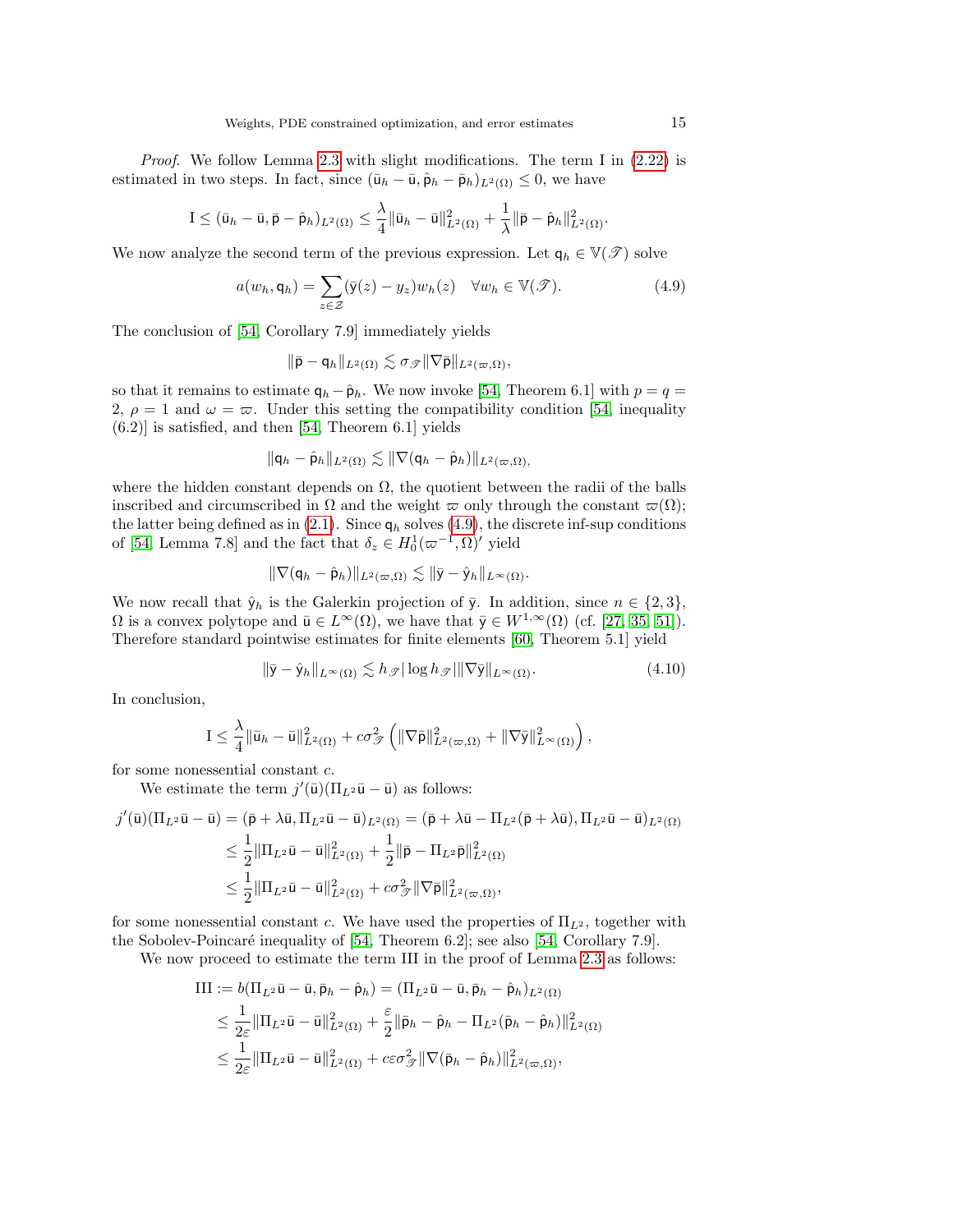Proof. We follow Lemma [2.3](#page-8-8) with slight modifications. The term I in  $(2.22)$  is estimated in two steps. In fact, since  $(\bar{u}_h - \bar{u}, \hat{p}_h - \bar{p}_h)_{L^2(\Omega)} \leq 0$ , we have

$$
I \leq (\bar{u}_h - \bar{u}, \bar{p} - \hat{p}_h)_{L^2(\Omega)} \leq \frac{\lambda}{4} \|\bar{u}_h - \bar{u}\|_{L^2(\Omega)}^2 + \frac{1}{\lambda} \|\bar{p} - \hat{p}_h\|_{L^2(\Omega)}^2.
$$

We now analyze the second term of the previous expression. Let  $q_h \in V(\mathcal{T})$  solve

<span id="page-14-0"></span>
$$
a(w_h, \mathbf{q}_h) = \sum_{z \in \mathcal{Z}} (\bar{\mathbf{y}}(z) - y_z) w_h(z) \quad \forall w_h \in \mathbb{V}(\mathcal{T}). \tag{4.9}
$$

The conclusion of [\[54,](#page-26-1) Corollary 7.9] immediately yields

$$
\|\bar{\mathsf{p}} - \mathsf{q}_h\|_{L^2(\Omega)} \lesssim \sigma_{\mathscr{T}} \|\nabla \bar{\mathsf{p}}\|_{L^2(\varpi,\Omega)},
$$

so that it remains to estimate  $q_h - \hat{p}_h$ . We now invoke [\[54,](#page-26-1) Theorem 6.1] with  $p = q =$ 2,  $\rho = 1$  and  $\omega = \varpi$ . Under this setting the compatibility condition [\[54,](#page-26-1) inequality  $(6.2)$ ] is satisfied, and then [\[54,](#page-26-1) Theorem 6.1] yields

$$
\|\mathsf{q}_h-\hat{\mathsf{p}}_h\|_{L^2(\Omega)} \lesssim \|\nabla(\mathsf{q}_h-\hat{\mathsf{p}}_h)\|_{L^2(\varpi,\Omega),}
$$

where the hidden constant depends on  $\Omega$ , the quotient between the radii of the balls inscribed and circumscribed in  $\Omega$  and the weight  $\varpi$  only through the constant  $\varpi(\Omega)$ ; the latter being defined as in [\(2.1\)](#page-4-3). Since  $q_h$  solves [\(4.9\)](#page-14-0), the discrete inf-sup conditions of [\[54,](#page-26-1) Lemma 7.8] and the fact that  $\delta_z \in H_0^1(\varpi^{-1}, \Omega)'$  yield

$$
\|\nabla(\mathsf{q}_h-\hat{\mathsf{p}}_h)\|_{L^2(\varpi,\Omega)}\lesssim \|\bar{\mathsf{y}}-\hat{\mathsf{y}}_h\|_{L^\infty(\Omega)}.
$$

We now recall that  $\hat{y}_h$  is the Galerkin projection of  $\bar{y}$ . In addition, since  $n \in \{2,3\}$ ,  $\Omega$  is a convex polytope and  $\bar{\mathbf{u}} \in L^{\infty}(\Omega)$ , we have that  $\bar{\mathbf{y}} \in W^{1,\infty}(\Omega)$  (cf. [\[27,](#page-25-24) [35,](#page-25-25) [51\]](#page-26-14)). Therefore standard pointwise estimates for finite elements [\[60,](#page-26-15) Theorem 5.1] yield

$$
\|\bar{\mathbf{y}} - \hat{\mathbf{y}}_h\|_{L^{\infty}(\Omega)} \lesssim h_{\mathcal{F}} |\log h_{\mathcal{F}}| \|\nabla \bar{\mathbf{y}}\|_{L^{\infty}(\Omega)}.
$$
\n(4.10)

In conclusion,

$$
I \leq \frac{\lambda}{4} \|\bar{u}_h - \bar{u}\|_{L^2(\Omega)}^2 + c\sigma_{\mathscr{T}}^2 \left( \|\nabla \bar{p}\|_{L^2(\varpi,\Omega)}^2 + \|\nabla \bar{y}\|_{L^\infty(\Omega)}^2 \right),
$$

for some nonessential constant c.

We estimate the term  $j'(\bar{u})(\Pi_{L^2}\bar{u}-\bar{u})$  as follows:

$$
j'(\bar{u})(\Pi_{L^2}\bar{u}-\bar{u}) = (\bar{p} + \lambda \bar{u}, \Pi_{L^2}\bar{u} - \bar{u})_{L^2(\Omega)} = (\bar{p} + \lambda \bar{u} - \Pi_{L^2}(\bar{p} + \lambda \bar{u}), \Pi_{L^2}\bar{u} - \bar{u})_{L^2(\Omega)}
$$
  

$$
\leq \frac{1}{2} \|\Pi_{L^2}\bar{u} - \bar{u}\|_{L^2(\Omega)}^2 + \frac{1}{2} \|\bar{p} - \Pi_{L^2}\bar{p}\|_{L^2(\Omega)}^2
$$
  

$$
\leq \frac{1}{2} \|\Pi_{L^2}\bar{u} - \bar{u}\|_{L^2(\Omega)}^2 + c\sigma_{\mathcal{F}}^2 \|\nabla \bar{p}\|_{L^2(\varpi,\Omega)}^2,
$$

for some nonessential constant c. We have used the properties of  $\Pi_{L^2}$ , together with the Sobolev-Poincaré inequality of  $[54,$  Theorem 6.2]; see also  $[54,$  Corollary 7.9].

We now proceed to estimate the term III in the proof of Lemma [2.3](#page-8-8) as follows:

$$
\begin{split} \text{III} &:= b(\Pi_{L^2}\bar{\mathbf{u}} - \bar{\mathbf{u}}, \bar{\mathbf{p}}_h - \hat{\mathbf{p}}_h) = (\Pi_{L^2}\bar{\mathbf{u}} - \bar{\mathbf{u}}, \bar{\mathbf{p}}_h - \hat{\mathbf{p}}_h)_{L^2(\Omega)} \\ &\leq \frac{1}{2\varepsilon} \|\Pi_{L^2}\bar{\mathbf{u}} - \bar{\mathbf{u}}\|_{L^2(\Omega)}^2 + \frac{\varepsilon}{2} \|\bar{\mathbf{p}}_h - \hat{\mathbf{p}}_h - \Pi_{L^2}(\bar{\mathbf{p}}_h - \hat{\mathbf{p}}_h)\|_{L^2(\Omega)}^2 \\ &\leq \frac{1}{2\varepsilon} \|\Pi_{L^2}\bar{\mathbf{u}} - \bar{\mathbf{u}}\|_{L^2(\Omega)}^2 + c\varepsilon\sigma_{\mathscr{T}}^2 \|\nabla(\bar{\mathbf{p}}_h - \hat{\mathbf{p}}_h)\|_{L^2(\varpi,\Omega)}^2, \end{split}
$$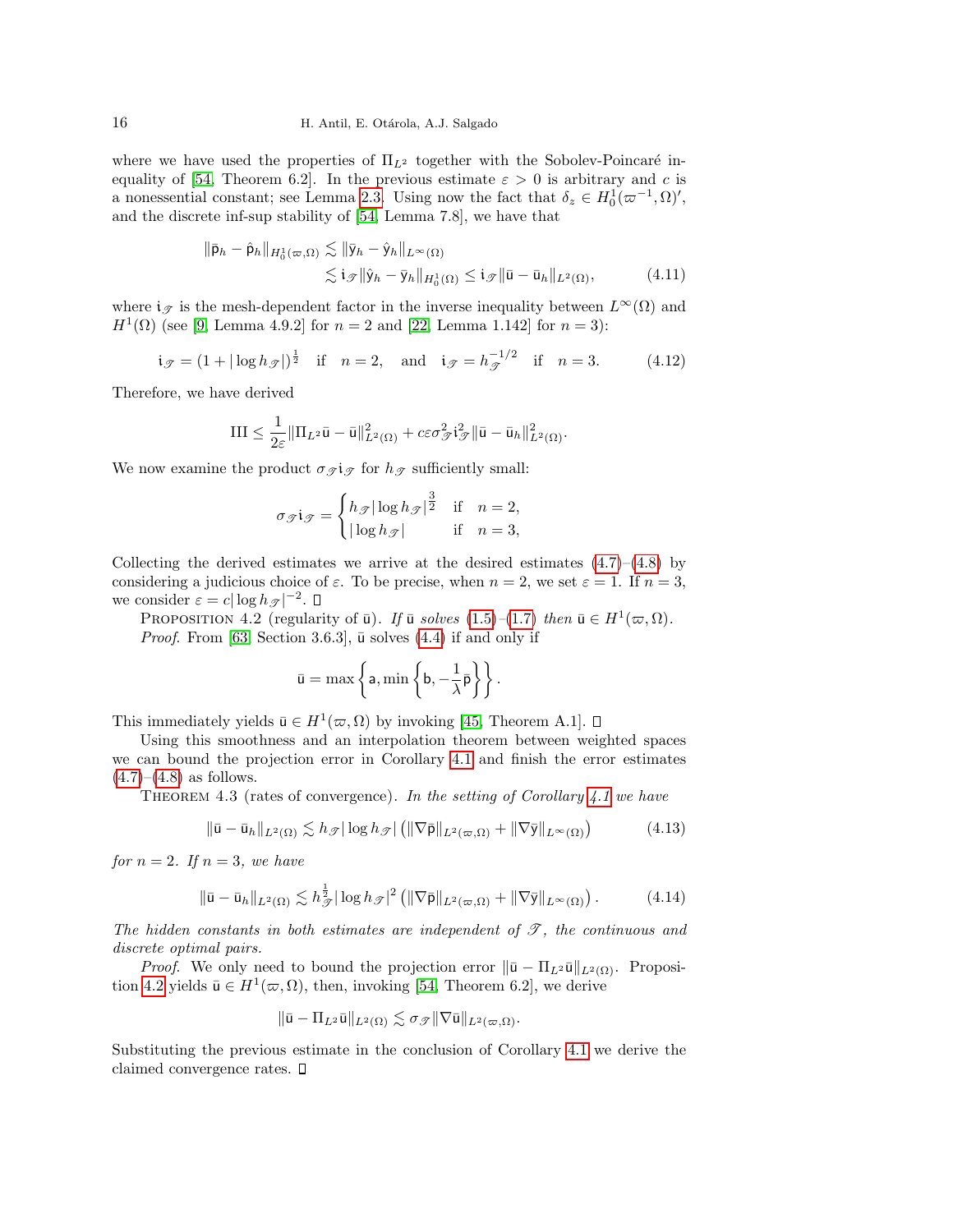where we have used the properties of  $\Pi_{L^2}$  together with the Sobolev-Poincaré in-equality of [\[54,](#page-26-1) Theorem 6.2]. In the previous estimate  $\varepsilon > 0$  is arbitrary and c is a nonessential constant; see Lemma [2.3.](#page-8-8) Using now the fact that  $\delta_z \in H_0^1(\omega^{-1}, \Omega)$ ', and the discrete inf-sup stability of [\[54,](#page-26-1) Lemma 7.8], we have that

$$
\|\bar{\mathsf{p}}_h - \hat{\mathsf{p}}_h\|_{H_0^1(\varpi,\Omega)} \lesssim \|\bar{\mathsf{y}}_h - \hat{\mathsf{y}}_h\|_{L^\infty(\Omega)} \leq \mathsf{i}_{\mathscr{T}} \|\bar{\mathsf{y}}_h - \bar{\mathsf{y}}_h\|_{H_0^1(\Omega)} \leq \mathsf{i}_{\mathscr{T}} \|\bar{\mathsf{u}} - \bar{\mathsf{u}}_h\|_{L^2(\Omega)}, \tag{4.11}
$$

where  $i_{\mathcal{T}}$  is the mesh-dependent factor in the inverse inequality between  $L^{\infty}(\Omega)$  and  $H^1(\Omega)$  (see [\[9,](#page-24-16) Lemma 4.9.2] for  $n = 2$  and [\[22,](#page-25-21) Lemma 1.142] for  $n = 3$ ):

<span id="page-15-2"></span>
$$
\mathbf{i}_{\mathscr{T}} = (1 + |\log h_{\mathscr{T}}|)^{\frac{1}{2}} \quad \text{if} \quad n = 2, \quad \text{and} \quad \mathbf{i}_{\mathscr{T}} = h_{\mathscr{T}}^{-1/2} \quad \text{if} \quad n = 3. \tag{4.12}
$$

Therefore, we have derived

$$
\mathrm{III} \leq \frac{1}{2\varepsilon} \|\Pi_{L^2} \bar{\mathbf{u}} - \bar{\mathbf{u}}\|_{L^2(\Omega)}^2 + c\varepsilon \sigma_{\mathcal{F}}^2 \mathbf{i}_{\mathcal{F}}^2 \|\bar{\mathbf{u}} - \bar{\mathbf{u}}_h\|_{L^2(\Omega)}^2.
$$

We now examine the product  $\sigma_{\mathcal{I}}$  for  $h_{\mathcal{I}}$  sufficiently small:

$$
\sigma_{\mathcal{J}} i_{\mathcal{J}} = \begin{cases} h_{\mathcal{J}} |\log h_{\mathcal{J}}|^{\frac{3}{2}} & \text{if } n = 2, \\ |\log h_{\mathcal{J}}| & \text{if } n = 3, \end{cases}
$$

Collecting the derived estimates we arrive at the desired estimates  $(4.7)$ – $(4.8)$  by considering a judicious choice of  $\varepsilon$ . To be precise, when  $n = 2$ , we set  $\varepsilon = 1$ . If  $n = 3$ , we consider  $\varepsilon = c |\log h_{\mathcal{T}}|^{-2}$ .

<span id="page-15-0"></span>PROPOSITION 4.2 (regularity of  $\bar{u}$ ). If  $\bar{u}$  solves [\(1.5\)](#page-1-0)–[\(1.7\)](#page-1-1) then  $\bar{u} \in H^1(\varpi,\Omega)$ . *Proof.* From [\[63,](#page-26-13) Section 3.6.3],  $\bar{u}$  solves [\(4.4\)](#page-13-4) if and only if

$$
\bar{u} = \max \left\{ a, \min \left\{ b, -\frac{1}{\lambda} \bar{p} \right\} \right\}.
$$

This immediately yields  $\bar{u} \in H^1(\varpi, \Omega)$  by invoking [\[45,](#page-25-23) Theorem A.1].

Using this smoothness and an interpolation theorem between weighted spaces we can bound the projection error in Corollary [4.1](#page-13-5) and finish the error estimates  $(4.7)–(4.8)$  $(4.7)–(4.8)$  $(4.7)–(4.8)$  as follows.

<span id="page-15-1"></span>THEOREM 4.3 (rates of convergence). In the setting of Corollary  $4.1$  we have

<span id="page-15-3"></span>
$$
\|\bar{\mathbf{u}} - \bar{\mathbf{u}}_h\|_{L^2(\Omega)} \lesssim h_{\mathscr{T}} |\log h_{\mathscr{T}}| \left( \|\nabla \bar{\mathbf{p}}\|_{L^2(\varpi,\Omega)} + \|\nabla \bar{\mathbf{y}}\|_{L^\infty(\Omega)} \right) \tag{4.13}
$$

for  $n = 2$ . If  $n = 3$ , we have

<span id="page-15-4"></span>
$$
\|\bar{\mathbf{u}} - \bar{\mathbf{u}}_h\|_{L^2(\Omega)} \lesssim h_{\mathscr{T}}^{\frac{1}{2}} |\log h_{\mathscr{T}}|^2 \left( \|\nabla \bar{\mathbf{p}}\|_{L^2(\varpi,\Omega)} + \|\nabla \bar{\mathbf{y}}\|_{L^\infty(\Omega)} \right). \tag{4.14}
$$

The hidden constants in both estimates are independent of  $\mathscr{T}$ , the continuous and discrete optimal pairs.

*Proof.* We only need to bound the projection error  $\|\bar{\mathbf{u}} - \Pi_{L^2}\bar{\mathbf{u}}\|_{L^2(\Omega)}$ . Proposi-tion [4.2](#page-15-0) yields  $\bar{u} \in H^1(\varpi, \Omega)$ , then, invoking [\[54,](#page-26-1) Theorem 6.2], we derive

$$
\|\bar{\mathbf{u}} - \Pi_{L^2}\bar{\mathbf{u}}\|_{L^2(\Omega)} \lesssim \sigma_{\mathscr{T}} \|\nabla \bar{\mathbf{u}}\|_{L^2(\varpi,\Omega)}.
$$

Substituting the previous estimate in the conclusion of Corollary [4.1](#page-13-5) we derive the claimed convergence rates.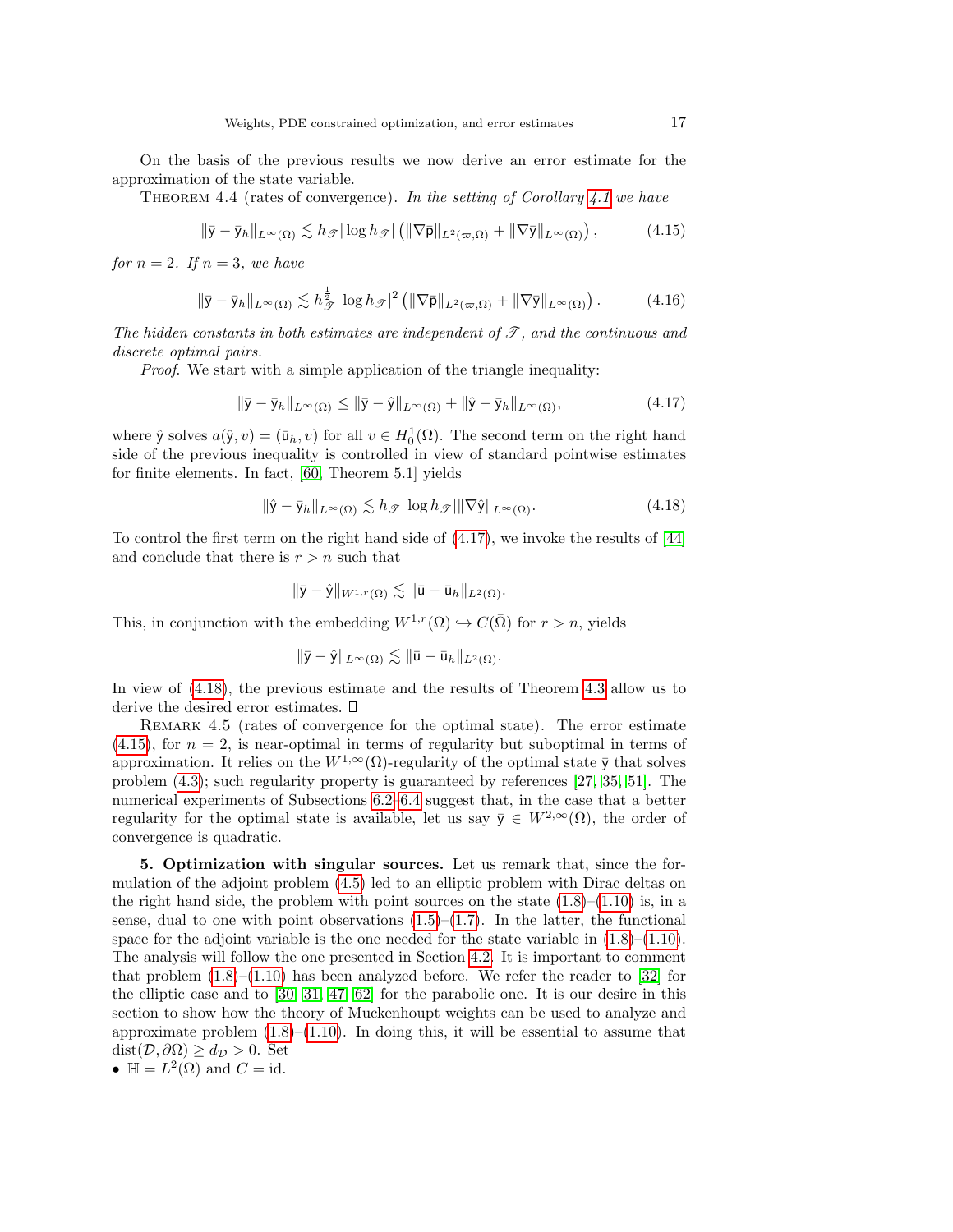On the basis of the previous results we now derive an error estimate for the approximation of the state variable.

THEOREM 4.4 (rates of convergence). In the setting of Corollary [4.1](#page-13-5) we have

<span id="page-16-3"></span>
$$
\|\bar{\mathsf{y}} - \bar{\mathsf{y}}_h\|_{L^\infty(\Omega)} \lesssim h_{\mathscr{T}}|\log h_{\mathscr{T}}| \left( \|\nabla \bar{\mathsf{p}}\|_{L^2(\varpi,\Omega)} + \|\nabla \bar{\mathsf{y}}\|_{L^\infty(\Omega)} \right),\tag{4.15}
$$

for  $n = 2$ . If  $n = 3$ , we have

$$
\|\bar{\mathsf{y}} - \bar{\mathsf{y}}_h\|_{L^\infty(\Omega)} \lesssim h_{\mathscr{T}}^{\frac{1}{2}} |\log h_{\mathscr{T}}|^2 \left( \|\nabla \bar{\mathsf{p}}\|_{L^2(\varpi,\Omega)} + \|\nabla \bar{\mathsf{y}}\|_{L^\infty(\Omega)} \right). \tag{4.16}
$$

The hidden constants in both estimates are independent of  $\mathcal{T}$ , and the continuous and discrete optimal pairs.

Proof. We start with a simple application of the triangle inequality:

<span id="page-16-1"></span>
$$
\|\bar{\mathbf{y}} - \bar{\mathbf{y}}_h\|_{L^{\infty}(\Omega)} \le \|\bar{\mathbf{y}} - \hat{\mathbf{y}}\|_{L^{\infty}(\Omega)} + \|\hat{\mathbf{y}} - \bar{\mathbf{y}}_h\|_{L^{\infty}(\Omega)},
$$
\n(4.17)

where  $\hat{y}$  solves  $a(\hat{y}, v) = (\bar{u}_h, v)$  for all  $v \in H_0^1(\Omega)$ . The second term on the right hand side of the previous inequality is controlled in view of standard pointwise estimates for finite elements. In fact, [\[60,](#page-26-15) Theorem 5.1] yields

<span id="page-16-2"></span>
$$
\|\hat{\mathbf{y}} - \bar{\mathbf{y}}_h\|_{L^{\infty}(\Omega)} \lesssim h_{\mathscr{T}} |\log h_{\mathscr{T}}| \|\nabla \hat{\mathbf{y}}\|_{L^{\infty}(\Omega)}.
$$
\n(4.18)

To control the first term on the right hand side of [\(4.17\)](#page-16-1), we invoke the results of [\[44\]](#page-25-3) and conclude that there is  $r > n$  such that

$$
\|\bar{\mathsf{y}}-\hat{\mathsf{y}}\|_{W^{1,r}(\Omega)} \lesssim \|\bar{\mathsf{u}}-\bar{\mathsf{u}}_h\|_{L^2(\Omega)}.
$$

This, in conjunction with the embedding  $W^{1,r}(\Omega) \hookrightarrow C(\overline{\Omega})$  for  $r > n$ , yields

$$
\|\bar{\mathsf{y}}-\hat{\mathsf{y}}\|_{L^\infty(\Omega)} \lesssim \|\bar{\mathsf{u}}-\bar{\mathsf{u}}_h\|_{L^2(\Omega)}.
$$

In view of [\(4.18\)](#page-16-2), the previous estimate and the results of Theorem [4.3](#page-15-1) allow us to derive the desired error estimates.

<span id="page-16-4"></span>REMARK 4.5 (rates of convergence for the optimal state). The error estimate  $(4.15)$ , for  $n = 2$ , is near-optimal in terms of regularity but suboptimal in terms of approximation. It relies on the  $W^{1,\infty}(\Omega)$ -regularity of the optimal state  $\bar{y}$  that solves problem [\(4.3\)](#page-13-6); such regularity property is guaranteed by references [\[27,](#page-25-24) [35,](#page-25-25) [51\]](#page-26-14). The numerical experiments of Subsections [6.2](#page-20-0)[–6.4](#page-21-0) suggest that, in the case that a better regularity for the optimal state is available, let us say  $\bar{y} \in W^{2,\infty}(\Omega)$ , the order of convergence is quadratic.

<span id="page-16-0"></span>5. Optimization with singular sources. Let us remark that, since the formulation of the adjoint problem [\(4.5\)](#page-13-7) led to an elliptic problem with Dirac deltas on the right hand side, the problem with point sources on the state  $(1.8)$ – $(1.10)$  is, in a sense, dual to one with point observations  $(1.5)$ – $(1.7)$ . In the latter, the functional space for the adjoint variable is the one needed for the state variable in  $(1.8)$ – $(1.10)$ . The analysis will follow the one presented in Section [4.2.](#page-13-8) It is important to comment that problem  $(1.8)$ – $(1.10)$  has been analyzed before. We refer the reader to [\[32\]](#page-25-14) for the elliptic case and to [\[30,](#page-25-26) [31,](#page-25-8) [47,](#page-26-8) [62\]](#page-26-16) for the parabolic one. It is our desire in this section to show how the theory of Muckenhoupt weights can be used to analyze and approximate problem  $(1.8)$ – $(1.10)$ . In doing this, it will be essential to assume that  $dist(D, \partial\Omega) \geq d_{\mathcal{D}} > 0$ . Set

•  $\mathbb{H} = L^2(\Omega)$  and  $C = id$ .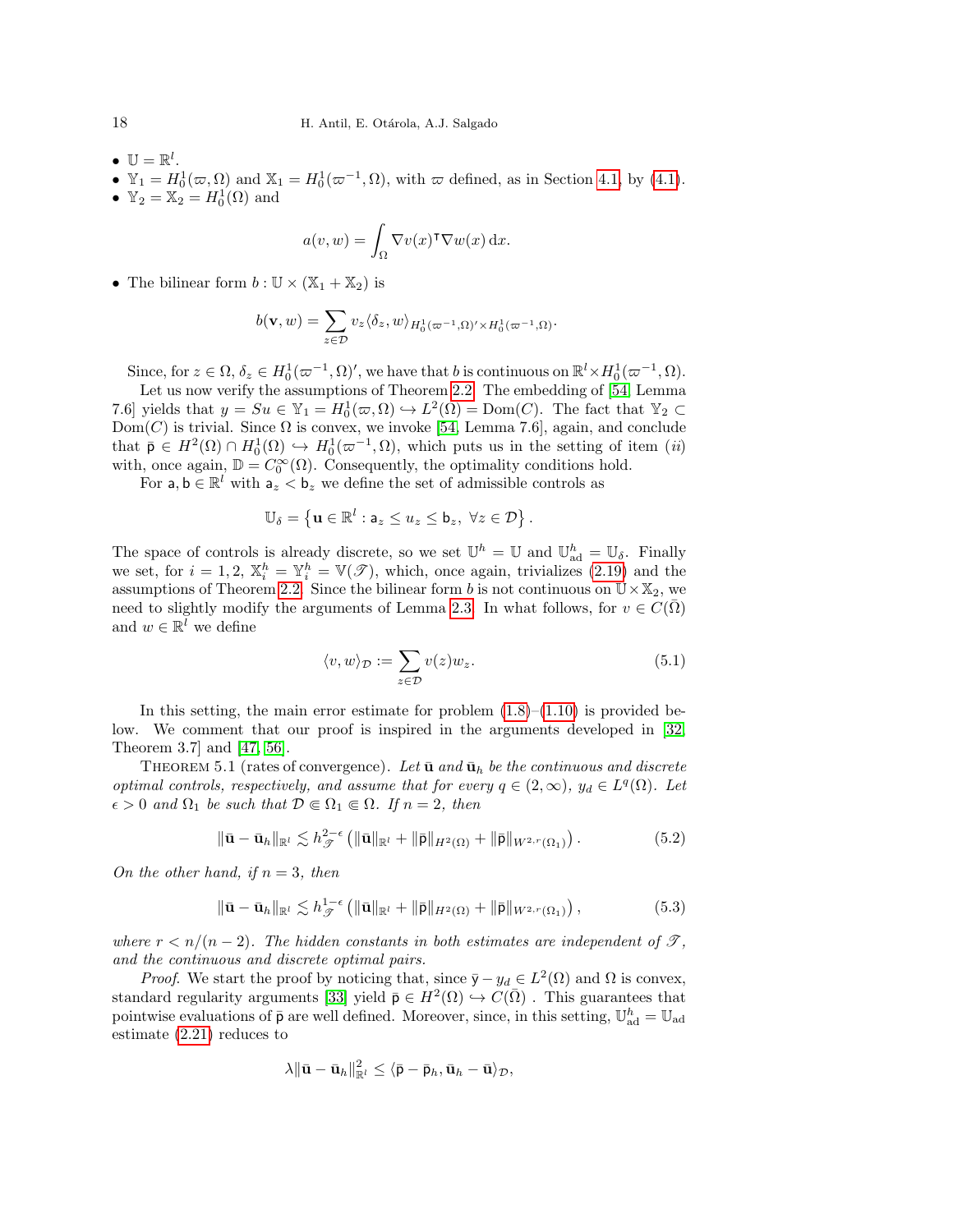- $\bullet \ \mathbb{U} = \mathbb{R}^l$ .
- $\mathbb{Y}_1 = H_0^1(\varpi, \Omega)$  and  $\mathbb{X}_1 = H_0^1(\varpi^{-1}, \Omega)$ , with  $\varpi$  defined, as in Section [4.1,](#page-12-1) by [\(4.1\)](#page-12-2).
- $\mathbb{Y}_2 = \mathbb{X}_2 = H_0^1(\Omega)$  and

$$
a(v, w) = \int_{\Omega} \nabla v(x)^{\mathsf{T}} \nabla w(x) \, \mathrm{d}x.
$$

• The bilinear form  $b : \mathbb{U} \times (\mathbb{X}_1 + \mathbb{X}_2)$  is

$$
b(\mathbf{v},w)=\sum_{z\in\mathcal{D}}v_{z}\langle\delta_{z},w\rangle_{H_{0}^{1}(\varpi^{-1},\Omega)^{\prime}\times H_{0}^{1}(\varpi^{-1},\Omega)}.
$$

Since, for  $z \in \Omega$ ,  $\delta_z \in H_0^1(\varpi^{-1}, \Omega)'$ , we have that b is continuous on  $\mathbb{R}^l \times H_0^1(\varpi^{-1}, \Omega)$ .

Let us now verify the assumptions of Theorem [2.2.](#page-6-0) The embedding of [\[54,](#page-26-1) Lemma 7.6] yields that  $y = Su \in \mathbb{Y}_1 = H_0^1(\varpi, \Omega) \hookrightarrow L^2(\Omega) = \text{Dom}(C)$ . The fact that  $\mathbb{Y}_2 \subset$  $Dom(C)$  is trivial. Since  $\Omega$  is convex, we invoke [\[54,](#page-26-1) Lemma 7.6], again, and conclude that  $\bar{\mathsf{p}} \in H^2(\Omega) \cap H_0^1(\Omega) \hookrightarrow H_0^1(\varpi^{-1}, \Omega)$ , which puts us in the setting of item  $(ii)$ with, once again,  $\mathbb{D} = C_0^{\infty}(\Omega)$ . Consequently, the optimality conditions hold.

For  $a, b \in \mathbb{R}^l$  with  $a_z < b_z$  we define the set of admissible controls as

$$
\mathbb{U}_{\delta} = \left\{ \mathbf{u} \in \mathbb{R}^l : \mathsf{a}_z \leq u_z \leq \mathsf{b}_z, \ \forall z \in \mathcal{D} \right\}.
$$

The space of controls is already discrete, so we set  $\mathbb{U}^h = \mathbb{U}$  and  $\mathbb{U}_{ad}^h = \mathbb{U}_{\delta}$ . Finally we set, for  $i = 1, 2, \mathbb{X}_i^h = \mathbb{Y}_i^h = \mathbb{V}(\mathscr{T})$ , which, once again, trivializes [\(2.19\)](#page-8-4) and the assumptions of Theorem [2.2.](#page-6-0) Since the bilinear form b is not continuous on  $\mathbb{U}\times\mathbb{X}_2$ , we need to slightly modify the arguments of Lemma [2.3.](#page-8-8) In what follows, for  $v \in C(\overline{\Omega})$ and  $w \in \mathbb{R}^l$  we define

<span id="page-17-0"></span>
$$
\langle v, w \rangle_{\mathcal{D}} := \sum_{z \in \mathcal{D}} v(z) w_z.
$$
 (5.1)

In this setting, the main error estimate for problem  $(1.8)$ – $(1.10)$  is provided below. We comment that our proof is inspired in the arguments developed in [\[32,](#page-25-14) Theorem 3.7] and [\[47,](#page-26-8) [56\]](#page-26-17).

<span id="page-17-1"></span>THEOREM 5.1 (rates of convergence). Let  $\bar{u}$  and  $\bar{u}_h$  be the continuous and discrete optimal controls, respectively, and assume that for every  $q \in (2,\infty)$ ,  $y_d \in L^q(\Omega)$ . Let  $\epsilon > 0$  and  $\Omega_1$  be such that  $\mathcal{D} \in \Omega_1 \in \Omega$ . If  $n = 2$ , then

<span id="page-17-2"></span>
$$
\|\bar{\mathbf{u}} - \bar{\mathbf{u}}_h\|_{\mathbb{R}^l} \lesssim h_{\mathscr{T}}^{2-\epsilon} \left( \|\bar{\mathbf{u}}\|_{\mathbb{R}^l} + \|\bar{\mathbf{p}}\|_{H^2(\Omega)} + \|\bar{\mathbf{p}}\|_{W^{2,r}(\Omega_1)} \right). \tag{5.2}
$$

On the other hand, if  $n = 3$ , then

<span id="page-17-3"></span>
$$
\|\bar{\mathbf{u}} - \bar{\mathbf{u}}_h\|_{\mathbb{R}^l} \lesssim h_{\mathcal{F}}^{1-\epsilon} \left( \|\bar{\mathbf{u}}\|_{\mathbb{R}^l} + \|\bar{\mathbf{p}}\|_{H^2(\Omega)} + \|\bar{\mathbf{p}}\|_{W^{2,r}(\Omega_1)} \right),\tag{5.3}
$$

where  $r < n/(n-2)$ . The hidden constants in both estimates are independent of  $\mathscr{T}$ , and the continuous and discrete optimal pairs.

*Proof.* We start the proof by noticing that, since  $\bar{y} - y_d \in L^2(\Omega)$  and  $\Omega$  is convex, standard regularity arguments [\[33\]](#page-25-4) yield  $\bar{p} \in H^2(\Omega) \hookrightarrow C(\bar{\Omega})$ . This guarantees that pointwise evaluations of  $\bar{p}$  are well defined. Moreover, since, in this setting,  $\mathbb{U}_{ad}^h = \mathbb{U}_{ad}$ estimate [\(2.21\)](#page-8-6) reduces to

$$
\lambda \|\bar{\mathbf{u}}-\bar{\mathbf{u}}_h\|_{\mathbb{R}^l}^2 \leq \langle \bar{\mathsf{p}}-\bar{\mathsf{p}}_h, \bar{\mathbf{u}}_h-\bar{\mathbf{u}} \rangle_{\mathcal{D}},
$$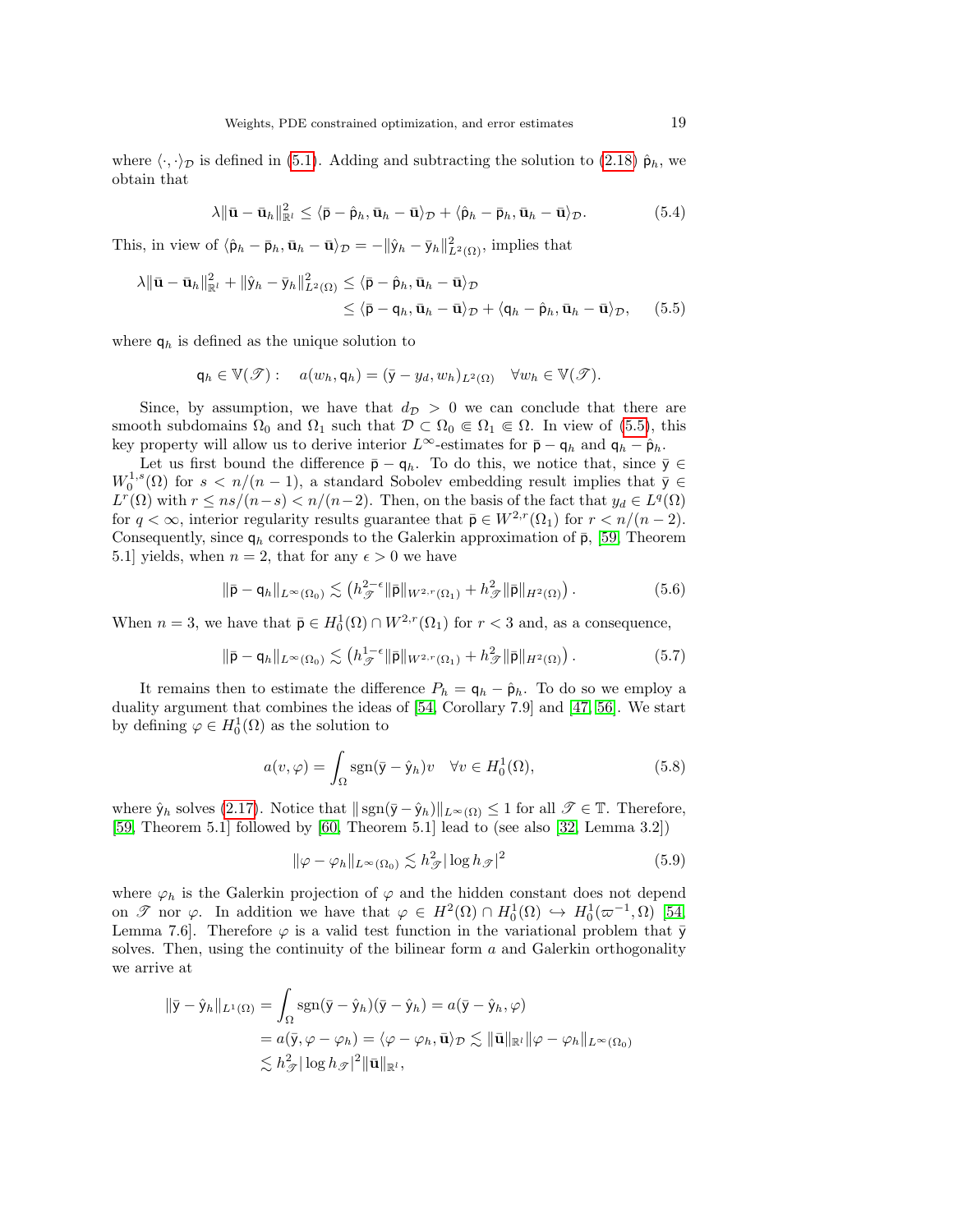where  $\langle \cdot, \cdot \rangle_{\mathcal{D}}$  is defined in [\(5.1\)](#page-17-0). Adding and subtracting the solution to [\(2.18\)](#page-8-2)  $\hat{\mathsf{p}}_h$ , we obtain that

<span id="page-18-0"></span>
$$
\lambda \|\bar{\mathbf{u}} - \bar{\mathbf{u}}_h\|_{\mathbb{R}^l}^2 \leq \langle \bar{\mathbf{p}} - \hat{\mathbf{p}}_h, \bar{\mathbf{u}}_h - \bar{\mathbf{u}} \rangle_{\mathcal{D}} + \langle \hat{\mathbf{p}}_h - \bar{\mathbf{p}}_h, \bar{\mathbf{u}}_h - \bar{\mathbf{u}} \rangle_{\mathcal{D}}.
$$
 (5.4)

This, in view of  $\langle \hat{\mathbf{p}}_h - \bar{\mathbf{p}}_h, \bar{\mathbf{u}}_h - \bar{\mathbf{u}} \rangle_{\mathcal{D}} = -\|\hat{\mathbf{y}}_h - \bar{\mathbf{y}}_h\|_{L^2(\Omega)}^2$ , implies that

$$
\lambda \|\bar{\mathbf{u}} - \bar{\mathbf{u}}_h\|_{\mathbb{R}^l}^2 + \|\hat{y}_h - \bar{y}_h\|_{L^2(\Omega)}^2 \leq \langle \bar{\mathbf{p}} - \hat{\mathbf{p}}_h, \bar{\mathbf{u}}_h - \bar{\mathbf{u}} \rangle_{\mathcal{D}} \leq \langle \bar{\mathbf{p}} - \mathbf{q}_h, \bar{\mathbf{u}}_h - \bar{\mathbf{u}} \rangle_{\mathcal{D}} + \langle \mathbf{q}_h - \hat{\mathbf{p}}_h, \bar{\mathbf{u}}_h - \bar{\mathbf{u}} \rangle_{\mathcal{D}}, \quad (5.5)
$$

where  $q_h$  is defined as the unique solution to

$$
\mathsf{q}_h \in \mathbb{V}(\mathscr{T}): \quad a(w_h, \mathsf{q}_h) = (\bar{\mathsf{y}} - y_d, w_h)_{L^2(\Omega)} \quad \forall w_h \in \mathbb{V}(\mathscr{T}).
$$

Since, by assumption, we have that  $d_{\mathcal{D}} > 0$  we can conclude that there are smooth subdomains  $\Omega_0$  and  $\Omega_1$  such that  $\mathcal{D} \subset \Omega_0 \Subset \Omega_1 \Subset \Omega$ . In view of [\(5.5\)](#page-18-0), this key property will allow us to derive interior  $L^{\infty}$ -estimates for  $\bar{p} - q_h$  and  $q_h - \hat{p}_h$ .

Let us first bound the difference  $\bar{p} - q_h$ . To do this, we notice that, since  $\bar{y} \in$  $W_0^{1,s}(\Omega)$  for  $s < n/(n-1)$ , a standard Sobolev embedding result implies that  $\bar{y} \in$  $L^r(\Omega)$  with  $r \leq ns/(n-s) < n/(n-2)$ . Then, on the basis of the fact that  $y_d \in L^q(\Omega)$ for  $q < \infty$ , interior regularity results guarantee that  $\bar{\mathsf{p}} \in W^{2,r}(\Omega_1)$  for  $r < n/(n-2)$ . Consequently, since  $q_h$  corresponds to the Galerkin approximation of  $\bar{p}$ , [\[59,](#page-26-18) Theorem 5.1] yields, when  $n = 2$ , that for any  $\epsilon > 0$  we have

<span id="page-18-2"></span>
$$
\|\bar{\mathsf{p}} - \mathsf{q}_h\|_{L^{\infty}(\Omega_0)} \lesssim \left(h_{\mathscr{T}}^{2-\epsilon} \|\bar{\mathsf{p}}\|_{W^{2,r}(\Omega_1)} + h_{\mathscr{T}}^2 \|\bar{\mathsf{p}}\|_{H^2(\Omega)}\right). \tag{5.6}
$$

When  $n = 3$ , we have that  $\bar{\mathsf{p}} \in H_0^1(\Omega) \cap W^{2,r}(\Omega_1)$  for  $r < 3$  and, as a consequence,

<span id="page-18-3"></span>
$$
\|\bar{\mathsf{p}} - \mathsf{q}_h\|_{L^{\infty}(\Omega_0)} \lesssim \left(h_{\mathscr{T}}^{1-\epsilon} \|\bar{\mathsf{p}}\|_{W^{2,r}(\Omega_1)} + h_{\mathscr{T}}^2 \|\bar{\mathsf{p}}\|_{H^2(\Omega)}\right). \tag{5.7}
$$

It remains then to estimate the difference  $P_h = \mathsf{q}_h - \hat{\mathsf{p}}_h$ . To do so we employ a duality argument that combines the ideas of [\[54,](#page-26-1) Corollary 7.9] and [\[47,](#page-26-8) [56\]](#page-26-17). We start by defining  $\varphi \in H_0^1(\Omega)$  as the solution to

$$
a(v, \varphi) = \int_{\Omega} sgn(\bar{y} - \hat{y}_h)v \quad \forall v \in H_0^1(\Omega),
$$
\n(5.8)

where  $\hat{y}_h$  solves [\(2.17\)](#page-8-3). Notice that  $|| \text{sgn}(\bar{y} - \hat{y}_h)||_{L^\infty(\Omega)} \leq 1$  for all  $\mathscr{T} \in \mathbb{T}$ . Therefore, [\[59,](#page-26-18) Theorem 5.1] followed by [\[60,](#page-26-15) Theorem 5.1] lead to (see also [\[32,](#page-25-14) Lemma 3.2])

<span id="page-18-1"></span>
$$
\|\varphi - \varphi_h\|_{L^\infty(\Omega_0)} \lesssim h_{\mathcal{F}}^2 |\log h_{\mathcal{F}}|^2 \tag{5.9}
$$

where  $\varphi_h$  is the Galerkin projection of  $\varphi$  and the hidden constant does not depend on  $\mathscr{T}$  nor  $\varphi$ . In addition we have that  $\varphi \in H^2(\Omega) \cap H_0^1(\Omega) \hookrightarrow H_0^1(\varpi^{-1}, \Omega)$  [\[54,](#page-26-1) Lemma 7.6. Therefore  $\varphi$  is a valid test function in the variational problem that  $\bar{y}$ solves. Then, using the continuity of the bilinear form  $a$  and Galerkin orthogonality we arrive at

$$
\begin{aligned} \|\bar{\mathsf{y}} - \hat{\mathsf{y}}_h\|_{L^1(\Omega)} &= \int_{\Omega} \text{sgn}(\bar{\mathsf{y}} - \hat{\mathsf{y}}_h)(\bar{\mathsf{y}} - \hat{\mathsf{y}}_h) = a(\bar{\mathsf{y}} - \hat{\mathsf{y}}_h, \varphi) \\ &= a(\bar{\mathsf{y}}, \varphi - \varphi_h) = \langle \varphi - \varphi_h, \bar{\mathbf{u}} \rangle_{\mathcal{D}} \lesssim \|\bar{\mathbf{u}}\|_{\mathbb{R}^l} \|\varphi - \varphi_h\|_{L^\infty(\Omega_0)} \\ &\lesssim h_{\mathcal{F}}^2 |\log h_{\mathcal{F}}|^2 \|\bar{\mathbf{u}}\|_{\mathbb{R}^l}, \end{aligned}
$$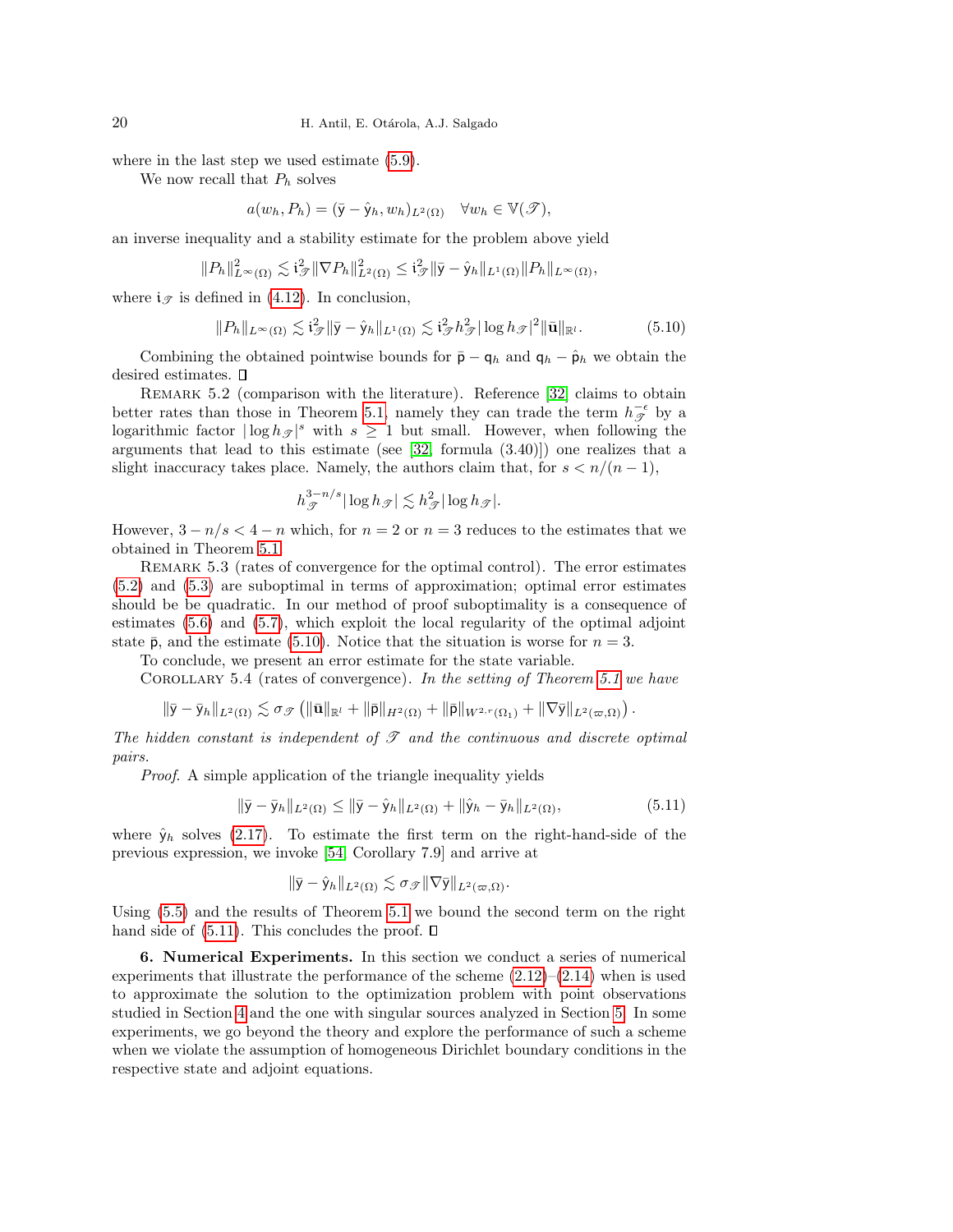where in the last step we used estimate [\(5.9\)](#page-18-1).

We now recall that  $P_h$  solves

$$
a(w_h, P_h) = (\bar{\mathbf{y}} - \hat{\mathbf{y}}_h, w_h)_{L^2(\Omega)} \quad \forall w_h \in \mathbb{V}(\mathcal{T}),
$$

an inverse inequality and a stability estimate for the problem above yield

$$
||P_h||_{L^{\infty}(\Omega)}^2 \lesssim \mathfrak{i}_{\mathcal{F}}^2 ||\nabla P_h||_{L^2(\Omega)}^2 \leq \mathfrak{i}_{\mathcal{F}}^2 ||\bar{\mathsf{y}} - \hat{\mathsf{y}}_h||_{L^1(\Omega)} ||P_h||_{L^{\infty}(\Omega)},
$$

where  $i_{\mathscr{T}}$  is defined in [\(4.12\)](#page-15-2). In conclusion,

<span id="page-19-1"></span>
$$
||P_h||_{L^{\infty}(\Omega)} \lesssim \mathfrak{i}_{\mathscr{T}}^2 ||\bar{\mathsf{y}} - \hat{\mathsf{y}}_h||_{L^1(\Omega)} \lesssim \mathfrak{i}_{\mathscr{T}}^2 h_{\mathscr{T}}^2 |\log h_{\mathscr{T}}|^2 ||\bar{\mathbf{u}}||_{\mathbb{R}^l}.
$$
 (5.10)

Combining the obtained pointwise bounds for  $\bar{p} - q_h$  and  $q_h - \hat{p}_h$  we obtain the desired estimates.  $\square$ 

REMARK 5.2 (comparison with the literature). Reference [\[32\]](#page-25-14) claims to obtain better rates than those in Theorem [5.1,](#page-17-1) namely they can trade the term  $h_{\mathscr{T}}^{-\epsilon}$  by a logarithmic factor  $|\log h_{\mathscr{T}}|^s$  with  $s \geq 1$  but small. However, when following the arguments that lead to this estimate (see [\[32,](#page-25-14) formula (3.40)]) one realizes that a slight inaccuracy takes place. Namely, the authors claim that, for  $s < n/(n-1)$ ,

$$
h_{\mathcal{F}}^{3-n/s}|\log h_{\mathcal{F}}| \lesssim h_{\mathcal{F}}^2|\log h_{\mathcal{F}}|.
$$

However,  $3 - n/s < 4 - n$  which, for  $n = 2$  or  $n = 3$  reduces to the estimates that we obtained in Theorem [5.1.](#page-17-1)

REMARK 5.3 (rates of convergence for the optimal control). The error estimates [\(5.2\)](#page-17-2) and [\(5.3\)](#page-17-3) are suboptimal in terms of approximation; optimal error estimates should be be quadratic. In our method of proof suboptimality is a consequence of estimates [\(5.6\)](#page-18-2) and [\(5.7\)](#page-18-3), which exploit the local regularity of the optimal adjoint state  $\bar{p}$ , and the estimate [\(5.10\)](#page-19-1). Notice that the situation is worse for  $n = 3$ .

To conclude, we present an error estimate for the state variable.

COROLLARY 5.4 (rates of convergence). In the setting of Theorem [5.1](#page-17-1) we have

$$
\|\bar{\mathsf{y}}-\bar{\mathsf{y}}_h\|_{L^2(\Omega)}\lesssim \sigma_{\mathscr{T}}\left(\|\bar{\mathbf{u}}\|_{\mathbb{R}^l}+\|\bar{\mathsf{p}}\|_{H^2(\Omega)}+\|\bar{\mathsf{p}}\|_{W^{2,r}(\Omega_1)}+\|\nabla \bar{\mathsf{y}}\|_{L^2(\varpi,\Omega)}\right).
$$

The hidden constant is independent of  $\mathcal T$  and the continuous and discrete optimal pairs.

Proof. A simple application of the triangle inequality yields

<span id="page-19-2"></span>
$$
\|\bar{\mathbf{y}} - \bar{\mathbf{y}}_h\|_{L^2(\Omega)} \le \|\bar{\mathbf{y}} - \hat{\mathbf{y}}_h\|_{L^2(\Omega)} + \|\hat{\mathbf{y}}_h - \bar{\mathbf{y}}_h\|_{L^2(\Omega)},
$$
\n(5.11)

where  $\hat{y}_h$  solves [\(2.17\)](#page-8-3). To estimate the first term on the right-hand-side of the previous expression, we invoke [\[54,](#page-26-1) Corollary 7.9] and arrive at

$$
\|\bar{\mathsf{y}}-\hat{\mathsf{y}}_h\|_{L^2(\Omega)}\lesssim \sigma_{\mathscr{T}}\|\nabla\bar{\mathsf{y}}\|_{L^2(\varpi,\Omega)}.
$$

Using [\(5.5\)](#page-18-0) and the results of Theorem [5.1](#page-17-1) we bound the second term on the right hand side of  $(5.11)$ . This concludes the proof.  $\square$ 

<span id="page-19-0"></span>6. Numerical Experiments. In this section we conduct a series of numerical experiments that illustrate the performance of the scheme  $(2.12)$ – $(2.14)$  when is used to approximate the solution to the optimization problem with point observations studied in Section [4](#page-12-0) and the one with singular sources analyzed in Section [5.](#page-16-0) In some experiments, we go beyond the theory and explore the performance of such a scheme when we violate the assumption of homogeneous Dirichlet boundary conditions in the respective state and adjoint equations.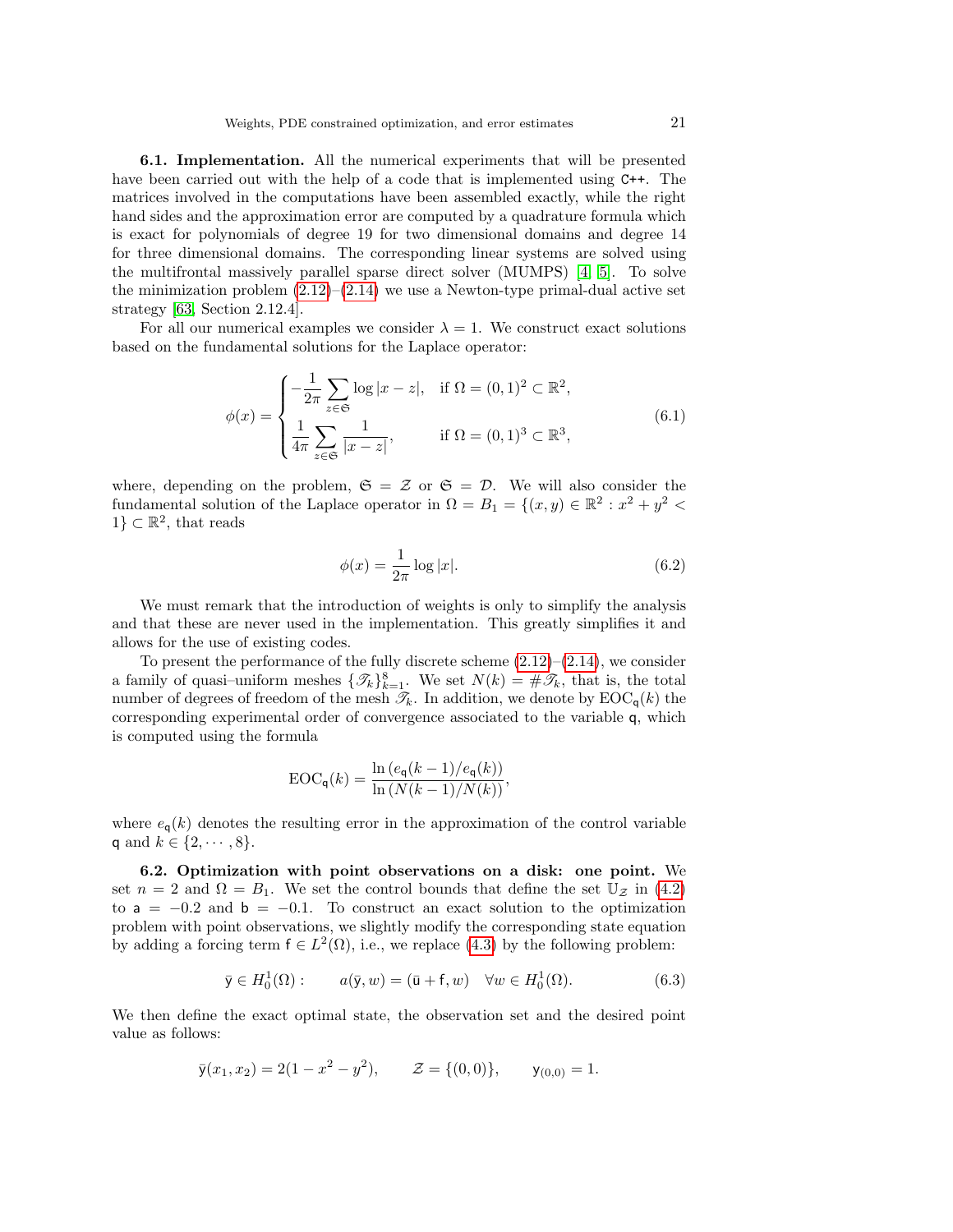6.1. Implementation. All the numerical experiments that will be presented have been carried out with the help of a code that is implemented using  $C^{++}$ . The matrices involved in the computations have been assembled exactly, while the right hand sides and the approximation error are computed by a quadrature formula which is exact for polynomials of degree 19 for two dimensional domains and degree 14 for three dimensional domains. The corresponding linear systems are solved using the multifrontal massively parallel sparse direct solver (MUMPS) [\[4,](#page-24-17) [5\]](#page-24-18). To solve the minimization problem  $(2.12)$ – $(2.14)$  we use a Newton-type primal-dual active set strategy [\[63,](#page-26-13) Section 2.12.4].

For all our numerical examples we consider  $\lambda = 1$ . We construct exact solutions based on the fundamental solutions for the Laplace operator:

<span id="page-20-3"></span>
$$
\phi(x) = \begin{cases}\n-\frac{1}{2\pi} \sum_{z \in \mathfrak{S}} \log |x - z|, & \text{if } \Omega = (0, 1)^2 \subset \mathbb{R}^2, \\
\frac{1}{4\pi} \sum_{z \in \mathfrak{S}} \frac{1}{|x - z|}, & \text{if } \Omega = (0, 1)^3 \subset \mathbb{R}^3,\n\end{cases} \tag{6.1}
$$

where, depending on the problem,  $\mathfrak{S} = \mathcal{Z}$  or  $\mathfrak{S} = \mathcal{D}$ . We will also consider the fundamental solution of the Laplace operator in  $\Omega = B_1 = \{(x, y) \in \mathbb{R}^2 : x^2 + y^2 \leq 1\}$  $1\} \subset \mathbb{R}^2$ , that reads

<span id="page-20-1"></span>
$$
\phi(x) = \frac{1}{2\pi} \log|x|.
$$
\n(6.2)

We must remark that the introduction of weights is only to simplify the analysis and that these are never used in the implementation. This greatly simplifies it and allows for the use of existing codes.

To present the performance of the fully discrete scheme  $(2.12)$ – $(2.14)$ , we consider a family of quasi-uniform meshes  $\{\mathcal{T}_k\}_{k=1}^8$ . We set  $N(k) = \#\mathcal{T}_k$ , that is, the total number of degrees of freedom of the mesh  $\mathcal{T}_k$ . In addition, we denote by  $\mathrm{EOC}_{q}(k)$  the corresponding experimental order of convergence associated to the variable q, which is computed using the formula

$$
EOC_{q}(k) = \frac{\ln (e_{q}(k-1)/e_{q}(k))}{\ln (N(k-1)/N(k))},
$$

where  $e_{\mathbf{q}}(k)$  denotes the resulting error in the approximation of the control variable q and  $k \in \{2, \dots, 8\}.$ 

<span id="page-20-0"></span>6.2. Optimization with point observations on a disk: one point. We set  $n = 2$  and  $\Omega = B_1$ . We set the control bounds that define the set  $\mathbb{U}_{\mathcal{Z}}$  in [\(4.2\)](#page-13-0) to  $a = -0.2$  and  $b = -0.1$ . To construct an exact solution to the optimization problem with point observations, we slightly modify the corresponding state equation by adding a forcing term  $f \in L^2(\Omega)$ , i.e., we replace [\(4.3\)](#page-13-6) by the following problem:

<span id="page-20-2"></span>
$$
\bar{y} \in H_0^1(\Omega): \qquad a(\bar{y}, w) = (\bar{u} + f, w) \quad \forall w \in H_0^1(\Omega). \tag{6.3}
$$

We then define the exact optimal state, the observation set and the desired point value as follows:

$$
\bar{y}(x_1, x_2) = 2(1 - x^2 - y^2), \qquad \mathcal{Z} = \{(0, 0)\}, \qquad y_{(0, 0)} = 1.
$$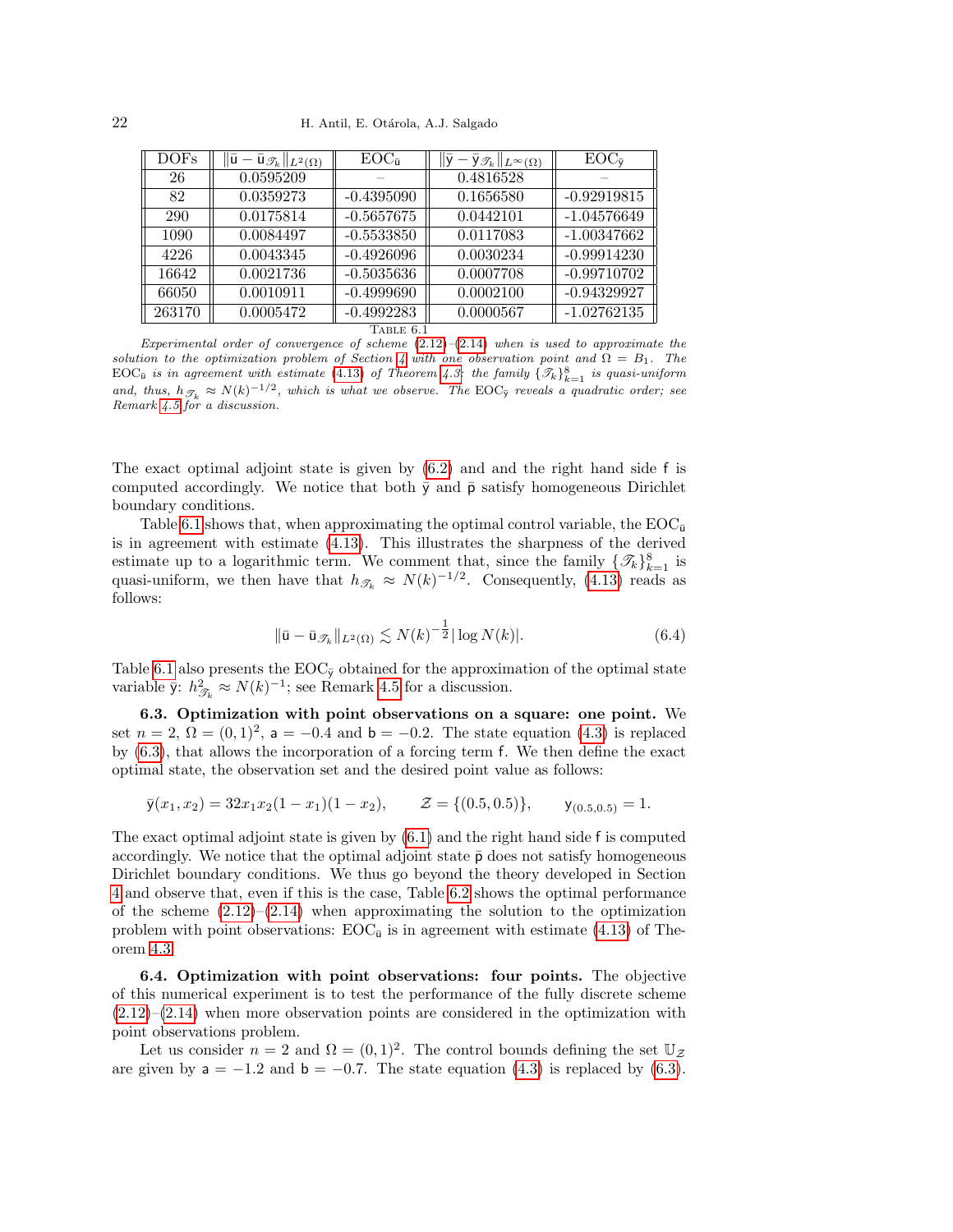| DOFs      | $\ \bar{\mathbf{u}}-\bar{\mathbf{u}}_{\mathscr{T}_k}\ _{L^2(\Omega)}$ | $EOC_{\bar{u}}$ | $\ \bar{\mathsf{y}}-\bar{\mathsf{y}}_{\mathscr{T}_k}\ _{L^\infty(\Omega)}$ | $EOC_{\bar{v}}$ |
|-----------|-----------------------------------------------------------------------|-----------------|----------------------------------------------------------------------------|-----------------|
| 26        | 0.0595209                                                             |                 | 0.4816528                                                                  |                 |
| 82        | 0.0359273                                                             | $-0.4395090$    | 0.1656580                                                                  | $-0.92919815$   |
| 290       | 0.0175814                                                             | $-0.5657675$    | 0.0442101                                                                  | $-1.04576649$   |
| 1090      | 0.0084497                                                             | $-0.5533850$    | 0.0117083                                                                  | $-1.00347662$   |
| 4226      | 0.0043345                                                             | $-0.4926096$    | 0.0030234                                                                  | $-0.99914230$   |
| 16642     | 0.0021736                                                             | $-0.5035636$    | 0.0007708                                                                  | $-0.99710702$   |
| 66050     | 0.0010911                                                             | $-0.4999690$    | 0.0002100                                                                  | $-0.94329927$   |
| 263170    | 0.0005472                                                             | $-0.4992283$    | 0.0000567                                                                  | $-1.02762135$   |
| TABLE 6.1 |                                                                       |                 |                                                                            |                 |

<span id="page-21-1"></span>Experimental order of convergence of scheme  $(2.12)$ – $(2.14)$  when is used to approximate the solution to the optimization problem of Section [4](#page-12-0) with one observation point and  $\Omega = B_1$ . The  $\text{EOC}_{\bar{u}}$  is in agreement with estimate [\(4.13\)](#page-15-3) of Theorem [4.3:](#page-15-1) the family  $\{\mathcal{I}_k\}_{k=1}^8$  is quasi-uniform and, thus,  $h_{\mathcal{I}_k} \approx N(k)^{-1/2}$ , which is what we observe. The EOC<sub> $\bar{y}$ </sub> reveals a quadratic order; see Remark [4.5](#page-16-4) for a discussion.

The exact optimal adjoint state is given by [\(6.2\)](#page-20-1) and and the right hand side f is computed accordingly. We notice that both  $\bar{y}$  and  $\bar{p}$  satisfy homogeneous Dirichlet boundary conditions.

Table [6.1](#page-21-1) shows that, when approximating the optimal control variable, the  $EOC_{\bar{u}}$ is in agreement with estimate [\(4.13\)](#page-15-3). This illustrates the sharpness of the derived estimate up to a logarithmic term. We comment that, since the family  $\{\mathcal{I}_k\}_{k=1}^8$  is quasi-uniform, we then have that  $h_{\mathscr{T}_k} \approx N(k)^{-1/2}$ . Consequently, [\(4.13\)](#page-15-3) reads as follows:

$$
\|\bar{\mathbf{u}} - \bar{\mathbf{u}}_{\mathscr{T}_k}\|_{L^2(\Omega)} \lesssim N(k)^{-\frac{1}{2}} |\log N(k)|. \tag{6.4}
$$

Table [6.1](#page-21-1) also presents the  $EOC_{\bar{y}}$  obtained for the approximation of the optimal state variable  $\bar{y}$ :  $h_{\mathscr{T}_k}^2 \approx N(k)^{-1}$ ; see Remark [4.5](#page-16-4) for a discussion.

<span id="page-21-2"></span>6.3. Optimization with point observations on a square: one point. We set  $n = 2$ ,  $\Omega = (0, 1)^2$ ,  $a = -0.4$  and  $b = -0.2$ . The state equation [\(4.3\)](#page-13-6) is replaced by [\(6.3\)](#page-20-2), that allows the incorporation of a forcing term f. We then define the exact optimal state, the observation set and the desired point value as follows:

$$
\bar{y}(x_1, x_2) = 32x_1x_2(1-x_1)(1-x_2), \qquad \mathcal{Z} = \{(0.5, 0.5)\}, \qquad y_{(0.5, 0.5)} = 1.
$$

The exact optimal adjoint state is given by [\(6.1\)](#page-20-3) and the right hand side f is computed accordingly. We notice that the optimal adjoint state  $\bar{p}$  does not satisfy homogeneous Dirichlet boundary conditions. We thus go beyond the theory developed in Section [4](#page-12-0) and observe that, even if this is the case, Table [6.2](#page-22-0) shows the optimal performance of the scheme  $(2.12)$ – $(2.14)$  when approximating the solution to the optimization problem with point observations:  $EOC_{\bar{u}}$  is in agreement with estimate [\(4.13\)](#page-15-3) of Theorem [4.3.](#page-15-1)

<span id="page-21-0"></span>6.4. Optimization with point observations: four points. The objective of this numerical experiment is to test the performance of the fully discrete scheme  $(2.12)$ – $(2.14)$  when more observation points are considered in the optimization with point observations problem.

Let us consider  $n = 2$  and  $\Omega = (0, 1)^2$ . The control bounds defining the set  $\mathbb{U}_{\mathcal{Z}}$ are given by  $a = -1.2$  and  $b = -0.7$ . The state equation [\(4.3\)](#page-13-6) is replaced by [\(6.3\)](#page-20-2).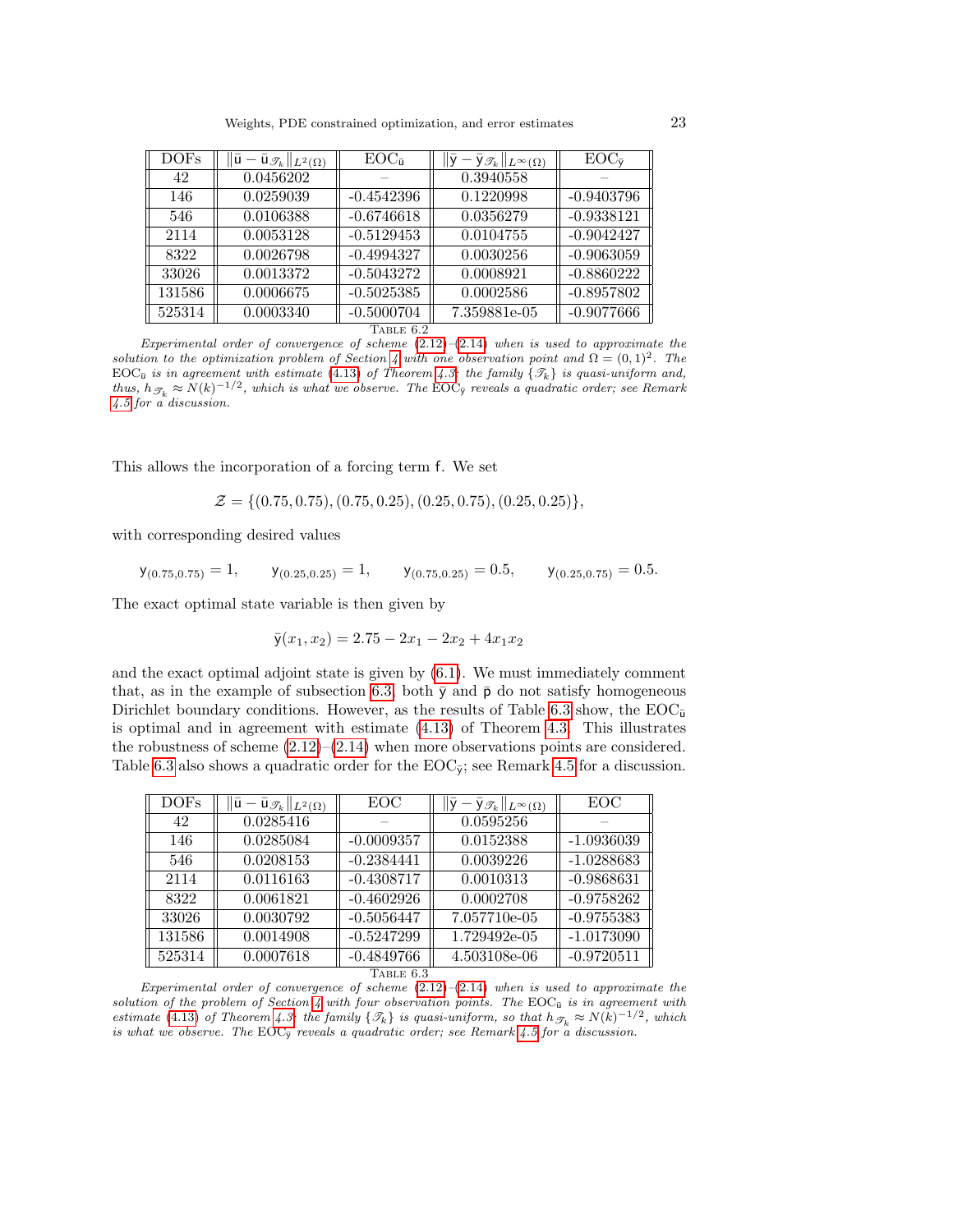| $\overline{\text{DOFs}}$ | $\ \bar{\mathsf{u}}-\bar{\mathsf{u}}_{\mathscr{T}_k}\ _{L^2(\Omega)}$ | $EOC_{\bar{u}}$ | $\ \bar{\mathsf{y}}-\bar{\mathsf{y}}_{\mathscr{T}_k}\ _{L^\infty(\Omega)}$ | $EOC_{\bar{v}}$ |
|--------------------------|-----------------------------------------------------------------------|-----------------|----------------------------------------------------------------------------|-----------------|
| 42                       | 0.0456202                                                             |                 | 0.3940558                                                                  |                 |
| 146                      | 0.0259039                                                             | $-0.4542396$    | 0.1220998                                                                  | $-0.9403796$    |
| 546                      | 0.0106388                                                             | $-0.6746618$    | 0.0356279                                                                  | $-0.9338121$    |
| 2114                     | 0.0053128                                                             | $-0.5129453$    | 0.0104755                                                                  | $-0.9042427$    |
| 8322                     | 0.0026798                                                             | $-0.4994327$    | 0.0030256                                                                  | $-0.9063059$    |
| 33026                    | 0.0013372                                                             | $-0.5043272$    | 0.0008921                                                                  | $-0.8860222$    |
| 131586                   | 0.0006675                                                             | $-0.5025385$    | 0.0002586                                                                  | $-0.8957802$    |
| 525314                   | 0.0003340                                                             | $-0.5000704$    | 7.359881e-05                                                               | $-0.9077666$    |
| Table 6.2                |                                                                       |                 |                                                                            |                 |

<span id="page-22-0"></span>Experimental order of convergence of scheme  $(2.12)$ – $(2.14)$  when is used to approximate the solution to the optimization problem of Section [4](#page-12-0) with one observation point and  $\Omega = (0,1)^2$ . The EOC<sub>u</sub> is in agreement with estimate [\(4.13\)](#page-15-3) of Theorem [4.3:](#page-15-1) the family  $\{\mathcal{T}_k\}$  is quasi-uniform and, thus,  $h_{\mathscr{T}_k} \approx N(k)^{-1/2}$ , which is what we observe. The EOC<sub> $\bar{y}$ </sub> reveals a quadratic order; see Remark [4.5](#page-16-4) for a discussion.

This allows the incorporation of a forcing term f. We set

 $\mathcal{Z} = \{(0.75, 0.75), (0.75, 0.25), (0.25, 0.75), (0.25, 0.25)\},\$ 

with corresponding desired values

 $y_{(0.75,0.75)} = 1$ ,  $y_{(0.25,0.25)} = 1$ ,  $y_{(0.75,0.25)} = 0.5$ ,  $y_{(0.25,0.75)} = 0.5$ .

The exact optimal state variable is then given by

$$
\bar{y}(x_1, x_2) = 2.75 - 2x_1 - 2x_2 + 4x_1x_2
$$

and the exact optimal adjoint state is given by [\(6.1\)](#page-20-3). We must immediately comment that, as in the example of subsection [6.3,](#page-21-2) both  $\bar{y}$  and  $\bar{p}$  do not satisfy homogeneous Dirichlet boundary conditions. However, as the results of Table [6.3](#page-22-1) show, the  $EOC_{\bar{u}}$ is optimal and in agreement with estimate [\(4.13\)](#page-15-3) of Theorem [4.3.](#page-15-1) This illustrates the robustness of scheme  $(2.12)$ – $(2.14)$  when more observations points are considered. Table [6.3](#page-22-1) also shows a quadratic order for the  $EOC<sub>y</sub>$ ; see Remark [4.5](#page-16-4) for a discussion.

| <b>DOFs</b> | $\bar{\mathsf{u}}_{\mathscr{T}_k}  _{L^2(\Omega)}$<br>$ {\bf u} -$ | EOC          | $-\bar{\mathsf{y}}_{\mathscr{T}_k}\ _{L^\infty(\Omega)}$ | EOC          |
|-------------|--------------------------------------------------------------------|--------------|----------------------------------------------------------|--------------|
| 42          | 0.0285416                                                          |              | 0.0595256                                                |              |
| 146         | 0.0285084                                                          | $-0.0009357$ | 0.0152388                                                | $-1.0936039$ |
| 546         | 0.0208153                                                          | $-0.2384441$ | 0.0039226                                                | $-1.0288683$ |
| 2114        | 0.0116163                                                          | $-0.4308717$ | 0.0010313                                                | $-0.9868631$ |
| 8322        | 0.0061821                                                          | $-0.4602926$ | 0.0002708                                                | $-0.9758262$ |
| 33026       | 0.0030792                                                          | $-0.5056447$ | 7.057710e-05                                             | $-0.9755383$ |
| 131586      | 0.0014908                                                          | $-0.5247299$ | 1.729492e-05                                             | $-1.0173090$ |
| 525314      | 0.0007618                                                          | $-0.4849766$ | 4.503108e-06                                             | $-0.9720511$ |
| TABLE 6.3   |                                                                    |              |                                                          |              |

<span id="page-22-1"></span>Experimental order of convergence of scheme  $(2.12)$ – $(2.14)$  when is used to approximate the solution of the problem of Section [4](#page-12-0) with four observation points. The EOC $_{\bar{u}}$  is in agreement with estimate [\(4.13\)](#page-15-3) of Theorem [4.3:](#page-15-1) the family  $\{\mathcal{T}_k\}$  is quasi-uniform, so that  $h_{\mathcal{T}_k} \approx N(k)^{-1/2}$ , which is what we observe. The EOC $_{\bar{y}}$  reveals a quadratic order; see Remark [4.5](#page-16-4) for  $\alpha$  discussion.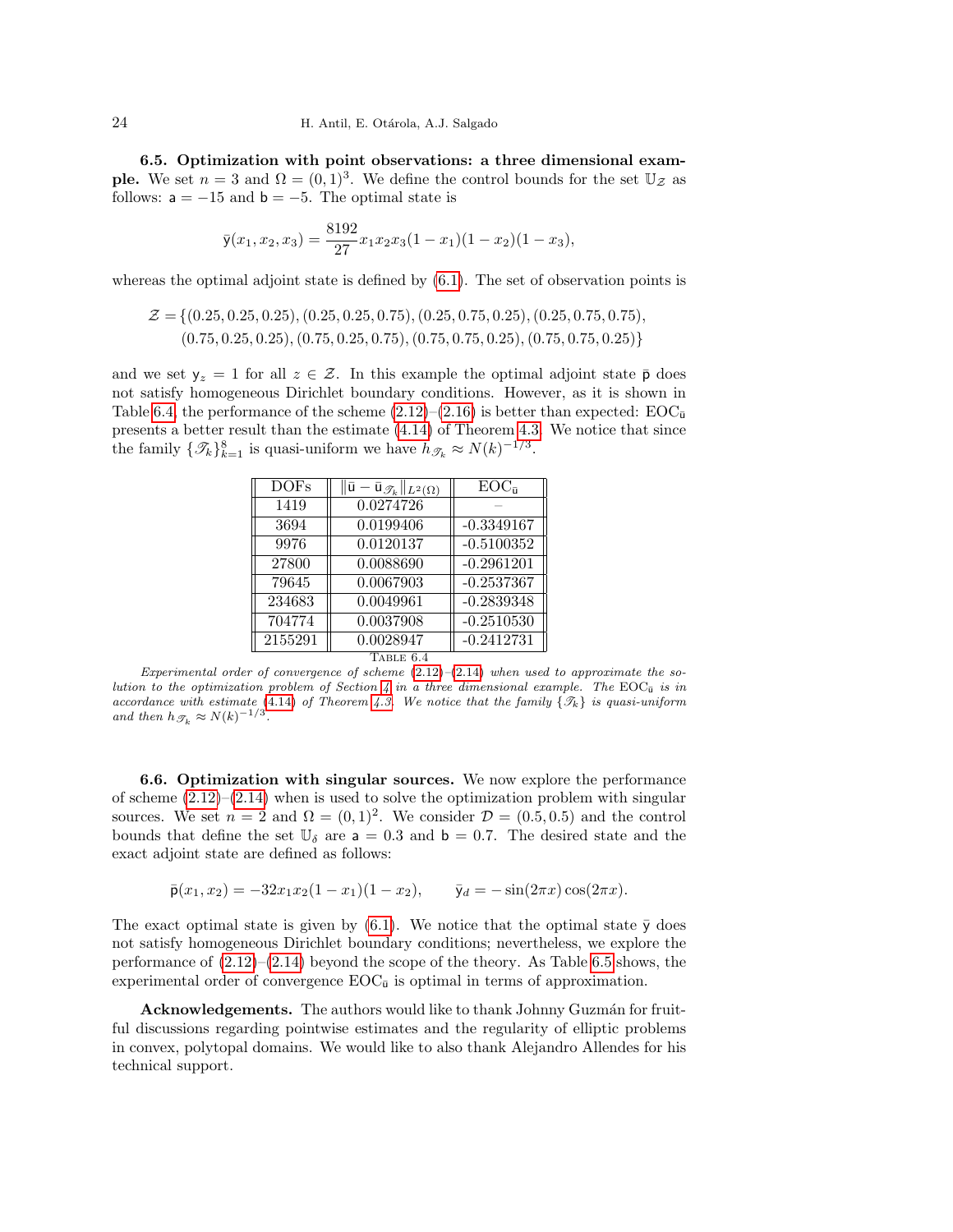6.5. Optimization with point observations: a three dimensional exam**ple.** We set  $n = 3$  and  $\Omega = (0, 1)^3$ . We define the control bounds for the set  $\mathbb{U}_{\mathcal{Z}}$  as follows:  $a = -15$  and  $b = -5$ . The optimal state is

$$
\bar{y}(x_1, x_2, x_3) = \frac{8192}{27} x_1 x_2 x_3 (1 - x_1)(1 - x_2)(1 - x_3),
$$

whereas the optimal adjoint state is defined by  $(6.1)$ . The set of observation points is

$$
\mathcal{Z} = \{ (0.25, 0.25, 0.25), (0.25, 0.25, 0.75), (0.25, 0.75, 0.25), (0.25, 0.75, 0.75), (0.75, 0.25, 0.25), (0.75, 0.25, 0.25), (0.75, 0.25), (0.75, 0.25, 0.25) \}
$$

and we set  $y_z = 1$  for all  $z \in \mathcal{Z}$ . In this example the optimal adjoint state  $\bar{p}$  does not satisfy homogeneous Dirichlet boundary conditions. However, as it is shown in Table [6.4,](#page-23-0) the performance of the scheme  $(2.12)$ – $(2.16)$  is better than expected:  $EOC_{\bar{u}}$ presents a better result than the estimate [\(4.14\)](#page-15-4) of Theorem [4.3.](#page-15-1) We notice that since the family  $\{\mathcal{I}_k\}_{k=1}^8$  is quasi-uniform we have  $h_{\mathcal{I}_k} \approx N(k)^{-1/3}$ .

| <b>DOFs</b> | $\ \bar{\mathsf{u}}-\bar{\mathsf{u}}_{\mathscr{T}_k}\ _{L^2(\Omega)}$ | $EOC_{\bar{u}}$ |
|-------------|-----------------------------------------------------------------------|-----------------|
| 1419        | 0.0274726                                                             |                 |
| 3694        | 0.0199406                                                             | $-0.3349167$    |
| 9976        | 0.0120137                                                             | $-0.5100352$    |
| 27800       | 0.0088690                                                             | $-0.2961201$    |
| 79645       | 0.0067903                                                             | $-0.2537367$    |
| 234683      | 0.0049961                                                             | $-0.2839348$    |
| 704774      | 0.0037908                                                             | $-0.2510530$    |
| 2155291     | 0.0028947                                                             | $-0.2412731$    |

TABLE  $6.4$ 

<span id="page-23-0"></span>Experimental order of convergence of scheme  $(2.12)$ – $(2.14)$  when used to approximate the so-lution to the optimization problem of Section [4](#page-12-0) in a three dimensional example. The EOC $_{\bar{u}}$  is in accordance with estimate [\(4.14\)](#page-15-4) of Theorem [4.3.](#page-15-1) We notice that the family  $\{\mathcal{T}_k\}$  is quasi-uniform and then  $h_{\mathscr{T}_k} \approx N(k)^{-1/3}$ .

6.6. Optimization with singular sources. We now explore the performance of scheme  $(2.12)$ – $(2.14)$  when is used to solve the optimization problem with singular sources. We set  $n = 2$  and  $\Omega = (0, 1)^2$ . We consider  $\mathcal{D} = (0.5, 0.5)$  and the control bounds that define the set  $\mathbb{U}_{\delta}$  are  $a = 0.3$  and  $b = 0.7$ . The desired state and the exact adjoint state are defined as follows:

 $\bar{\mathsf{p}}(x_1, x_2) = -32x_1x_2(1-x_1)(1-x_2), \qquad \bar{\mathsf{y}}_d = -\sin(2\pi x)\cos(2\pi x).$ 

The exact optimal state is given by  $(6.1)$ . We notice that the optimal state  $\bar{y}$  does not satisfy homogeneous Dirichlet boundary conditions; nevertheless, we explore the performance of  $(2.12)$ – $(2.14)$  beyond the scope of the theory. As Table [6.5](#page-24-19) shows, the experimental order of convergence  $EOC_{\bar{u}}$  is optimal in terms of approximation.

Acknowledgements. The authors would like to thank Johnny Guzmán for fruitful discussions regarding pointwise estimates and the regularity of elliptic problems in convex, polytopal domains. We would like to also thank Alejandro Allendes for his technical support.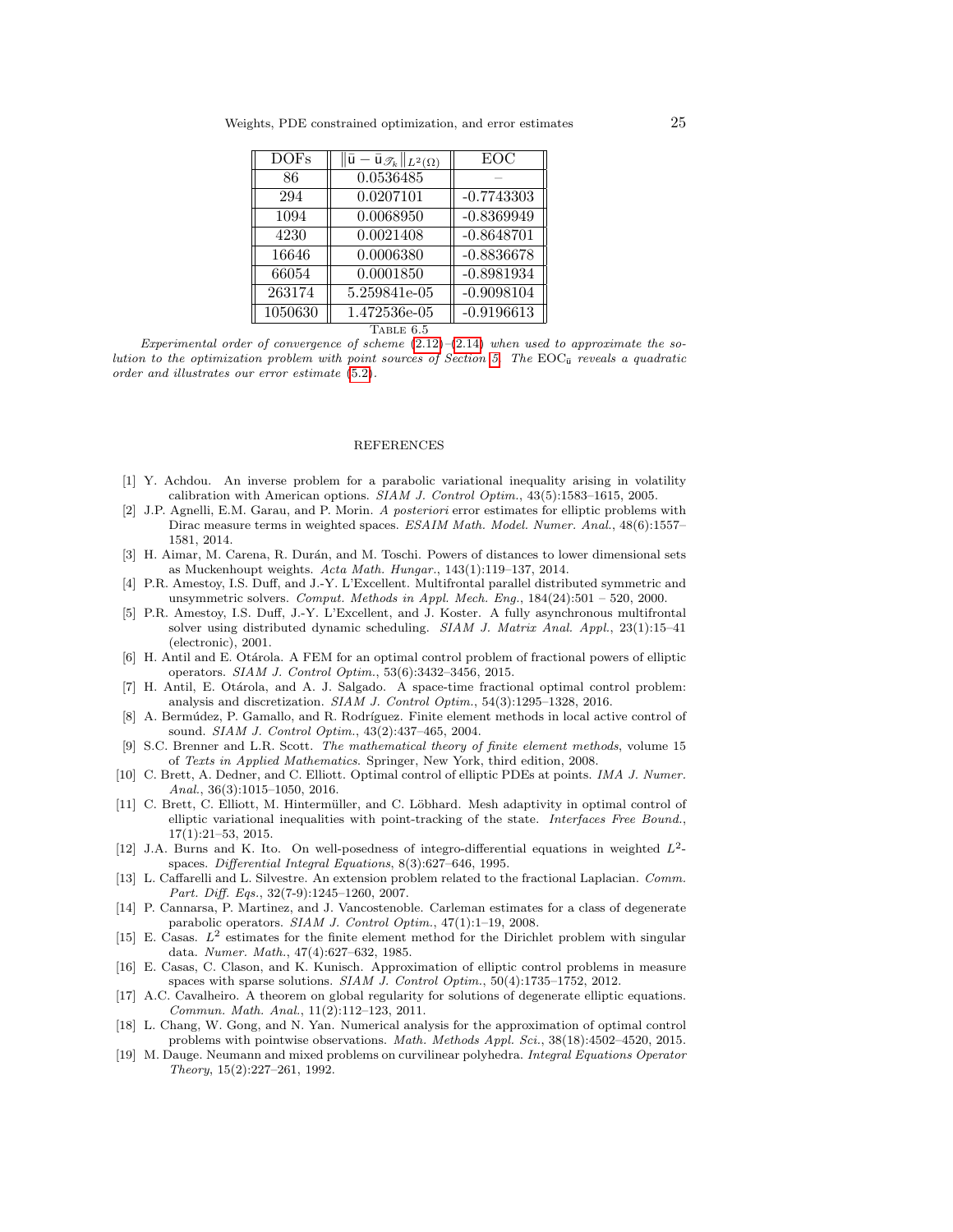| <b>DOFs</b> | $\ \bar{\mathsf{u}}-\bar{\mathsf{u}}_{\mathscr{T}_k}\ _{L^2(\Omega)}$ | EOC          |  |  |
|-------------|-----------------------------------------------------------------------|--------------|--|--|
| 86          | 0.0536485                                                             |              |  |  |
| 294         | 0.0207101                                                             | $-0.7743303$ |  |  |
| 1094        | 0.0068950                                                             | $-0.8369949$ |  |  |
| 4230        | 0.0021408                                                             | $-0.8648701$ |  |  |
| 16646       | 0.0006380                                                             | $-0.8836678$ |  |  |
| 66054       | 0.0001850                                                             | $-0.8981934$ |  |  |
| 263174      | 5.259841e-05                                                          | $-0.9098104$ |  |  |
| 1050630     | 1.472536e-05                                                          | $-0.9196613$ |  |  |
| TABLE 6.5   |                                                                       |              |  |  |

<span id="page-24-19"></span>Experimental order of convergence of scheme  $(2.12)$ – $(2.14)$  when used to approximate the so-lution to the optimization problem with point sources of Section [5.](#page-16-0) The  $EOC_{\bar{u}}$  reveals a quadratic order and illustrates our error estimate [\(5.2\)](#page-17-2).

## REFERENCES

- <span id="page-24-6"></span>[1] Y. Achdou. An inverse problem for a parabolic variational inequality arising in volatility calibration with American options. SIAM J. Control Optim., 43(5):1583–1615, 2005.
- <span id="page-24-4"></span>[2] J.P. Agnelli, E.M. Garau, and P. Morin. A posteriori error estimates for elliptic problems with Dirac measure terms in weighted spaces. ESAIM Math. Model. Numer. Anal., 48(6):1557– 1581, 2014.
- <span id="page-24-15"></span>[3] H. Aimar, M. Carena, R. Durán, and M. Toschi. Powers of distances to lower dimensional sets as Muckenhoupt weights. Acta Math. Hungar., 143(1):119–137, 2014.
- <span id="page-24-17"></span>[4] P.R. Amestoy, I.S. Duff, and J.-Y. L'Excellent. Multifrontal parallel distributed symmetric and unsymmetric solvers. Comput. Methods in Appl. Mech. Eng., 184(24):501 – 520, 2000.
- <span id="page-24-18"></span>[5] P.R. Amestoy, I.S. Duff, J.-Y. L'Excellent, and J. Koster. A fully asynchronous multifrontal solver using distributed dynamic scheduling. SIAM J. Matrix Anal. Appl., 23(1):15–41 (electronic), 2001.
- <span id="page-24-0"></span>[6] H. Antil and E. Otárola. A FEM for an optimal control problem of fractional powers of elliptic operators. SIAM J. Control Optim., 53(6):3432–3456, 2015.
- <span id="page-24-1"></span>[7] H. Antil, E. Otárola, and A. J. Salgado. A space-time fractional optimal control problem: analysis and discretization. SIAM J. Control Optim., 54(3):1295–1328, 2016.
- <span id="page-24-7"></span>[8] A. Bermúdez, P. Gamallo, and R. Rodríguez. Finite element methods in local active control of sound. SIAM J. Control Optim., 43(2):437–465, 2004.
- <span id="page-24-16"></span>[9] S.C. Brenner and L.R. Scott. The mathematical theory of finite element methods, volume 15 of Texts in Applied Mathematics. Springer, New York, third edition, 2008.
- <span id="page-24-8"></span>[10] C. Brett, A. Dedner, and C. Elliott. Optimal control of elliptic PDEs at points. IMA J. Numer. Anal., 36(3):1015–1050, 2016.
- <span id="page-24-9"></span>[11] C. Brett, C. Elliott, M. Hintermüller, and C. Löbhard. Mesh adaptivity in optimal control of elliptic variational inequalities with point-tracking of the state. Interfaces Free Bound., 17(1):21–53, 2015.
- <span id="page-24-13"></span>[12] J.A. Burns and K. Ito. On well-posedness of integro-differential equations in weighted  $L^2$ spaces. Differential Integral Equations, 8(3):627–646, 1995.
- <span id="page-24-2"></span>[13] L. Caffarelli and L. Silvestre. An extension problem related to the fractional Laplacian. Comm. Part. Diff. Eqs., 32(7-9):1245–1260, 2007.
- <span id="page-24-3"></span>[14] P. Cannarsa, P. Martinez, and J. Vancostenoble. Carleman estimates for a class of degenerate parabolic operators. SIAM J. Control Optim., 47(1):1–19, 2008.
- <span id="page-24-11"></span>[15] E. Casas.  $L^2$  estimates for the finite element method for the Dirichlet problem with singular data. Numer. Math., 47(4):627–632, 1985.
- <span id="page-24-12"></span>[16] E. Casas, C. Clason, and K. Kunisch. Approximation of elliptic control problems in measure spaces with sparse solutions. SIAM J. Control Optim., 50(4):1735–1752, 2012.
- <span id="page-24-14"></span>[17] A.C. Cavalheiro. A theorem on global regularity for solutions of degenerate elliptic equations. Commun. Math. Anal., 11(2):112–123, 2011.
- <span id="page-24-10"></span>[18] L. Chang, W. Gong, and N. Yan. Numerical analysis for the approximation of optimal control problems with pointwise observations. Math. Methods Appl. Sci., 38(18):4502–4520, 2015.
- <span id="page-24-5"></span>[19] M. Dauge. Neumann and mixed problems on curvilinear polyhedra. Integral Equations Operator Theory, 15(2):227–261, 1992.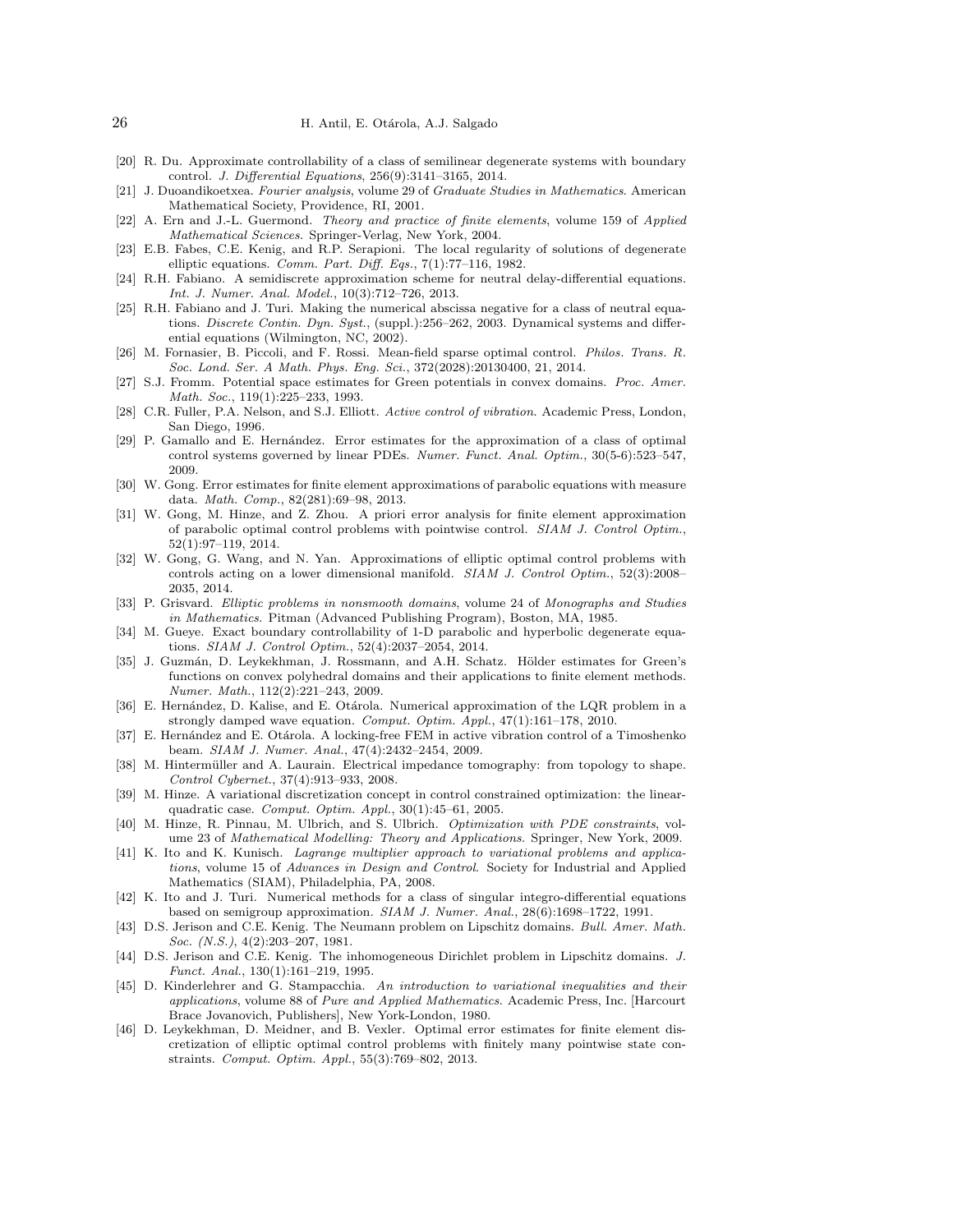- <span id="page-25-0"></span>[20] R. Du. Approximate controllability of a class of semilinear degenerate systems with boundary control. J. Differential Equations, 256(9):3141–3165, 2014.
- <span id="page-25-2"></span>[21] J. Duoandikoetxea. Fourier analysis, volume 29 of Graduate Studies in Mathematics. American Mathematical Society, Providence, RI, 2001.
- <span id="page-25-21"></span>[22] A. Ern and J.-L. Guermond. Theory and practice of finite elements, volume 159 of Applied Mathematical Sciences. Springer-Verlag, New York, 2004.
- <span id="page-25-22"></span>[23] E.B. Fabes, C.E. Kenig, and R.P. Serapioni. The local regularity of solutions of degenerate elliptic equations. Comm. Part. Diff. Eqs., 7(1):77–116, 1982.
- <span id="page-25-16"></span>[24] R.H. Fabiano. A semidiscrete approximation scheme for neutral delay-differential equations. Int. J. Numer. Anal. Model., 10(3):712–726, 2013.
- <span id="page-25-17"></span>[25] R.H. Fabiano and J. Turi. Making the numerical abscissa negative for a class of neutral equations. Discrete Contin. Dyn. Syst., (suppl.):256-262, 2003. Dynamical systems and differential equations (Wilmington, NC, 2002).
- <span id="page-25-13"></span>[26] M. Fornasier, B. Piccoli, and F. Rossi. Mean-field sparse optimal control. Philos. Trans. R. Soc. Lond. Ser. A Math. Phys. Eng. Sci., 372(2028):20130400, 21, 2014.
- <span id="page-25-24"></span>[27] S.J. Fromm. Potential space estimates for Green potentials in convex domains. Proc. Amer. Math. Soc., 119(1):225–233, 1993.
- <span id="page-25-6"></span>[28] C.R. Fuller, P.A. Nelson, and S.J. Elliott. Active control of vibration. Academic Press, London, San Diego, 1996.
- <span id="page-25-18"></span>[29] P. Gamallo and E. Hernández. Error estimates for the approximation of a class of optimal control systems governed by linear PDEs. Numer. Funct. Anal. Optim., 30(5-6):523–547, 2009.
- <span id="page-25-26"></span>[30] W. Gong. Error estimates for finite element approximations of parabolic equations with measure data. Math. Comp., 82(281):69–98, 2013.
- <span id="page-25-8"></span>[31] W. Gong, M. Hinze, and Z. Zhou. A priori error analysis for finite element approximation of parabolic optimal control problems with pointwise control. SIAM J. Control Optim., 52(1):97–119, 2014.
- <span id="page-25-14"></span>[32] W. Gong, G. Wang, and N. Yan. Approximations of elliptic optimal control problems with controls acting on a lower dimensional manifold. SIAM J. Control Optim., 52(3):2008– 2035, 2014.
- <span id="page-25-4"></span>[33] P. Grisvard. Elliptic problems in nonsmooth domains, volume 24 of Monographs and Studies in Mathematics. Pitman (Advanced Publishing Program), Boston, MA, 1985.
- <span id="page-25-1"></span>[34] M. Gueye. Exact boundary controllability of 1-D parabolic and hyperbolic degenerate equations. SIAM J. Control Optim., 52(4):2037–2054, 2014.
- <span id="page-25-25"></span>[35] J. Guzmán, D. Leykekhman, J. Rossmann, and A.H. Schatz. Hölder estimates for Green's functions on convex polyhedral domains and their applications to finite element methods. Numer. Math., 112(2):221–243, 2009.
- <span id="page-25-12"></span>[36] E. Hernández, D. Kalise, and E. Otárola. Numerical approximation of the LQR problem in a strongly damped wave equation. Comput. Optim. Appl., 47(1):161–178, 2010.
- <span id="page-25-7"></span>[37] E. Hernández and E. Otárola. A locking-free FEM in active vibration control of a Timoshenko beam. SIAM J. Numer. Anal., 47(4):2432–2454, 2009.
- <span id="page-25-9"></span>[38] M. Hintermüller and A. Laurain. Electrical impedance tomography: from topology to shape. Control Cybernet., 37(4):913–933, 2008.
- <span id="page-25-11"></span>[39] M. Hinze. A variational discretization concept in control constrained optimization: the linearquadratic case. Comput. Optim. Appl., 30(1):45–61, 2005.
- <span id="page-25-19"></span>[40] M. Hinze, R. Pinnau, M. Ulbrich, and S. Ulbrich. Optimization with PDE constraints, volume 23 of Mathematical Modelling: Theory and Applications. Springer, New York, 2009.
- <span id="page-25-20"></span>[41] K. Ito and K. Kunisch. *Lagrange multiplier approach to variational problems and applica*tions, volume 15 of Advances in Design and Control. Society for Industrial and Applied Mathematics (SIAM), Philadelphia, PA, 2008.
- <span id="page-25-15"></span>[42] K. Ito and J. Turi. Numerical methods for a class of singular integro-differential equations based on semigroup approximation. SIAM J. Numer. Anal., 28(6):1698–1722, 1991.
- <span id="page-25-5"></span>[43] D.S. Jerison and C.E. Kenig. The Neumann problem on Lipschitz domains. Bull. Amer. Math. Soc. (N.S.), 4(2):203–207, 1981.
- <span id="page-25-3"></span>[44] D.S. Jerison and C.E. Kenig. The inhomogeneous Dirichlet problem in Lipschitz domains. J. Funct. Anal., 130(1):161–219, 1995.
- <span id="page-25-23"></span>[45] D. Kinderlehrer and G. Stampacchia. An introduction to variational inequalities and their applications, volume 88 of Pure and Applied Mathematics. Academic Press, Inc. [Harcourt Brace Jovanovich, Publishers], New York-London, 1980.
- <span id="page-25-10"></span>[46] D. Leykekhman, D. Meidner, and B. Vexler. Optimal error estimates for finite element discretization of elliptic optimal control problems with finitely many pointwise state constraints. Comput. Optim. Appl., 55(3):769–802, 2013.